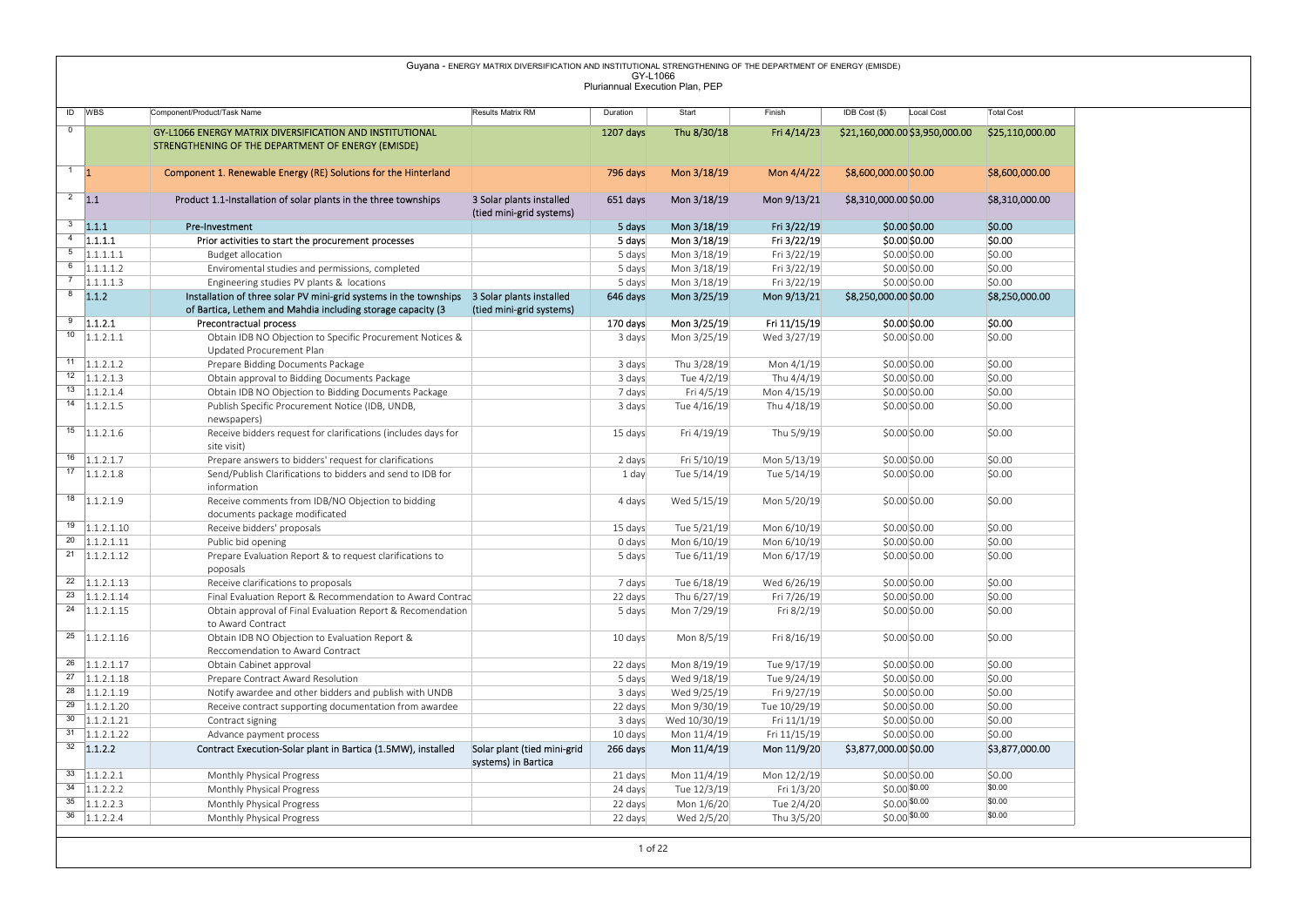|                |                                                            |                                                                                                                                         | Guyana - ENERGY MATRIX DIVERSIFICATION AND INSTITUTIONAL STRENGTHENING OF THE DEPARTMENT OF ENERGY (EMISDE) |                                             |                            |                            |                                       |                          |
|----------------|------------------------------------------------------------|-----------------------------------------------------------------------------------------------------------------------------------------|-------------------------------------------------------------------------------------------------------------|---------------------------------------------|----------------------------|----------------------------|---------------------------------------|--------------------------|
|                |                                                            |                                                                                                                                         |                                                                                                             | GY-L1066<br>Pluriannual Execution Plan, PEP |                            |                            |                                       |                          |
|                | ID WBS                                                     | Component/Product/Task Name                                                                                                             | Results Matrix RM                                                                                           | Duration                                    | Start                      | Finish                     | IDB Cost (\$)<br>Local Cost           | <b>Total Cost</b>        |
| $\overline{0}$ |                                                            | GY-L1066 ENERGY MATRIX DIVERSIFICATION AND INSTITUTIONAL                                                                                |                                                                                                             | 1207 days                                   | Thu 8/30/18                | Fri 4/14/23                | \$21,160,000.00 \$3,950,000.00        | \$25,110,000.00          |
|                |                                                            | STRENGTHENING OF THE DEPARTMENT OF ENERGY (EMISDE)                                                                                      |                                                                                                             |                                             |                            |                            |                                       |                          |
|                | $1 \quad 1$                                                | Component 1. Renewable Energy (RE) Solutions for the Hinterland                                                                         |                                                                                                             | 796 days                                    | Mon 3/18/19                | Mon 4/4/22                 | \$8,600,000.00 \$0.00                 | \$8,600,000.00           |
|                |                                                            |                                                                                                                                         |                                                                                                             |                                             |                            |                            |                                       |                          |
|                | $2 \quad 1.1$                                              | Product 1.1-Installation of solar plants in the three townships                                                                         | 3 Solar plants installed<br>(tied mini-grid systems)                                                        | 651 days                                    | Mon 3/18/19                | Mon 9/13/21                | \$8,310,000.00 \$0.00                 | \$8,310,000.00           |
|                | $3 - 1.1.1$                                                | Pre-Investment                                                                                                                          |                                                                                                             | 5 days                                      | Mon 3/18/19                | Fri 3/22/19                | $$0.00$$ \$0.00                       | \$0.00                   |
|                | $4$ 1.1.1.1                                                | Prior activities to start the procurement processes                                                                                     |                                                                                                             | 5 days                                      | Mon 3/18/19                | Fri 3/22/19                | \$0.00\$0.00                          | \$0.00                   |
|                | $\overline{5}$ 1.1.1.1.1                                   | <b>Budget allocation</b>                                                                                                                |                                                                                                             | 5 days                                      | Mon 3/18/19                | Fri 3/22/19                | \$0.00\$0.00                          | \$0.00                   |
|                | $\overline{6}$ 1.1.1.1.2                                   | Enviromental studies and permissions, completed                                                                                         |                                                                                                             | 5 days                                      | Mon 3/18/19                | Fri 3/22/19                | \$0.00\$0.00                          | \$0.00                   |
|                | $7 - 1.1.1.1.3$<br>$8 - 1.1.2$                             | Engineering studies PV plants & locations<br>Installation of three solar PV mini-grid systems in the townships 3 Solar plants installed |                                                                                                             | 5 days<br>646 days                          | Mon 3/18/19<br>Mon 3/25/19 | Fri 3/22/19<br>Mon 9/13/21 | \$0.00\$0.00<br>\$8,250,000.00 \$0.00 | \$0.00<br>\$8,250,000.00 |
|                |                                                            | of Bartica, Lethem and Mahdia including storage capacity (3                                                                             | (tied mini-grid systems)                                                                                    |                                             |                            |                            |                                       |                          |
|                | $9$ 1.1.2.1                                                | Precontractual process                                                                                                                  |                                                                                                             | 170 days                                    | Mon 3/25/19                | Fri 11/15/19               | \$0.00 \$0.00                         | \$0.00                   |
|                | $\overline{10}$ 1.1.2.1.1                                  | Obtain IDB NO Objection to Specific Procurement Notices &<br>Updated Procurement Plan                                                   |                                                                                                             | 3 days                                      | Mon 3/25/19                | Wed 3/27/19                | \$0.00 \$0.00                         | \$0.00                   |
|                | $11$   1.1.2.1.2                                           | Prepare Bidding Documents Package                                                                                                       |                                                                                                             | 3 days                                      | Thu 3/28/19                | Mon 4/1/19                 | \$0.00\$0.00                          | \$0.00                   |
|                | $12$   1.1.2.1.3                                           | Obtain approval to Bidding Documents Package                                                                                            |                                                                                                             | 3 days                                      | Tue 4/2/19                 | Thu 4/4/19                 | \$0.00\$0.00                          | \$0.00                   |
|                | $13$   1.1.2.1.4                                           | Obtain IDB NO Objection to Bidding Documents Package                                                                                    |                                                                                                             | 7 days                                      | Fri 4/5/19                 | Mon 4/15/19                | \$0.00 \$0.00                         | \$0.00                   |
|                | $14$   1.1.2.1.5                                           | Publish Specific Procurement Notice (IDB, UNDB,                                                                                         |                                                                                                             | 3 days                                      | Tue 4/16/19                | Thu 4/18/19                | \$0.00 \$0.00                         | \$0.00                   |
|                |                                                            | newspapers)                                                                                                                             |                                                                                                             |                                             |                            |                            |                                       |                          |
|                | $15$ 1.1.2.1.6                                             | Receive bidders request for clarifications (includes days for<br>site visit)                                                            |                                                                                                             | 15 days                                     | Fri 4/19/19                | Thu 5/9/19                 | \$0.00 \$0.00                         | \$0.00                   |
|                | $16$   1.1.2.1.7                                           | Prepare answers to bidders' request for clarifications                                                                                  |                                                                                                             | 2 days                                      | Fri 5/10/19                | Mon 5/13/19                | \$0.00 \$0.00                         | \$0.00                   |
|                | $17$ 1.1.2.1.8                                             | Send/Publish Clarifications to bidders and send to IDB for                                                                              |                                                                                                             | 1 day                                       | Tue 5/14/19                | Tue 5/14/19                | \$0.00 \$0.00                         | \$0.00                   |
|                |                                                            | information                                                                                                                             |                                                                                                             |                                             |                            |                            |                                       |                          |
|                | $18$ 1.1.2.1.9                                             | Receive comments from IDB/NO Objection to bidding<br>documents package modificated                                                      |                                                                                                             | 4 days                                      | Wed 5/15/19                | Mon 5/20/19                | \$0.00 \$0.00                         | \$0.00                   |
|                | $19$ 1.1.2.1.10                                            | Receive bidders' proposals                                                                                                              |                                                                                                             | 15 days                                     | Tue 5/21/19                | Mon 6/10/19                | \$0.00 \$0.00                         | \$0.00                   |
|                | $20$ 1.1.2.1.11                                            | Public bid opening                                                                                                                      |                                                                                                             | 0 days                                      | Mon 6/10/19                | Mon 6/10/19                | \$0.00 \$0.00                         | \$0.00                   |
|                | $\overline{21}$ 1.1.2.1.12                                 | Prepare Evaluation Report & to request clarifications to                                                                                |                                                                                                             | 5 days                                      | Tue 6/11/19                | Mon 6/17/19                | \$0.00 \$0.00                         | \$0.00                   |
|                | $22 \quad  1.1.2.1.13$                                     | poposals<br>Receive clarifications to proposals                                                                                         |                                                                                                             |                                             |                            |                            | \$0.00 \$0.00                         | \$0.00                   |
|                | $\overline{23}$ 1.1.2.1.14                                 | Final Evaluation Report & Recommendation to Award Contrac                                                                               |                                                                                                             | 7 days<br>22 days                           | Tue 6/18/19<br>Thu 6/27/19 | Wed 6/26/19<br>Fri 7/26/19 | \$0.00 \$0.00                         | \$0.00                   |
|                | $\overline{24}$ 1.1.2.1.15                                 | Obtain approval of Final Evaluation Report & Recomendation                                                                              |                                                                                                             | 5 days                                      | Mon 7/29/19                | Fri 8/2/19                 | \$0.00 \$0.00                         | \$0.00                   |
|                |                                                            | to Award Contract                                                                                                                       |                                                                                                             |                                             |                            |                            |                                       |                          |
|                | $25$ 1.1.2.1.16                                            | Obtain IDB NO Objection to Evaluation Report &                                                                                          |                                                                                                             | 10 days                                     | Mon 8/5/19                 | Fri 8/16/19                | \$0.00 \$0.00                         | \$0.00                   |
|                | $\overline{26}$ 1.1.2.1.17                                 | Reccomendation to Award Contract<br>Obtain Cabinet approval                                                                             |                                                                                                             | 22 days                                     | Mon 8/19/19                | Tue 9/17/19                | \$0.00 \$0.00                         | \$0.00                   |
|                | $\overline{27}$ 1.1.2.1.18                                 | Prepare Contract Award Resolution                                                                                                       |                                                                                                             | 5 days                                      | Wed 9/18/19                | Tue 9/24/19                | \$0.00 \$0.00                         | \$0.00                   |
|                | $\overline{\begin{array}{c} 28 \\ 1.1.2.1.19 \end{array}}$ | Notify awardee and other bidders and publish with UNDB                                                                                  |                                                                                                             | 3 days                                      | Wed 9/25/19                | Fri 9/27/19                | \$0.00 \$0.00                         | \$0.00                   |
|                | $29$ 1.1.2.1.20                                            | Receive contract supporting documentation from awardee                                                                                  |                                                                                                             | 22 days                                     | Mon 9/30/19                | Tue 10/29/19               | \$0.00 \$0.00                         | \$0.00                   |
|                | $\overline{30}$ 1.1.2.1.21                                 | Contract signing                                                                                                                        |                                                                                                             | 3 days                                      | Wed 10/30/19               | Fri 11/1/19                | \$0.00 \$0.00                         | \$0.00                   |
|                | $\overline{31}$ 1.1.2.1.22<br>$32$ 1.1.2.2                 | Advance payment process                                                                                                                 |                                                                                                             | 10 days                                     | Mon 11/4/19                | Fri 11/15/19               | \$0.00 \$0.00                         | \$0.00                   |
|                |                                                            | Contract Execution-Solar plant in Bartica (1.5MW), installed                                                                            | Solar plant (tied mini-grid<br>systems) in Bartica                                                          | 266 days                                    | Mon 11/4/19                | Mon 11/9/20                | \$3,877,000.00 \$0.00                 | \$3,877,000.00           |
|                |                                                            | Monthly Physical Progress                                                                                                               |                                                                                                             | 21 days                                     | Mon 11/4/19                | Mon 12/2/19                | \$0.00 \$0.00                         | \$0.00                   |
|                | $33 \quad  1.1.2.2.1$                                      | Monthly Physical Progress                                                                                                               |                                                                                                             | 24 days                                     | Tue 12/3/19                | Fri 1/3/20                 | \$0.00 \$0.00                         | \$0.00                   |
|                | $34$ 1.1.2.2.2                                             |                                                                                                                                         |                                                                                                             | 22 days                                     | Mon 1/6/20                 | Tue 2/4/20                 | $$0.00$ \$0.00                        | \$0.00                   |
|                | $35$ 1.1.2.2.3<br>$36$ 1.1.2.2.4                           | Monthly Physical Progress<br>Monthly Physical Progress                                                                                  |                                                                                                             | 22 days                                     | Wed 2/5/20                 | Thu 3/5/20                 | $$0.00$ \$0.00                        | \$0.00                   |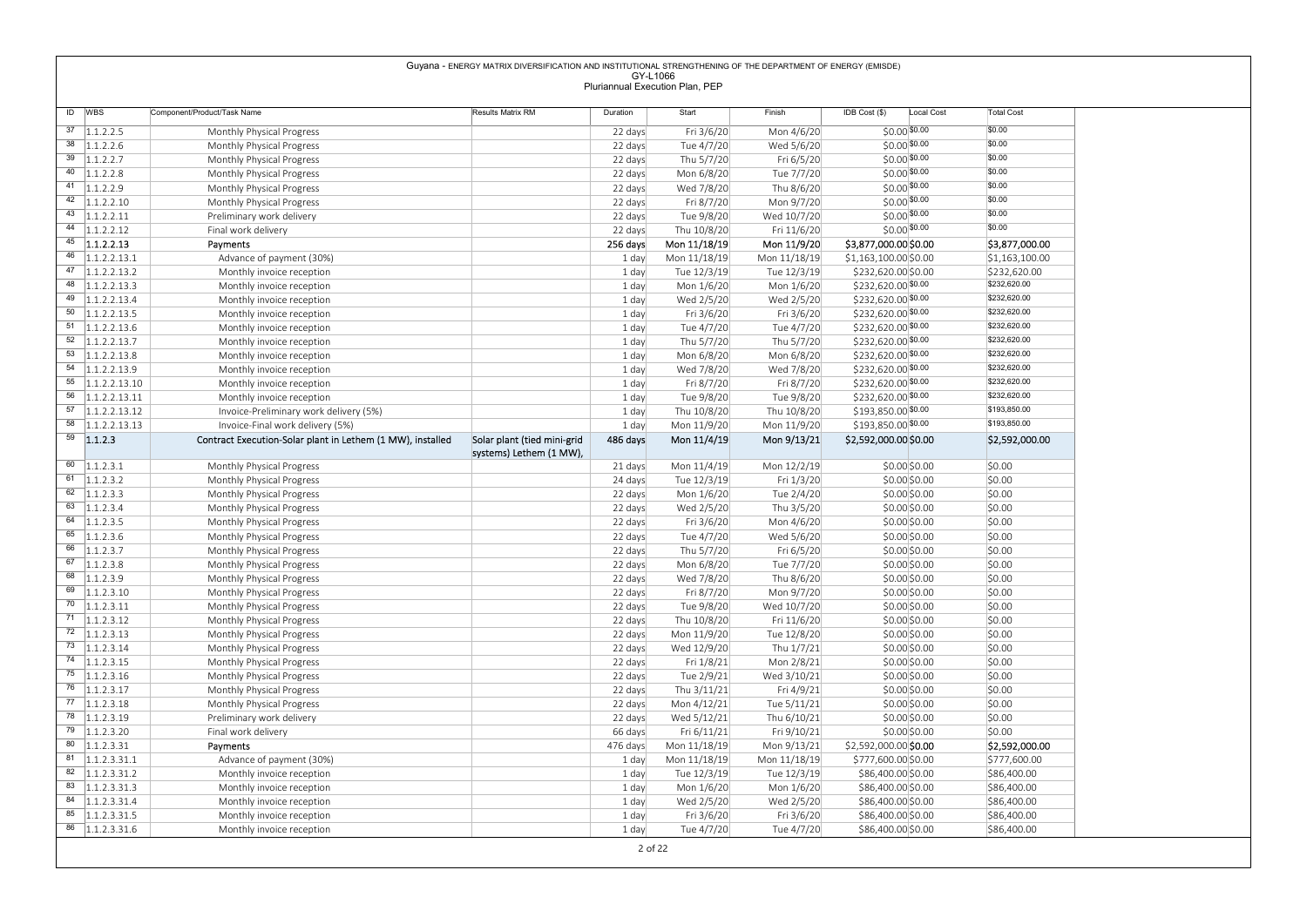| Guyana - ENERGY MATRIX DIVERSIFICATION AND INSTITUTIONAL STRENGTHENING OF THE DEPARTMENT OF ENERGY (EMISDE)<br>GY-L1066<br>Pluriannual Execution Plan, PEP<br>ID WBS<br>Component/Product/Task Name<br>Results Matrix RM<br>Duration<br>Start<br>Finish<br>IDB Cost (\$)<br>Local Cost<br><b>Total Cost</b><br>$\overline{37}$   1.1.2.2.5<br>\$0.00<br>$$0.00$ \$0.00<br>Mon 4/6/20<br>22 days<br>Fri 3/6/20<br>Monthly Physical Progress<br>\$0.00<br>$38$   1.1.2.2.6<br>$$0.00$ \$0.00<br>22 days<br>Tue 4/7/20<br>Wed 5/6/20<br>Monthly Physical Progress<br>$\overline{39}$ 1.1.2.2.7<br>\$0.00<br>$$0.00$ \$0.00<br>Fri 6/5/20<br>22 days<br>Thu 5/7/20<br>Monthly Physical Progress<br>\$0.00<br>40 $ 1.1.2.2.8$<br>$$0.00$ \$0.00<br>Tue 7/7/20<br>22 days<br>Mon 6/8/20<br>Monthly Physical Progress<br>$\frac{41}{1.1.2.2.9}$<br>\$0.00<br>$$0.00$ \$0.00<br>Thu 8/6/20<br>Monthly Physical Progress<br>22 days<br>Wed 7/8/20<br>\$0.00<br>$42 \quad  1.1.2.2.10$<br>$$0.00$ \$0.00<br>22 days<br>Fri 8/7/20<br>Mon 9/7/20<br>Monthly Physical Progress<br>$\overline{43}$ 1.1.2.2.11<br>\$0.00<br>$$0.00$ \$0.00<br>22 days<br>Tue 9/8/20<br>Wed 10/7/20<br>Preliminary work delivery<br>\$0.00<br>44 $ 1.1.2.2.12$<br>$$0.00$ \$0.00<br>Final work delivery<br>22 days<br>Thu 10/8/20<br>Fri 11/6/20<br>$\overline{45}$ 1.1.2.2.13<br>Mon 11/9/20<br>\$3,877,000.00<br>256 days<br>Mon 11/18/19<br>\$3,877,000.00 \$0.00<br>Payments<br>$46$   1.1.2.2.13.1<br>Mon 11/18/19<br>Mon 11/18/19<br>\$1,163,100.00 \$0.00<br>Advance of payment (30%)<br>1 day<br>\$1,163,100.00<br>$\overline{47}$ 1.1.2.2.13.2<br>Tue 12/3/19<br>1 day<br>Tue 12/3/19<br>\$232,620.00 \$0.00<br>\$232,620.00<br>Monthly invoice reception<br>\$232,620.00<br>$48$   1.1.2.2.13.3<br>\$232,620.00 \$0.00<br>1 day<br>Mon 1/6/20<br>Mon 1/6/20<br>Monthly invoice reception<br>$\overline{49}$ 1.1.2.2.13.4<br>\$232,620.00<br>\$232,620.00 \$0.00<br>Wed 2/5/20<br>1 day<br>Wed 2/5/20<br>Monthly invoice reception<br>\$232,620.00<br>$50$   1.1.2.2.13.5<br>Fri 3/6/20<br>\$232,620.00 \$0.00<br>1 day<br>Fri 3/6/20<br>Monthly invoice reception<br>$\overline{51}$ 1.1.2.2.13.6<br>\$232,620.00<br>\$232,620.00 \$0.00<br>Tue 4/7/20<br>1 day<br>Tue 4/7/20<br>Monthly invoice reception<br>$\overline{52}$ 1.1.2.2.13.7<br>\$232,620.00<br>Thu 5/7/20<br>\$232,620.00 \$0.00<br>1 day<br>Thu 5/7/20<br>Monthly invoice reception<br>$\overline{53}$ 1.1.2.2.13.8<br>\$232,620.00<br>Mon 6/8/20<br>\$232,620.00 \$0.00<br>1 day<br>Mon 6/8/20<br>Monthly invoice reception<br>\$232,620.00<br>$54$   1.1.2.2.13.9<br>Wed 7/8/20<br>\$232,620.00 \$0.00<br>Wed 7/8/20<br>Monthly invoice reception<br>1 day<br>\$232,620.00<br>$\overline{55}$ 1.1.2.2.13.10<br>\$232,620.00 \$0.00<br>Fri 8/7/20<br>Fri 8/7/20<br>1 day<br>Monthly invoice reception<br>\$232,620.00<br>$\overline{56}$ 1.1.2.2.13.11<br>\$232,620.00 \$0.00<br>1 day<br>Tue 9/8/20<br>Tue 9/8/20<br>Monthly invoice reception<br>\$193,850.00<br>$\overline{57}$ 1.1.2.2.13.12<br>\$193,850.00 \$0.00<br>1 day<br>Thu 10/8/20<br>Thu 10/8/20<br>Invoice-Preliminary work delivery (5%)<br>\$193,850.00<br>$\overline{58}$ 1.1.2.2.13.13<br>\$193,850.00 \$0.00<br>1 day<br>Mon 11/9/20<br>Mon 11/9/20<br>Invoice-Final work delivery (5%)<br>$59$ 1.1.2.3<br>Contract Execution-Solar plant in Lethem (1 MW), installed<br>Solar plant (tied mini-grid<br>486 days<br>Mon 11/4/19<br>Mon 9/13/21<br>\$2,592,000.00 \$0.00<br>\$2,592,000.00<br>systems) Lethem (1 MW),<br>$\overline{60}$ 1.1.2.3.1<br>\$0.00<br>Monthly Physical Progress<br>21 days<br>Mon 11/4/19<br>Mon 12/2/19<br>\$0.00 \$0.00<br>$61 \quad 1.1.2.3.2$<br>Fri 1/3/20<br>\$0.00 \$0.00<br>\$0.00<br>Monthly Physical Progress<br>24 days<br>Tue 12/3/19<br>$\overline{62}$ 1.1.2.3.3<br>Tue 2/4/20<br>\$0.00<br>Monthly Physical Progress<br>22 days<br>Mon 1/6/20<br>\$0.00 \$0.00<br>$63$ 1.1.2.3.4<br>Thu 3/5/20<br>\$0.00<br>Monthly Physical Progress<br>22 days<br>Wed 2/5/20<br>\$0.00\$0.00<br>$64$ 1.1.2.3.5<br>Mon 4/6/20<br>\$0.00<br>Monthly Physical Progress<br>22 days<br>Fri 3/6/20<br>\$0.00 \$0.00<br>$65$ 1.1.2.3.6<br>\$0.00<br>22 days<br>Tue 4/7/20<br>Wed 5/6/20<br>\$0.00\$0.00<br>Monthly Physical Progress<br>$66$ 1.1.2.3.7<br>Fri 6/5/20<br>\$0.00<br>Monthly Physical Progress<br>22 days<br>Thu 5/7/20<br>\$0.00 \$0.00<br>$67$ 1.1.2.3.8<br>Tue 7/7/20<br>\$0.00<br>Monthly Physical Progress<br>22 days<br>Mon 6/8/20<br>\$0.00\$0.00<br>$\overline{68}$ 1.1.2.3.9<br>Thu 8/6/20<br>\$0.00<br>Monthly Physical Progress<br>22 days<br>Wed 7/8/20<br>\$0.00 \$0.00<br>$\overline{69}$   1.1.2.3.10<br>Mon 9/7/20<br>\$0.00<br>Monthly Physical Progress<br>22 days<br>Fri 8/7/20<br>\$0.00\$0.00<br>$\overline{70}$   1.1.2.3.11<br>Wed 10/7/20<br>\$0.00<br>Monthly Physical Progress<br>22 days<br>Tue 9/8/20<br>\$0.00 \$0.00<br>$\frac{71}{1.1.2.3.12}$<br>\$0.00<br>Monthly Physical Progress<br>22 days<br>Thu 10/8/20<br>Fri 11/6/20<br>\$0.00\$0.00<br>$72$ 1.1.2.3.13<br>Tue 12/8/20<br>\$0.00<br>Monthly Physical Progress<br>22 days<br>Mon 11/9/20<br>\$0.00 \$0.00<br>$73$ 1.1.2.3.14<br>Thu 1/7/21<br>\$0.00<br>Monthly Physical Progress<br>22 days<br>Wed 12/9/20<br>\$0.00\$0.00<br>$74$ 1.1.2.3.15<br>Mon 2/8/21<br>\$0.00<br>Monthly Physical Progress<br>22 days<br>Fri 1/8/21<br>\$0.00 \$0.00<br>$\overline{75}$   1.1.2.3.16<br>Wed 3/10/21<br>\$0.00<br>Monthly Physical Progress<br>22 days<br>Tue 2/9/21<br>\$0.00\$0.00<br>$76$   1.1.2.3.17<br>Fri 4/9/21<br>\$0.00<br>Monthly Physical Progress<br>22 days<br>Thu 3/11/21<br>\$0.00 \$0.00<br>$77$ 1.1.2.3.18<br>Tue 5/11/21<br>\$0.00<br>Monthly Physical Progress<br>22 days<br>Mon 4/12/21<br>\$0.00\$0.00<br>$78$ 1.1.2.3.19<br>Wed 5/12/21<br>Thu 6/10/21<br>\$0.00<br>Preliminary work delivery<br>22 days<br>\$0.00 \$0.00<br>$79$ 1.1.2.3.20<br>66 days<br>Fri 6/11/21<br>Fri 9/10/21<br>\$0.00<br>Final work delivery<br>\$0.00\$0.00<br>$\overline{80}$ 1.1.2.3.31<br>Mon 9/13/21<br>476 days<br>Mon 11/18/19<br>\$2,592,000.00 \$0.00<br>\$2,592,000.00<br>Payments<br>$81 \quad  1.1.2.3.31.1$<br>Advance of payment (30%)<br>1 day<br>Mon 11/18/19<br>Mon 11/18/19<br>\$777,600.00 \$0.00<br>\$777,600.00<br>$\overline{82}$ 1.1.2.3.31.2<br>Tue 12/3/19<br>\$86,400.00<br>Monthly invoice reception<br>1 day<br>Tue 12/3/19<br>\$86,400.00 \$0.00<br>$\overline{83}$   1.1.2.3.31.3<br>Monthly invoice reception<br>1 day<br>Mon 1/6/20<br>Mon 1/6/20<br>\$86,400.00 \$0.00<br>\$86,400.00<br>$\overline{84}$ 1.1.2.3.31.4<br>Wed 2/5/20<br>\$86,400.00<br>Monthly invoice reception<br>1 day<br>Wed 2/5/20<br>\$86,400.00 \$0.00<br>$85$   1.1.2.3.31.5<br>1 day<br>Fri 3/6/20<br>Fri 3/6/20<br>\$86,400.00 \$0.00<br>\$86,400.00<br>Monthly invoice reception<br>$\overline{86}$ 1.1.2.3.31.6 |  |  |  |  |  |
|--------------------------------------------------------------------------------------------------------------------------------------------------------------------------------------------------------------------------------------------------------------------------------------------------------------------------------------------------------------------------------------------------------------------------------------------------------------------------------------------------------------------------------------------------------------------------------------------------------------------------------------------------------------------------------------------------------------------------------------------------------------------------------------------------------------------------------------------------------------------------------------------------------------------------------------------------------------------------------------------------------------------------------------------------------------------------------------------------------------------------------------------------------------------------------------------------------------------------------------------------------------------------------------------------------------------------------------------------------------------------------------------------------------------------------------------------------------------------------------------------------------------------------------------------------------------------------------------------------------------------------------------------------------------------------------------------------------------------------------------------------------------------------------------------------------------------------------------------------------------------------------------------------------------------------------------------------------------------------------------------------------------------------------------------------------------------------------------------------------------------------------------------------------------------------------------------------------------------------------------------------------------------------------------------------------------------------------------------------------------------------------------------------------------------------------------------------------------------------------------------------------------------------------------------------------------------------------------------------------------------------------------------------------------------------------------------------------------------------------------------------------------------------------------------------------------------------------------------------------------------------------------------------------------------------------------------------------------------------------------------------------------------------------------------------------------------------------------------------------------------------------------------------------------------------------------------------------------------------------------------------------------------------------------------------------------------------------------------------------------------------------------------------------------------------------------------------------------------------------------------------------------------------------------------------------------------------------------------------------------------------------------------------------------------------------------------------------------------------------------------------------------------------------------------------------------------------------------------------------------------------------------------------------------------------------------------------------------------------------------------------------------------------------------------------------------------------------------------------------------------------------------------------------------------------------------------------------------------------------------------------------------------------------------------------------------------------------------------------------------------------------------------------------------------------------------------------------------------------------------------------------------------------------------------------------------------------------------------------------------------------------------------------------------------------------------------------------------------------------------------------------------------------------------------------------------------------------------------------------------------------------------------------------------------------------------------------------------------------------------------------------------------------------------------------------------------------------------------------------------------------------------------------------------------------------------------------------------------------------------------------------------------------------------------------------------------------------------------------------------------------------------------------------------------------------------------------------------------------------------------------------------------------------------------------------------------------------------------------------------------------------------------------------------------------------------------------------------------------------------------------------------------------------------------------------------------------------------------------------------------------------------------------------------------------------------------------------------------------------------------------------------------------------------------------------------------------------------------------------------------------------------------------------------------------------------------------------------------------------------------------------------------------------------------------------------------------------------------------------------------------------------------------------------------------------------------------------------------------------------------------------------------------------------------------------------------------------------------------------------------------------------------------------------------------------------------------------------------------------------------------------------------------------------------------------------------------------------------------------|--|--|--|--|--|
|                                                                                                                                                                                                                                                                                                                                                                                                                                                                                                                                                                                                                                                                                                                                                                                                                                                                                                                                                                                                                                                                                                                                                                                                                                                                                                                                                                                                                                                                                                                                                                                                                                                                                                                                                                                                                                                                                                                                                                                                                                                                                                                                                                                                                                                                                                                                                                                                                                                                                                                                                                                                                                                                                                                                                                                                                                                                                                                                                                                                                                                                                                                                                                                                                                                                                                                                                                                                                                                                                                                                                                                                                                                                                                                                                                                                                                                                                                                                                                                                                                                                                                                                                                                                                                                                                                                                                                                                                                                                                                                                                                                                                                                                                                                                                                                                                                                                                                                                                                                                                                                                                                                                                                                                                                                                                                                                                                                                                                                                                                                                                                                                                                                                                                                                                                                                                                                                                                                                                                                                                                                                                                                                                                                                                                                                                                                                                                                                                                                                                                                                                                                                                                                                                                                                                                                                                                                              |  |  |  |  |  |
|                                                                                                                                                                                                                                                                                                                                                                                                                                                                                                                                                                                                                                                                                                                                                                                                                                                                                                                                                                                                                                                                                                                                                                                                                                                                                                                                                                                                                                                                                                                                                                                                                                                                                                                                                                                                                                                                                                                                                                                                                                                                                                                                                                                                                                                                                                                                                                                                                                                                                                                                                                                                                                                                                                                                                                                                                                                                                                                                                                                                                                                                                                                                                                                                                                                                                                                                                                                                                                                                                                                                                                                                                                                                                                                                                                                                                                                                                                                                                                                                                                                                                                                                                                                                                                                                                                                                                                                                                                                                                                                                                                                                                                                                                                                                                                                                                                                                                                                                                                                                                                                                                                                                                                                                                                                                                                                                                                                                                                                                                                                                                                                                                                                                                                                                                                                                                                                                                                                                                                                                                                                                                                                                                                                                                                                                                                                                                                                                                                                                                                                                                                                                                                                                                                                                                                                                                                                              |  |  |  |  |  |
|                                                                                                                                                                                                                                                                                                                                                                                                                                                                                                                                                                                                                                                                                                                                                                                                                                                                                                                                                                                                                                                                                                                                                                                                                                                                                                                                                                                                                                                                                                                                                                                                                                                                                                                                                                                                                                                                                                                                                                                                                                                                                                                                                                                                                                                                                                                                                                                                                                                                                                                                                                                                                                                                                                                                                                                                                                                                                                                                                                                                                                                                                                                                                                                                                                                                                                                                                                                                                                                                                                                                                                                                                                                                                                                                                                                                                                                                                                                                                                                                                                                                                                                                                                                                                                                                                                                                                                                                                                                                                                                                                                                                                                                                                                                                                                                                                                                                                                                                                                                                                                                                                                                                                                                                                                                                                                                                                                                                                                                                                                                                                                                                                                                                                                                                                                                                                                                                                                                                                                                                                                                                                                                                                                                                                                                                                                                                                                                                                                                                                                                                                                                                                                                                                                                                                                                                                                                              |  |  |  |  |  |
|                                                                                                                                                                                                                                                                                                                                                                                                                                                                                                                                                                                                                                                                                                                                                                                                                                                                                                                                                                                                                                                                                                                                                                                                                                                                                                                                                                                                                                                                                                                                                                                                                                                                                                                                                                                                                                                                                                                                                                                                                                                                                                                                                                                                                                                                                                                                                                                                                                                                                                                                                                                                                                                                                                                                                                                                                                                                                                                                                                                                                                                                                                                                                                                                                                                                                                                                                                                                                                                                                                                                                                                                                                                                                                                                                                                                                                                                                                                                                                                                                                                                                                                                                                                                                                                                                                                                                                                                                                                                                                                                                                                                                                                                                                                                                                                                                                                                                                                                                                                                                                                                                                                                                                                                                                                                                                                                                                                                                                                                                                                                                                                                                                                                                                                                                                                                                                                                                                                                                                                                                                                                                                                                                                                                                                                                                                                                                                                                                                                                                                                                                                                                                                                                                                                                                                                                                                                              |  |  |  |  |  |
|                                                                                                                                                                                                                                                                                                                                                                                                                                                                                                                                                                                                                                                                                                                                                                                                                                                                                                                                                                                                                                                                                                                                                                                                                                                                                                                                                                                                                                                                                                                                                                                                                                                                                                                                                                                                                                                                                                                                                                                                                                                                                                                                                                                                                                                                                                                                                                                                                                                                                                                                                                                                                                                                                                                                                                                                                                                                                                                                                                                                                                                                                                                                                                                                                                                                                                                                                                                                                                                                                                                                                                                                                                                                                                                                                                                                                                                                                                                                                                                                                                                                                                                                                                                                                                                                                                                                                                                                                                                                                                                                                                                                                                                                                                                                                                                                                                                                                                                                                                                                                                                                                                                                                                                                                                                                                                                                                                                                                                                                                                                                                                                                                                                                                                                                                                                                                                                                                                                                                                                                                                                                                                                                                                                                                                                                                                                                                                                                                                                                                                                                                                                                                                                                                                                                                                                                                                                              |  |  |  |  |  |
|                                                                                                                                                                                                                                                                                                                                                                                                                                                                                                                                                                                                                                                                                                                                                                                                                                                                                                                                                                                                                                                                                                                                                                                                                                                                                                                                                                                                                                                                                                                                                                                                                                                                                                                                                                                                                                                                                                                                                                                                                                                                                                                                                                                                                                                                                                                                                                                                                                                                                                                                                                                                                                                                                                                                                                                                                                                                                                                                                                                                                                                                                                                                                                                                                                                                                                                                                                                                                                                                                                                                                                                                                                                                                                                                                                                                                                                                                                                                                                                                                                                                                                                                                                                                                                                                                                                                                                                                                                                                                                                                                                                                                                                                                                                                                                                                                                                                                                                                                                                                                                                                                                                                                                                                                                                                                                                                                                                                                                                                                                                                                                                                                                                                                                                                                                                                                                                                                                                                                                                                                                                                                                                                                                                                                                                                                                                                                                                                                                                                                                                                                                                                                                                                                                                                                                                                                                                              |  |  |  |  |  |
|                                                                                                                                                                                                                                                                                                                                                                                                                                                                                                                                                                                                                                                                                                                                                                                                                                                                                                                                                                                                                                                                                                                                                                                                                                                                                                                                                                                                                                                                                                                                                                                                                                                                                                                                                                                                                                                                                                                                                                                                                                                                                                                                                                                                                                                                                                                                                                                                                                                                                                                                                                                                                                                                                                                                                                                                                                                                                                                                                                                                                                                                                                                                                                                                                                                                                                                                                                                                                                                                                                                                                                                                                                                                                                                                                                                                                                                                                                                                                                                                                                                                                                                                                                                                                                                                                                                                                                                                                                                                                                                                                                                                                                                                                                                                                                                                                                                                                                                                                                                                                                                                                                                                                                                                                                                                                                                                                                                                                                                                                                                                                                                                                                                                                                                                                                                                                                                                                                                                                                                                                                                                                                                                                                                                                                                                                                                                                                                                                                                                                                                                                                                                                                                                                                                                                                                                                                                              |  |  |  |  |  |
|                                                                                                                                                                                                                                                                                                                                                                                                                                                                                                                                                                                                                                                                                                                                                                                                                                                                                                                                                                                                                                                                                                                                                                                                                                                                                                                                                                                                                                                                                                                                                                                                                                                                                                                                                                                                                                                                                                                                                                                                                                                                                                                                                                                                                                                                                                                                                                                                                                                                                                                                                                                                                                                                                                                                                                                                                                                                                                                                                                                                                                                                                                                                                                                                                                                                                                                                                                                                                                                                                                                                                                                                                                                                                                                                                                                                                                                                                                                                                                                                                                                                                                                                                                                                                                                                                                                                                                                                                                                                                                                                                                                                                                                                                                                                                                                                                                                                                                                                                                                                                                                                                                                                                                                                                                                                                                                                                                                                                                                                                                                                                                                                                                                                                                                                                                                                                                                                                                                                                                                                                                                                                                                                                                                                                                                                                                                                                                                                                                                                                                                                                                                                                                                                                                                                                                                                                                                              |  |  |  |  |  |
|                                                                                                                                                                                                                                                                                                                                                                                                                                                                                                                                                                                                                                                                                                                                                                                                                                                                                                                                                                                                                                                                                                                                                                                                                                                                                                                                                                                                                                                                                                                                                                                                                                                                                                                                                                                                                                                                                                                                                                                                                                                                                                                                                                                                                                                                                                                                                                                                                                                                                                                                                                                                                                                                                                                                                                                                                                                                                                                                                                                                                                                                                                                                                                                                                                                                                                                                                                                                                                                                                                                                                                                                                                                                                                                                                                                                                                                                                                                                                                                                                                                                                                                                                                                                                                                                                                                                                                                                                                                                                                                                                                                                                                                                                                                                                                                                                                                                                                                                                                                                                                                                                                                                                                                                                                                                                                                                                                                                                                                                                                                                                                                                                                                                                                                                                                                                                                                                                                                                                                                                                                                                                                                                                                                                                                                                                                                                                                                                                                                                                                                                                                                                                                                                                                                                                                                                                                                              |  |  |  |  |  |
|                                                                                                                                                                                                                                                                                                                                                                                                                                                                                                                                                                                                                                                                                                                                                                                                                                                                                                                                                                                                                                                                                                                                                                                                                                                                                                                                                                                                                                                                                                                                                                                                                                                                                                                                                                                                                                                                                                                                                                                                                                                                                                                                                                                                                                                                                                                                                                                                                                                                                                                                                                                                                                                                                                                                                                                                                                                                                                                                                                                                                                                                                                                                                                                                                                                                                                                                                                                                                                                                                                                                                                                                                                                                                                                                                                                                                                                                                                                                                                                                                                                                                                                                                                                                                                                                                                                                                                                                                                                                                                                                                                                                                                                                                                                                                                                                                                                                                                                                                                                                                                                                                                                                                                                                                                                                                                                                                                                                                                                                                                                                                                                                                                                                                                                                                                                                                                                                                                                                                                                                                                                                                                                                                                                                                                                                                                                                                                                                                                                                                                                                                                                                                                                                                                                                                                                                                                                              |  |  |  |  |  |
|                                                                                                                                                                                                                                                                                                                                                                                                                                                                                                                                                                                                                                                                                                                                                                                                                                                                                                                                                                                                                                                                                                                                                                                                                                                                                                                                                                                                                                                                                                                                                                                                                                                                                                                                                                                                                                                                                                                                                                                                                                                                                                                                                                                                                                                                                                                                                                                                                                                                                                                                                                                                                                                                                                                                                                                                                                                                                                                                                                                                                                                                                                                                                                                                                                                                                                                                                                                                                                                                                                                                                                                                                                                                                                                                                                                                                                                                                                                                                                                                                                                                                                                                                                                                                                                                                                                                                                                                                                                                                                                                                                                                                                                                                                                                                                                                                                                                                                                                                                                                                                                                                                                                                                                                                                                                                                                                                                                                                                                                                                                                                                                                                                                                                                                                                                                                                                                                                                                                                                                                                                                                                                                                                                                                                                                                                                                                                                                                                                                                                                                                                                                                                                                                                                                                                                                                                                                              |  |  |  |  |  |
|                                                                                                                                                                                                                                                                                                                                                                                                                                                                                                                                                                                                                                                                                                                                                                                                                                                                                                                                                                                                                                                                                                                                                                                                                                                                                                                                                                                                                                                                                                                                                                                                                                                                                                                                                                                                                                                                                                                                                                                                                                                                                                                                                                                                                                                                                                                                                                                                                                                                                                                                                                                                                                                                                                                                                                                                                                                                                                                                                                                                                                                                                                                                                                                                                                                                                                                                                                                                                                                                                                                                                                                                                                                                                                                                                                                                                                                                                                                                                                                                                                                                                                                                                                                                                                                                                                                                                                                                                                                                                                                                                                                                                                                                                                                                                                                                                                                                                                                                                                                                                                                                                                                                                                                                                                                                                                                                                                                                                                                                                                                                                                                                                                                                                                                                                                                                                                                                                                                                                                                                                                                                                                                                                                                                                                                                                                                                                                                                                                                                                                                                                                                                                                                                                                                                                                                                                                                              |  |  |  |  |  |
|                                                                                                                                                                                                                                                                                                                                                                                                                                                                                                                                                                                                                                                                                                                                                                                                                                                                                                                                                                                                                                                                                                                                                                                                                                                                                                                                                                                                                                                                                                                                                                                                                                                                                                                                                                                                                                                                                                                                                                                                                                                                                                                                                                                                                                                                                                                                                                                                                                                                                                                                                                                                                                                                                                                                                                                                                                                                                                                                                                                                                                                                                                                                                                                                                                                                                                                                                                                                                                                                                                                                                                                                                                                                                                                                                                                                                                                                                                                                                                                                                                                                                                                                                                                                                                                                                                                                                                                                                                                                                                                                                                                                                                                                                                                                                                                                                                                                                                                                                                                                                                                                                                                                                                                                                                                                                                                                                                                                                                                                                                                                                                                                                                                                                                                                                                                                                                                                                                                                                                                                                                                                                                                                                                                                                                                                                                                                                                                                                                                                                                                                                                                                                                                                                                                                                                                                                                                              |  |  |  |  |  |
|                                                                                                                                                                                                                                                                                                                                                                                                                                                                                                                                                                                                                                                                                                                                                                                                                                                                                                                                                                                                                                                                                                                                                                                                                                                                                                                                                                                                                                                                                                                                                                                                                                                                                                                                                                                                                                                                                                                                                                                                                                                                                                                                                                                                                                                                                                                                                                                                                                                                                                                                                                                                                                                                                                                                                                                                                                                                                                                                                                                                                                                                                                                                                                                                                                                                                                                                                                                                                                                                                                                                                                                                                                                                                                                                                                                                                                                                                                                                                                                                                                                                                                                                                                                                                                                                                                                                                                                                                                                                                                                                                                                                                                                                                                                                                                                                                                                                                                                                                                                                                                                                                                                                                                                                                                                                                                                                                                                                                                                                                                                                                                                                                                                                                                                                                                                                                                                                                                                                                                                                                                                                                                                                                                                                                                                                                                                                                                                                                                                                                                                                                                                                                                                                                                                                                                                                                                                              |  |  |  |  |  |
|                                                                                                                                                                                                                                                                                                                                                                                                                                                                                                                                                                                                                                                                                                                                                                                                                                                                                                                                                                                                                                                                                                                                                                                                                                                                                                                                                                                                                                                                                                                                                                                                                                                                                                                                                                                                                                                                                                                                                                                                                                                                                                                                                                                                                                                                                                                                                                                                                                                                                                                                                                                                                                                                                                                                                                                                                                                                                                                                                                                                                                                                                                                                                                                                                                                                                                                                                                                                                                                                                                                                                                                                                                                                                                                                                                                                                                                                                                                                                                                                                                                                                                                                                                                                                                                                                                                                                                                                                                                                                                                                                                                                                                                                                                                                                                                                                                                                                                                                                                                                                                                                                                                                                                                                                                                                                                                                                                                                                                                                                                                                                                                                                                                                                                                                                                                                                                                                                                                                                                                                                                                                                                                                                                                                                                                                                                                                                                                                                                                                                                                                                                                                                                                                                                                                                                                                                                                              |  |  |  |  |  |
|                                                                                                                                                                                                                                                                                                                                                                                                                                                                                                                                                                                                                                                                                                                                                                                                                                                                                                                                                                                                                                                                                                                                                                                                                                                                                                                                                                                                                                                                                                                                                                                                                                                                                                                                                                                                                                                                                                                                                                                                                                                                                                                                                                                                                                                                                                                                                                                                                                                                                                                                                                                                                                                                                                                                                                                                                                                                                                                                                                                                                                                                                                                                                                                                                                                                                                                                                                                                                                                                                                                                                                                                                                                                                                                                                                                                                                                                                                                                                                                                                                                                                                                                                                                                                                                                                                                                                                                                                                                                                                                                                                                                                                                                                                                                                                                                                                                                                                                                                                                                                                                                                                                                                                                                                                                                                                                                                                                                                                                                                                                                                                                                                                                                                                                                                                                                                                                                                                                                                                                                                                                                                                                                                                                                                                                                                                                                                                                                                                                                                                                                                                                                                                                                                                                                                                                                                                                              |  |  |  |  |  |
|                                                                                                                                                                                                                                                                                                                                                                                                                                                                                                                                                                                                                                                                                                                                                                                                                                                                                                                                                                                                                                                                                                                                                                                                                                                                                                                                                                                                                                                                                                                                                                                                                                                                                                                                                                                                                                                                                                                                                                                                                                                                                                                                                                                                                                                                                                                                                                                                                                                                                                                                                                                                                                                                                                                                                                                                                                                                                                                                                                                                                                                                                                                                                                                                                                                                                                                                                                                                                                                                                                                                                                                                                                                                                                                                                                                                                                                                                                                                                                                                                                                                                                                                                                                                                                                                                                                                                                                                                                                                                                                                                                                                                                                                                                                                                                                                                                                                                                                                                                                                                                                                                                                                                                                                                                                                                                                                                                                                                                                                                                                                                                                                                                                                                                                                                                                                                                                                                                                                                                                                                                                                                                                                                                                                                                                                                                                                                                                                                                                                                                                                                                                                                                                                                                                                                                                                                                                              |  |  |  |  |  |
|                                                                                                                                                                                                                                                                                                                                                                                                                                                                                                                                                                                                                                                                                                                                                                                                                                                                                                                                                                                                                                                                                                                                                                                                                                                                                                                                                                                                                                                                                                                                                                                                                                                                                                                                                                                                                                                                                                                                                                                                                                                                                                                                                                                                                                                                                                                                                                                                                                                                                                                                                                                                                                                                                                                                                                                                                                                                                                                                                                                                                                                                                                                                                                                                                                                                                                                                                                                                                                                                                                                                                                                                                                                                                                                                                                                                                                                                                                                                                                                                                                                                                                                                                                                                                                                                                                                                                                                                                                                                                                                                                                                                                                                                                                                                                                                                                                                                                                                                                                                                                                                                                                                                                                                                                                                                                                                                                                                                                                                                                                                                                                                                                                                                                                                                                                                                                                                                                                                                                                                                                                                                                                                                                                                                                                                                                                                                                                                                                                                                                                                                                                                                                                                                                                                                                                                                                                                              |  |  |  |  |  |
|                                                                                                                                                                                                                                                                                                                                                                                                                                                                                                                                                                                                                                                                                                                                                                                                                                                                                                                                                                                                                                                                                                                                                                                                                                                                                                                                                                                                                                                                                                                                                                                                                                                                                                                                                                                                                                                                                                                                                                                                                                                                                                                                                                                                                                                                                                                                                                                                                                                                                                                                                                                                                                                                                                                                                                                                                                                                                                                                                                                                                                                                                                                                                                                                                                                                                                                                                                                                                                                                                                                                                                                                                                                                                                                                                                                                                                                                                                                                                                                                                                                                                                                                                                                                                                                                                                                                                                                                                                                                                                                                                                                                                                                                                                                                                                                                                                                                                                                                                                                                                                                                                                                                                                                                                                                                                                                                                                                                                                                                                                                                                                                                                                                                                                                                                                                                                                                                                                                                                                                                                                                                                                                                                                                                                                                                                                                                                                                                                                                                                                                                                                                                                                                                                                                                                                                                                                                              |  |  |  |  |  |
|                                                                                                                                                                                                                                                                                                                                                                                                                                                                                                                                                                                                                                                                                                                                                                                                                                                                                                                                                                                                                                                                                                                                                                                                                                                                                                                                                                                                                                                                                                                                                                                                                                                                                                                                                                                                                                                                                                                                                                                                                                                                                                                                                                                                                                                                                                                                                                                                                                                                                                                                                                                                                                                                                                                                                                                                                                                                                                                                                                                                                                                                                                                                                                                                                                                                                                                                                                                                                                                                                                                                                                                                                                                                                                                                                                                                                                                                                                                                                                                                                                                                                                                                                                                                                                                                                                                                                                                                                                                                                                                                                                                                                                                                                                                                                                                                                                                                                                                                                                                                                                                                                                                                                                                                                                                                                                                                                                                                                                                                                                                                                                                                                                                                                                                                                                                                                                                                                                                                                                                                                                                                                                                                                                                                                                                                                                                                                                                                                                                                                                                                                                                                                                                                                                                                                                                                                                                              |  |  |  |  |  |
|                                                                                                                                                                                                                                                                                                                                                                                                                                                                                                                                                                                                                                                                                                                                                                                                                                                                                                                                                                                                                                                                                                                                                                                                                                                                                                                                                                                                                                                                                                                                                                                                                                                                                                                                                                                                                                                                                                                                                                                                                                                                                                                                                                                                                                                                                                                                                                                                                                                                                                                                                                                                                                                                                                                                                                                                                                                                                                                                                                                                                                                                                                                                                                                                                                                                                                                                                                                                                                                                                                                                                                                                                                                                                                                                                                                                                                                                                                                                                                                                                                                                                                                                                                                                                                                                                                                                                                                                                                                                                                                                                                                                                                                                                                                                                                                                                                                                                                                                                                                                                                                                                                                                                                                                                                                                                                                                                                                                                                                                                                                                                                                                                                                                                                                                                                                                                                                                                                                                                                                                                                                                                                                                                                                                                                                                                                                                                                                                                                                                                                                                                                                                                                                                                                                                                                                                                                                              |  |  |  |  |  |
|                                                                                                                                                                                                                                                                                                                                                                                                                                                                                                                                                                                                                                                                                                                                                                                                                                                                                                                                                                                                                                                                                                                                                                                                                                                                                                                                                                                                                                                                                                                                                                                                                                                                                                                                                                                                                                                                                                                                                                                                                                                                                                                                                                                                                                                                                                                                                                                                                                                                                                                                                                                                                                                                                                                                                                                                                                                                                                                                                                                                                                                                                                                                                                                                                                                                                                                                                                                                                                                                                                                                                                                                                                                                                                                                                                                                                                                                                                                                                                                                                                                                                                                                                                                                                                                                                                                                                                                                                                                                                                                                                                                                                                                                                                                                                                                                                                                                                                                                                                                                                                                                                                                                                                                                                                                                                                                                                                                                                                                                                                                                                                                                                                                                                                                                                                                                                                                                                                                                                                                                                                                                                                                                                                                                                                                                                                                                                                                                                                                                                                                                                                                                                                                                                                                                                                                                                                                              |  |  |  |  |  |
|                                                                                                                                                                                                                                                                                                                                                                                                                                                                                                                                                                                                                                                                                                                                                                                                                                                                                                                                                                                                                                                                                                                                                                                                                                                                                                                                                                                                                                                                                                                                                                                                                                                                                                                                                                                                                                                                                                                                                                                                                                                                                                                                                                                                                                                                                                                                                                                                                                                                                                                                                                                                                                                                                                                                                                                                                                                                                                                                                                                                                                                                                                                                                                                                                                                                                                                                                                                                                                                                                                                                                                                                                                                                                                                                                                                                                                                                                                                                                                                                                                                                                                                                                                                                                                                                                                                                                                                                                                                                                                                                                                                                                                                                                                                                                                                                                                                                                                                                                                                                                                                                                                                                                                                                                                                                                                                                                                                                                                                                                                                                                                                                                                                                                                                                                                                                                                                                                                                                                                                                                                                                                                                                                                                                                                                                                                                                                                                                                                                                                                                                                                                                                                                                                                                                                                                                                                                              |  |  |  |  |  |
|                                                                                                                                                                                                                                                                                                                                                                                                                                                                                                                                                                                                                                                                                                                                                                                                                                                                                                                                                                                                                                                                                                                                                                                                                                                                                                                                                                                                                                                                                                                                                                                                                                                                                                                                                                                                                                                                                                                                                                                                                                                                                                                                                                                                                                                                                                                                                                                                                                                                                                                                                                                                                                                                                                                                                                                                                                                                                                                                                                                                                                                                                                                                                                                                                                                                                                                                                                                                                                                                                                                                                                                                                                                                                                                                                                                                                                                                                                                                                                                                                                                                                                                                                                                                                                                                                                                                                                                                                                                                                                                                                                                                                                                                                                                                                                                                                                                                                                                                                                                                                                                                                                                                                                                                                                                                                                                                                                                                                                                                                                                                                                                                                                                                                                                                                                                                                                                                                                                                                                                                                                                                                                                                                                                                                                                                                                                                                                                                                                                                                                                                                                                                                                                                                                                                                                                                                                                              |  |  |  |  |  |
|                                                                                                                                                                                                                                                                                                                                                                                                                                                                                                                                                                                                                                                                                                                                                                                                                                                                                                                                                                                                                                                                                                                                                                                                                                                                                                                                                                                                                                                                                                                                                                                                                                                                                                                                                                                                                                                                                                                                                                                                                                                                                                                                                                                                                                                                                                                                                                                                                                                                                                                                                                                                                                                                                                                                                                                                                                                                                                                                                                                                                                                                                                                                                                                                                                                                                                                                                                                                                                                                                                                                                                                                                                                                                                                                                                                                                                                                                                                                                                                                                                                                                                                                                                                                                                                                                                                                                                                                                                                                                                                                                                                                                                                                                                                                                                                                                                                                                                                                                                                                                                                                                                                                                                                                                                                                                                                                                                                                                                                                                                                                                                                                                                                                                                                                                                                                                                                                                                                                                                                                                                                                                                                                                                                                                                                                                                                                                                                                                                                                                                                                                                                                                                                                                                                                                                                                                                                              |  |  |  |  |  |
|                                                                                                                                                                                                                                                                                                                                                                                                                                                                                                                                                                                                                                                                                                                                                                                                                                                                                                                                                                                                                                                                                                                                                                                                                                                                                                                                                                                                                                                                                                                                                                                                                                                                                                                                                                                                                                                                                                                                                                                                                                                                                                                                                                                                                                                                                                                                                                                                                                                                                                                                                                                                                                                                                                                                                                                                                                                                                                                                                                                                                                                                                                                                                                                                                                                                                                                                                                                                                                                                                                                                                                                                                                                                                                                                                                                                                                                                                                                                                                                                                                                                                                                                                                                                                                                                                                                                                                                                                                                                                                                                                                                                                                                                                                                                                                                                                                                                                                                                                                                                                                                                                                                                                                                                                                                                                                                                                                                                                                                                                                                                                                                                                                                                                                                                                                                                                                                                                                                                                                                                                                                                                                                                                                                                                                                                                                                                                                                                                                                                                                                                                                                                                                                                                                                                                                                                                                                              |  |  |  |  |  |
|                                                                                                                                                                                                                                                                                                                                                                                                                                                                                                                                                                                                                                                                                                                                                                                                                                                                                                                                                                                                                                                                                                                                                                                                                                                                                                                                                                                                                                                                                                                                                                                                                                                                                                                                                                                                                                                                                                                                                                                                                                                                                                                                                                                                                                                                                                                                                                                                                                                                                                                                                                                                                                                                                                                                                                                                                                                                                                                                                                                                                                                                                                                                                                                                                                                                                                                                                                                                                                                                                                                                                                                                                                                                                                                                                                                                                                                                                                                                                                                                                                                                                                                                                                                                                                                                                                                                                                                                                                                                                                                                                                                                                                                                                                                                                                                                                                                                                                                                                                                                                                                                                                                                                                                                                                                                                                                                                                                                                                                                                                                                                                                                                                                                                                                                                                                                                                                                                                                                                                                                                                                                                                                                                                                                                                                                                                                                                                                                                                                                                                                                                                                                                                                                                                                                                                                                                                                              |  |  |  |  |  |
|                                                                                                                                                                                                                                                                                                                                                                                                                                                                                                                                                                                                                                                                                                                                                                                                                                                                                                                                                                                                                                                                                                                                                                                                                                                                                                                                                                                                                                                                                                                                                                                                                                                                                                                                                                                                                                                                                                                                                                                                                                                                                                                                                                                                                                                                                                                                                                                                                                                                                                                                                                                                                                                                                                                                                                                                                                                                                                                                                                                                                                                                                                                                                                                                                                                                                                                                                                                                                                                                                                                                                                                                                                                                                                                                                                                                                                                                                                                                                                                                                                                                                                                                                                                                                                                                                                                                                                                                                                                                                                                                                                                                                                                                                                                                                                                                                                                                                                                                                                                                                                                                                                                                                                                                                                                                                                                                                                                                                                                                                                                                                                                                                                                                                                                                                                                                                                                                                                                                                                                                                                                                                                                                                                                                                                                                                                                                                                                                                                                                                                                                                                                                                                                                                                                                                                                                                                                              |  |  |  |  |  |
|                                                                                                                                                                                                                                                                                                                                                                                                                                                                                                                                                                                                                                                                                                                                                                                                                                                                                                                                                                                                                                                                                                                                                                                                                                                                                                                                                                                                                                                                                                                                                                                                                                                                                                                                                                                                                                                                                                                                                                                                                                                                                                                                                                                                                                                                                                                                                                                                                                                                                                                                                                                                                                                                                                                                                                                                                                                                                                                                                                                                                                                                                                                                                                                                                                                                                                                                                                                                                                                                                                                                                                                                                                                                                                                                                                                                                                                                                                                                                                                                                                                                                                                                                                                                                                                                                                                                                                                                                                                                                                                                                                                                                                                                                                                                                                                                                                                                                                                                                                                                                                                                                                                                                                                                                                                                                                                                                                                                                                                                                                                                                                                                                                                                                                                                                                                                                                                                                                                                                                                                                                                                                                                                                                                                                                                                                                                                                                                                                                                                                                                                                                                                                                                                                                                                                                                                                                                              |  |  |  |  |  |
|                                                                                                                                                                                                                                                                                                                                                                                                                                                                                                                                                                                                                                                                                                                                                                                                                                                                                                                                                                                                                                                                                                                                                                                                                                                                                                                                                                                                                                                                                                                                                                                                                                                                                                                                                                                                                                                                                                                                                                                                                                                                                                                                                                                                                                                                                                                                                                                                                                                                                                                                                                                                                                                                                                                                                                                                                                                                                                                                                                                                                                                                                                                                                                                                                                                                                                                                                                                                                                                                                                                                                                                                                                                                                                                                                                                                                                                                                                                                                                                                                                                                                                                                                                                                                                                                                                                                                                                                                                                                                                                                                                                                                                                                                                                                                                                                                                                                                                                                                                                                                                                                                                                                                                                                                                                                                                                                                                                                                                                                                                                                                                                                                                                                                                                                                                                                                                                                                                                                                                                                                                                                                                                                                                                                                                                                                                                                                                                                                                                                                                                                                                                                                                                                                                                                                                                                                                                              |  |  |  |  |  |
|                                                                                                                                                                                                                                                                                                                                                                                                                                                                                                                                                                                                                                                                                                                                                                                                                                                                                                                                                                                                                                                                                                                                                                                                                                                                                                                                                                                                                                                                                                                                                                                                                                                                                                                                                                                                                                                                                                                                                                                                                                                                                                                                                                                                                                                                                                                                                                                                                                                                                                                                                                                                                                                                                                                                                                                                                                                                                                                                                                                                                                                                                                                                                                                                                                                                                                                                                                                                                                                                                                                                                                                                                                                                                                                                                                                                                                                                                                                                                                                                                                                                                                                                                                                                                                                                                                                                                                                                                                                                                                                                                                                                                                                                                                                                                                                                                                                                                                                                                                                                                                                                                                                                                                                                                                                                                                                                                                                                                                                                                                                                                                                                                                                                                                                                                                                                                                                                                                                                                                                                                                                                                                                                                                                                                                                                                                                                                                                                                                                                                                                                                                                                                                                                                                                                                                                                                                                              |  |  |  |  |  |
|                                                                                                                                                                                                                                                                                                                                                                                                                                                                                                                                                                                                                                                                                                                                                                                                                                                                                                                                                                                                                                                                                                                                                                                                                                                                                                                                                                                                                                                                                                                                                                                                                                                                                                                                                                                                                                                                                                                                                                                                                                                                                                                                                                                                                                                                                                                                                                                                                                                                                                                                                                                                                                                                                                                                                                                                                                                                                                                                                                                                                                                                                                                                                                                                                                                                                                                                                                                                                                                                                                                                                                                                                                                                                                                                                                                                                                                                                                                                                                                                                                                                                                                                                                                                                                                                                                                                                                                                                                                                                                                                                                                                                                                                                                                                                                                                                                                                                                                                                                                                                                                                                                                                                                                                                                                                                                                                                                                                                                                                                                                                                                                                                                                                                                                                                                                                                                                                                                                                                                                                                                                                                                                                                                                                                                                                                                                                                                                                                                                                                                                                                                                                                                                                                                                                                                                                                                                              |  |  |  |  |  |
|                                                                                                                                                                                                                                                                                                                                                                                                                                                                                                                                                                                                                                                                                                                                                                                                                                                                                                                                                                                                                                                                                                                                                                                                                                                                                                                                                                                                                                                                                                                                                                                                                                                                                                                                                                                                                                                                                                                                                                                                                                                                                                                                                                                                                                                                                                                                                                                                                                                                                                                                                                                                                                                                                                                                                                                                                                                                                                                                                                                                                                                                                                                                                                                                                                                                                                                                                                                                                                                                                                                                                                                                                                                                                                                                                                                                                                                                                                                                                                                                                                                                                                                                                                                                                                                                                                                                                                                                                                                                                                                                                                                                                                                                                                                                                                                                                                                                                                                                                                                                                                                                                                                                                                                                                                                                                                                                                                                                                                                                                                                                                                                                                                                                                                                                                                                                                                                                                                                                                                                                                                                                                                                                                                                                                                                                                                                                                                                                                                                                                                                                                                                                                                                                                                                                                                                                                                                              |  |  |  |  |  |
|                                                                                                                                                                                                                                                                                                                                                                                                                                                                                                                                                                                                                                                                                                                                                                                                                                                                                                                                                                                                                                                                                                                                                                                                                                                                                                                                                                                                                                                                                                                                                                                                                                                                                                                                                                                                                                                                                                                                                                                                                                                                                                                                                                                                                                                                                                                                                                                                                                                                                                                                                                                                                                                                                                                                                                                                                                                                                                                                                                                                                                                                                                                                                                                                                                                                                                                                                                                                                                                                                                                                                                                                                                                                                                                                                                                                                                                                                                                                                                                                                                                                                                                                                                                                                                                                                                                                                                                                                                                                                                                                                                                                                                                                                                                                                                                                                                                                                                                                                                                                                                                                                                                                                                                                                                                                                                                                                                                                                                                                                                                                                                                                                                                                                                                                                                                                                                                                                                                                                                                                                                                                                                                                                                                                                                                                                                                                                                                                                                                                                                                                                                                                                                                                                                                                                                                                                                                              |  |  |  |  |  |
|                                                                                                                                                                                                                                                                                                                                                                                                                                                                                                                                                                                                                                                                                                                                                                                                                                                                                                                                                                                                                                                                                                                                                                                                                                                                                                                                                                                                                                                                                                                                                                                                                                                                                                                                                                                                                                                                                                                                                                                                                                                                                                                                                                                                                                                                                                                                                                                                                                                                                                                                                                                                                                                                                                                                                                                                                                                                                                                                                                                                                                                                                                                                                                                                                                                                                                                                                                                                                                                                                                                                                                                                                                                                                                                                                                                                                                                                                                                                                                                                                                                                                                                                                                                                                                                                                                                                                                                                                                                                                                                                                                                                                                                                                                                                                                                                                                                                                                                                                                                                                                                                                                                                                                                                                                                                                                                                                                                                                                                                                                                                                                                                                                                                                                                                                                                                                                                                                                                                                                                                                                                                                                                                                                                                                                                                                                                                                                                                                                                                                                                                                                                                                                                                                                                                                                                                                                                              |  |  |  |  |  |
|                                                                                                                                                                                                                                                                                                                                                                                                                                                                                                                                                                                                                                                                                                                                                                                                                                                                                                                                                                                                                                                                                                                                                                                                                                                                                                                                                                                                                                                                                                                                                                                                                                                                                                                                                                                                                                                                                                                                                                                                                                                                                                                                                                                                                                                                                                                                                                                                                                                                                                                                                                                                                                                                                                                                                                                                                                                                                                                                                                                                                                                                                                                                                                                                                                                                                                                                                                                                                                                                                                                                                                                                                                                                                                                                                                                                                                                                                                                                                                                                                                                                                                                                                                                                                                                                                                                                                                                                                                                                                                                                                                                                                                                                                                                                                                                                                                                                                                                                                                                                                                                                                                                                                                                                                                                                                                                                                                                                                                                                                                                                                                                                                                                                                                                                                                                                                                                                                                                                                                                                                                                                                                                                                                                                                                                                                                                                                                                                                                                                                                                                                                                                                                                                                                                                                                                                                                                              |  |  |  |  |  |
|                                                                                                                                                                                                                                                                                                                                                                                                                                                                                                                                                                                                                                                                                                                                                                                                                                                                                                                                                                                                                                                                                                                                                                                                                                                                                                                                                                                                                                                                                                                                                                                                                                                                                                                                                                                                                                                                                                                                                                                                                                                                                                                                                                                                                                                                                                                                                                                                                                                                                                                                                                                                                                                                                                                                                                                                                                                                                                                                                                                                                                                                                                                                                                                                                                                                                                                                                                                                                                                                                                                                                                                                                                                                                                                                                                                                                                                                                                                                                                                                                                                                                                                                                                                                                                                                                                                                                                                                                                                                                                                                                                                                                                                                                                                                                                                                                                                                                                                                                                                                                                                                                                                                                                                                                                                                                                                                                                                                                                                                                                                                                                                                                                                                                                                                                                                                                                                                                                                                                                                                                                                                                                                                                                                                                                                                                                                                                                                                                                                                                                                                                                                                                                                                                                                                                                                                                                                              |  |  |  |  |  |
|                                                                                                                                                                                                                                                                                                                                                                                                                                                                                                                                                                                                                                                                                                                                                                                                                                                                                                                                                                                                                                                                                                                                                                                                                                                                                                                                                                                                                                                                                                                                                                                                                                                                                                                                                                                                                                                                                                                                                                                                                                                                                                                                                                                                                                                                                                                                                                                                                                                                                                                                                                                                                                                                                                                                                                                                                                                                                                                                                                                                                                                                                                                                                                                                                                                                                                                                                                                                                                                                                                                                                                                                                                                                                                                                                                                                                                                                                                                                                                                                                                                                                                                                                                                                                                                                                                                                                                                                                                                                                                                                                                                                                                                                                                                                                                                                                                                                                                                                                                                                                                                                                                                                                                                                                                                                                                                                                                                                                                                                                                                                                                                                                                                                                                                                                                                                                                                                                                                                                                                                                                                                                                                                                                                                                                                                                                                                                                                                                                                                                                                                                                                                                                                                                                                                                                                                                                                              |  |  |  |  |  |
|                                                                                                                                                                                                                                                                                                                                                                                                                                                                                                                                                                                                                                                                                                                                                                                                                                                                                                                                                                                                                                                                                                                                                                                                                                                                                                                                                                                                                                                                                                                                                                                                                                                                                                                                                                                                                                                                                                                                                                                                                                                                                                                                                                                                                                                                                                                                                                                                                                                                                                                                                                                                                                                                                                                                                                                                                                                                                                                                                                                                                                                                                                                                                                                                                                                                                                                                                                                                                                                                                                                                                                                                                                                                                                                                                                                                                                                                                                                                                                                                                                                                                                                                                                                                                                                                                                                                                                                                                                                                                                                                                                                                                                                                                                                                                                                                                                                                                                                                                                                                                                                                                                                                                                                                                                                                                                                                                                                                                                                                                                                                                                                                                                                                                                                                                                                                                                                                                                                                                                                                                                                                                                                                                                                                                                                                                                                                                                                                                                                                                                                                                                                                                                                                                                                                                                                                                                                              |  |  |  |  |  |
|                                                                                                                                                                                                                                                                                                                                                                                                                                                                                                                                                                                                                                                                                                                                                                                                                                                                                                                                                                                                                                                                                                                                                                                                                                                                                                                                                                                                                                                                                                                                                                                                                                                                                                                                                                                                                                                                                                                                                                                                                                                                                                                                                                                                                                                                                                                                                                                                                                                                                                                                                                                                                                                                                                                                                                                                                                                                                                                                                                                                                                                                                                                                                                                                                                                                                                                                                                                                                                                                                                                                                                                                                                                                                                                                                                                                                                                                                                                                                                                                                                                                                                                                                                                                                                                                                                                                                                                                                                                                                                                                                                                                                                                                                                                                                                                                                                                                                                                                                                                                                                                                                                                                                                                                                                                                                                                                                                                                                                                                                                                                                                                                                                                                                                                                                                                                                                                                                                                                                                                                                                                                                                                                                                                                                                                                                                                                                                                                                                                                                                                                                                                                                                                                                                                                                                                                                                                              |  |  |  |  |  |
|                                                                                                                                                                                                                                                                                                                                                                                                                                                                                                                                                                                                                                                                                                                                                                                                                                                                                                                                                                                                                                                                                                                                                                                                                                                                                                                                                                                                                                                                                                                                                                                                                                                                                                                                                                                                                                                                                                                                                                                                                                                                                                                                                                                                                                                                                                                                                                                                                                                                                                                                                                                                                                                                                                                                                                                                                                                                                                                                                                                                                                                                                                                                                                                                                                                                                                                                                                                                                                                                                                                                                                                                                                                                                                                                                                                                                                                                                                                                                                                                                                                                                                                                                                                                                                                                                                                                                                                                                                                                                                                                                                                                                                                                                                                                                                                                                                                                                                                                                                                                                                                                                                                                                                                                                                                                                                                                                                                                                                                                                                                                                                                                                                                                                                                                                                                                                                                                                                                                                                                                                                                                                                                                                                                                                                                                                                                                                                                                                                                                                                                                                                                                                                                                                                                                                                                                                                                              |  |  |  |  |  |
|                                                                                                                                                                                                                                                                                                                                                                                                                                                                                                                                                                                                                                                                                                                                                                                                                                                                                                                                                                                                                                                                                                                                                                                                                                                                                                                                                                                                                                                                                                                                                                                                                                                                                                                                                                                                                                                                                                                                                                                                                                                                                                                                                                                                                                                                                                                                                                                                                                                                                                                                                                                                                                                                                                                                                                                                                                                                                                                                                                                                                                                                                                                                                                                                                                                                                                                                                                                                                                                                                                                                                                                                                                                                                                                                                                                                                                                                                                                                                                                                                                                                                                                                                                                                                                                                                                                                                                                                                                                                                                                                                                                                                                                                                                                                                                                                                                                                                                                                                                                                                                                                                                                                                                                                                                                                                                                                                                                                                                                                                                                                                                                                                                                                                                                                                                                                                                                                                                                                                                                                                                                                                                                                                                                                                                                                                                                                                                                                                                                                                                                                                                                                                                                                                                                                                                                                                                                              |  |  |  |  |  |
|                                                                                                                                                                                                                                                                                                                                                                                                                                                                                                                                                                                                                                                                                                                                                                                                                                                                                                                                                                                                                                                                                                                                                                                                                                                                                                                                                                                                                                                                                                                                                                                                                                                                                                                                                                                                                                                                                                                                                                                                                                                                                                                                                                                                                                                                                                                                                                                                                                                                                                                                                                                                                                                                                                                                                                                                                                                                                                                                                                                                                                                                                                                                                                                                                                                                                                                                                                                                                                                                                                                                                                                                                                                                                                                                                                                                                                                                                                                                                                                                                                                                                                                                                                                                                                                                                                                                                                                                                                                                                                                                                                                                                                                                                                                                                                                                                                                                                                                                                                                                                                                                                                                                                                                                                                                                                                                                                                                                                                                                                                                                                                                                                                                                                                                                                                                                                                                                                                                                                                                                                                                                                                                                                                                                                                                                                                                                                                                                                                                                                                                                                                                                                                                                                                                                                                                                                                                              |  |  |  |  |  |
|                                                                                                                                                                                                                                                                                                                                                                                                                                                                                                                                                                                                                                                                                                                                                                                                                                                                                                                                                                                                                                                                                                                                                                                                                                                                                                                                                                                                                                                                                                                                                                                                                                                                                                                                                                                                                                                                                                                                                                                                                                                                                                                                                                                                                                                                                                                                                                                                                                                                                                                                                                                                                                                                                                                                                                                                                                                                                                                                                                                                                                                                                                                                                                                                                                                                                                                                                                                                                                                                                                                                                                                                                                                                                                                                                                                                                                                                                                                                                                                                                                                                                                                                                                                                                                                                                                                                                                                                                                                                                                                                                                                                                                                                                                                                                                                                                                                                                                                                                                                                                                                                                                                                                                                                                                                                                                                                                                                                                                                                                                                                                                                                                                                                                                                                                                                                                                                                                                                                                                                                                                                                                                                                                                                                                                                                                                                                                                                                                                                                                                                                                                                                                                                                                                                                                                                                                                                              |  |  |  |  |  |
|                                                                                                                                                                                                                                                                                                                                                                                                                                                                                                                                                                                                                                                                                                                                                                                                                                                                                                                                                                                                                                                                                                                                                                                                                                                                                                                                                                                                                                                                                                                                                                                                                                                                                                                                                                                                                                                                                                                                                                                                                                                                                                                                                                                                                                                                                                                                                                                                                                                                                                                                                                                                                                                                                                                                                                                                                                                                                                                                                                                                                                                                                                                                                                                                                                                                                                                                                                                                                                                                                                                                                                                                                                                                                                                                                                                                                                                                                                                                                                                                                                                                                                                                                                                                                                                                                                                                                                                                                                                                                                                                                                                                                                                                                                                                                                                                                                                                                                                                                                                                                                                                                                                                                                                                                                                                                                                                                                                                                                                                                                                                                                                                                                                                                                                                                                                                                                                                                                                                                                                                                                                                                                                                                                                                                                                                                                                                                                                                                                                                                                                                                                                                                                                                                                                                                                                                                                                              |  |  |  |  |  |
|                                                                                                                                                                                                                                                                                                                                                                                                                                                                                                                                                                                                                                                                                                                                                                                                                                                                                                                                                                                                                                                                                                                                                                                                                                                                                                                                                                                                                                                                                                                                                                                                                                                                                                                                                                                                                                                                                                                                                                                                                                                                                                                                                                                                                                                                                                                                                                                                                                                                                                                                                                                                                                                                                                                                                                                                                                                                                                                                                                                                                                                                                                                                                                                                                                                                                                                                                                                                                                                                                                                                                                                                                                                                                                                                                                                                                                                                                                                                                                                                                                                                                                                                                                                                                                                                                                                                                                                                                                                                                                                                                                                                                                                                                                                                                                                                                                                                                                                                                                                                                                                                                                                                                                                                                                                                                                                                                                                                                                                                                                                                                                                                                                                                                                                                                                                                                                                                                                                                                                                                                                                                                                                                                                                                                                                                                                                                                                                                                                                                                                                                                                                                                                                                                                                                                                                                                                                              |  |  |  |  |  |
|                                                                                                                                                                                                                                                                                                                                                                                                                                                                                                                                                                                                                                                                                                                                                                                                                                                                                                                                                                                                                                                                                                                                                                                                                                                                                                                                                                                                                                                                                                                                                                                                                                                                                                                                                                                                                                                                                                                                                                                                                                                                                                                                                                                                                                                                                                                                                                                                                                                                                                                                                                                                                                                                                                                                                                                                                                                                                                                                                                                                                                                                                                                                                                                                                                                                                                                                                                                                                                                                                                                                                                                                                                                                                                                                                                                                                                                                                                                                                                                                                                                                                                                                                                                                                                                                                                                                                                                                                                                                                                                                                                                                                                                                                                                                                                                                                                                                                                                                                                                                                                                                                                                                                                                                                                                                                                                                                                                                                                                                                                                                                                                                                                                                                                                                                                                                                                                                                                                                                                                                                                                                                                                                                                                                                                                                                                                                                                                                                                                                                                                                                                                                                                                                                                                                                                                                                                                              |  |  |  |  |  |
|                                                                                                                                                                                                                                                                                                                                                                                                                                                                                                                                                                                                                                                                                                                                                                                                                                                                                                                                                                                                                                                                                                                                                                                                                                                                                                                                                                                                                                                                                                                                                                                                                                                                                                                                                                                                                                                                                                                                                                                                                                                                                                                                                                                                                                                                                                                                                                                                                                                                                                                                                                                                                                                                                                                                                                                                                                                                                                                                                                                                                                                                                                                                                                                                                                                                                                                                                                                                                                                                                                                                                                                                                                                                                                                                                                                                                                                                                                                                                                                                                                                                                                                                                                                                                                                                                                                                                                                                                                                                                                                                                                                                                                                                                                                                                                                                                                                                                                                                                                                                                                                                                                                                                                                                                                                                                                                                                                                                                                                                                                                                                                                                                                                                                                                                                                                                                                                                                                                                                                                                                                                                                                                                                                                                                                                                                                                                                                                                                                                                                                                                                                                                                                                                                                                                                                                                                                                              |  |  |  |  |  |
|                                                                                                                                                                                                                                                                                                                                                                                                                                                                                                                                                                                                                                                                                                                                                                                                                                                                                                                                                                                                                                                                                                                                                                                                                                                                                                                                                                                                                                                                                                                                                                                                                                                                                                                                                                                                                                                                                                                                                                                                                                                                                                                                                                                                                                                                                                                                                                                                                                                                                                                                                                                                                                                                                                                                                                                                                                                                                                                                                                                                                                                                                                                                                                                                                                                                                                                                                                                                                                                                                                                                                                                                                                                                                                                                                                                                                                                                                                                                                                                                                                                                                                                                                                                                                                                                                                                                                                                                                                                                                                                                                                                                                                                                                                                                                                                                                                                                                                                                                                                                                                                                                                                                                                                                                                                                                                                                                                                                                                                                                                                                                                                                                                                                                                                                                                                                                                                                                                                                                                                                                                                                                                                                                                                                                                                                                                                                                                                                                                                                                                                                                                                                                                                                                                                                                                                                                                                              |  |  |  |  |  |
|                                                                                                                                                                                                                                                                                                                                                                                                                                                                                                                                                                                                                                                                                                                                                                                                                                                                                                                                                                                                                                                                                                                                                                                                                                                                                                                                                                                                                                                                                                                                                                                                                                                                                                                                                                                                                                                                                                                                                                                                                                                                                                                                                                                                                                                                                                                                                                                                                                                                                                                                                                                                                                                                                                                                                                                                                                                                                                                                                                                                                                                                                                                                                                                                                                                                                                                                                                                                                                                                                                                                                                                                                                                                                                                                                                                                                                                                                                                                                                                                                                                                                                                                                                                                                                                                                                                                                                                                                                                                                                                                                                                                                                                                                                                                                                                                                                                                                                                                                                                                                                                                                                                                                                                                                                                                                                                                                                                                                                                                                                                                                                                                                                                                                                                                                                                                                                                                                                                                                                                                                                                                                                                                                                                                                                                                                                                                                                                                                                                                                                                                                                                                                                                                                                                                                                                                                                                              |  |  |  |  |  |
|                                                                                                                                                                                                                                                                                                                                                                                                                                                                                                                                                                                                                                                                                                                                                                                                                                                                                                                                                                                                                                                                                                                                                                                                                                                                                                                                                                                                                                                                                                                                                                                                                                                                                                                                                                                                                                                                                                                                                                                                                                                                                                                                                                                                                                                                                                                                                                                                                                                                                                                                                                                                                                                                                                                                                                                                                                                                                                                                                                                                                                                                                                                                                                                                                                                                                                                                                                                                                                                                                                                                                                                                                                                                                                                                                                                                                                                                                                                                                                                                                                                                                                                                                                                                                                                                                                                                                                                                                                                                                                                                                                                                                                                                                                                                                                                                                                                                                                                                                                                                                                                                                                                                                                                                                                                                                                                                                                                                                                                                                                                                                                                                                                                                                                                                                                                                                                                                                                                                                                                                                                                                                                                                                                                                                                                                                                                                                                                                                                                                                                                                                                                                                                                                                                                                                                                                                                                              |  |  |  |  |  |
|                                                                                                                                                                                                                                                                                                                                                                                                                                                                                                                                                                                                                                                                                                                                                                                                                                                                                                                                                                                                                                                                                                                                                                                                                                                                                                                                                                                                                                                                                                                                                                                                                                                                                                                                                                                                                                                                                                                                                                                                                                                                                                                                                                                                                                                                                                                                                                                                                                                                                                                                                                                                                                                                                                                                                                                                                                                                                                                                                                                                                                                                                                                                                                                                                                                                                                                                                                                                                                                                                                                                                                                                                                                                                                                                                                                                                                                                                                                                                                                                                                                                                                                                                                                                                                                                                                                                                                                                                                                                                                                                                                                                                                                                                                                                                                                                                                                                                                                                                                                                                                                                                                                                                                                                                                                                                                                                                                                                                                                                                                                                                                                                                                                                                                                                                                                                                                                                                                                                                                                                                                                                                                                                                                                                                                                                                                                                                                                                                                                                                                                                                                                                                                                                                                                                                                                                                                                              |  |  |  |  |  |
| Tue 4/7/20<br>Monthly invoice reception<br>1 day<br>Tue 4/7/20<br>\$86,400.00 \$0.00<br>\$86,400.00                                                                                                                                                                                                                                                                                                                                                                                                                                                                                                                                                                                                                                                                                                                                                                                                                                                                                                                                                                                                                                                                                                                                                                                                                                                                                                                                                                                                                                                                                                                                                                                                                                                                                                                                                                                                                                                                                                                                                                                                                                                                                                                                                                                                                                                                                                                                                                                                                                                                                                                                                                                                                                                                                                                                                                                                                                                                                                                                                                                                                                                                                                                                                                                                                                                                                                                                                                                                                                                                                                                                                                                                                                                                                                                                                                                                                                                                                                                                                                                                                                                                                                                                                                                                                                                                                                                                                                                                                                                                                                                                                                                                                                                                                                                                                                                                                                                                                                                                                                                                                                                                                                                                                                                                                                                                                                                                                                                                                                                                                                                                                                                                                                                                                                                                                                                                                                                                                                                                                                                                                                                                                                                                                                                                                                                                                                                                                                                                                                                                                                                                                                                                                                                                                                                                                          |  |  |  |  |  |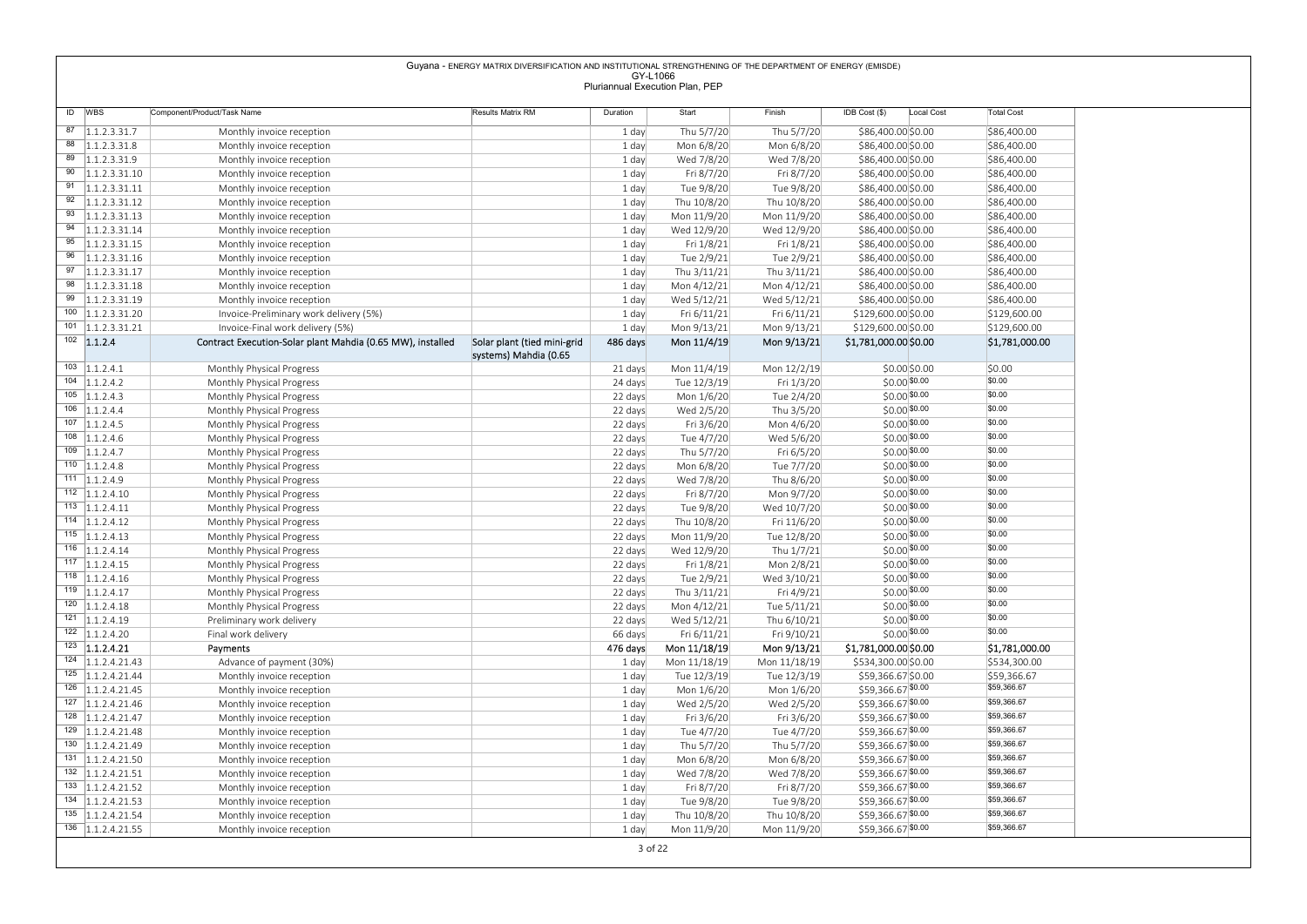|                                                       |                                                            | Guyana - ENERGY MATRIX DIVERSIFICATION AND INSTITUTIONAL STRENGTHENING OF THE DEPARTMENT OF ENERGY (EMISDE) |                    |                                 |                            |                                           |                             |
|-------------------------------------------------------|------------------------------------------------------------|-------------------------------------------------------------------------------------------------------------|--------------------|---------------------------------|----------------------------|-------------------------------------------|-----------------------------|
|                                                       |                                                            |                                                                                                             | GY-L1066           | Pluriannual Execution Plan, PEP |                            |                                           |                             |
| ID WBS                                                | Component/Product/Task Name                                | Results Matrix RM                                                                                           | Duration           | Start                           | Finish                     | IDB Cost (\$)<br>Local Cost               | <b>Total Cost</b>           |
| $\overline{87}$ 1.1.2.3.31.7                          |                                                            |                                                                                                             | 1 day              | Thu 5/7/20                      | Thu 5/7/20                 | \$86,400.00 \$0.00                        | \$86,400.00                 |
| $88$ 1.1.2.3.31.8                                     | Monthly invoice reception<br>Monthly invoice reception     |                                                                                                             | 1 day              | Mon 6/8/20                      | Mon 6/8/20                 | \$86,400.00 \$0.00                        | \$86,400.00                 |
| $\overline{89}$ 1.1.2.3.31.9                          | Monthly invoice reception                                  |                                                                                                             | 1 day              | Wed 7/8/20                      | Wed 7/8/20                 | \$86,400.00 \$0.00                        | \$86,400.00                 |
| $90$   1.1.2.3.31.10                                  | Monthly invoice reception                                  |                                                                                                             | 1 day              | Fri 8/7/20                      | Fri 8/7/20                 | \$86,400.00 \$0.00                        | \$86,400.00                 |
| $\overline{91}$ 1.1.2.3.31.11                         | Monthly invoice reception                                  |                                                                                                             | 1 day              | Tue 9/8/20                      | Tue 9/8/20                 | \$86,400.00 \$0.00                        | \$86,400.00                 |
| $92$   1.1.2.3.31.12<br>$\overline{93}$ 1.1.2.3.31.13 | Monthly invoice reception<br>Monthly invoice reception     |                                                                                                             | 1 day<br>1 day     | Thu 10/8/20<br>Mon 11/9/20      | Thu 10/8/20<br>Mon 11/9/20 | \$86,400.00 \$0.00<br>\$86,400.00 \$0.00  | \$86,400.00<br>\$86,400.00  |
| $94$ 1.1.2.3.31.14                                    | Monthly invoice reception                                  |                                                                                                             | 1 day              | Wed 12/9/20                     | Wed 12/9/20                | \$86,400.00 \$0.00                        | \$86,400.00                 |
| $\overline{95}$ 1.1.2.3.31.15                         | Monthly invoice reception                                  |                                                                                                             | 1 day              | Fri 1/8/21                      | Fri 1/8/21                 | \$86,400.00 \$0.00                        | \$86,400.00                 |
| $96$   1.1.2.3.31.16                                  | Monthly invoice reception                                  |                                                                                                             | 1 day              | Tue 2/9/21                      | Tue 2/9/21                 | \$86,400.00 \$0.00                        | \$86,400.00                 |
| $\overline{97}$ 1.1.2.3.31.17                         | Monthly invoice reception                                  |                                                                                                             | 1 day              | Thu 3/11/21                     | Thu 3/11/21                | \$86,400.00 \$0.00                        | \$86,400.00                 |
| $98$   1.1.2.3.31.18<br>$\overline{99}$ 1.1.2.3.31.19 | Monthly invoice reception<br>Monthly invoice reception     |                                                                                                             | 1 day<br>1 day     | Mon 4/12/21<br>Wed 5/12/21      | Mon 4/12/21<br>Wed 5/12/21 | \$86,400.00 \$0.00<br>\$86,400.00 \$0.00  | \$86,400.00<br>\$86,400.00  |
| $100$   1.1.2.3.31.20                                 | Invoice-Preliminary work delivery (5%)                     |                                                                                                             | 1 day              | Fri 6/11/21                     | Fri 6/11/21                | \$129,600.00 \$0.00                       | \$129,600.00                |
| $\overline{101}$ 1.1.2.3.31.21                        | Invoice-Final work delivery (5%)                           |                                                                                                             | 1 day              | Mon 9/13/21                     | Mon 9/13/21                | \$129,600.00 \$0.00                       | \$129,600.00                |
| $102$ 1.1.2.4                                         | Contract Execution-Solar plant Mahdia (0.65 MW), installed | Solar plant (tied mini-grid<br>systems) Mahdia (0.65                                                        | 486 days           | Mon 11/4/19                     | Mon 9/13/21                | \$1,781,000.00 \$0.00                     | \$1,781,000.00              |
| $103$ 1.1.2.4.1                                       | Monthly Physical Progress                                  |                                                                                                             | 21 days            | Mon 11/4/19                     | Mon 12/2/19                | \$0.00 \$0.00                             | \$0.00                      |
| $104$ 1.1.2.4.2                                       | Monthly Physical Progress                                  |                                                                                                             | 24 days            | Tue 12/3/19                     | Fri 1/3/20                 | $$0.00$ \$0.00                            | \$0.00                      |
| $105$   1.1.2.4.3<br>$106$ 1.1.2.4.4                  | Monthly Physical Progress                                  |                                                                                                             | 22 days            | Mon 1/6/20                      | Tue 2/4/20                 | $$0.00$ \$0.00                            | \$0.00<br>\$0.00            |
| $107$ 1.1.2.4.5                                       | Monthly Physical Progress<br>Monthly Physical Progress     |                                                                                                             | 22 days<br>22 days | Wed 2/5/20<br>Fri 3/6/20        | Thu 3/5/20<br>Mon 4/6/20   | $$0.00$ \$0.00<br>$$0.00$ \$0.00          | \$0.00                      |
| $108$   1.1.2.4.6                                     | Monthly Physical Progress                                  |                                                                                                             | 22 days            | Tue 4/7/20                      | Wed 5/6/20                 | $$0.00$ \$0.00                            | \$0.00                      |
| $109$ 1.1.2.4.7                                       | Monthly Physical Progress                                  |                                                                                                             | 22 days            | Thu 5/7/20                      | Fri 6/5/20                 | $$0.00$ \$0.00                            | \$0.00                      |
| $110$   1.1.2.4.8                                     | Monthly Physical Progress                                  |                                                                                                             | 22 days            | Mon 6/8/20                      | Tue 7/7/20                 | $$0.00$ \$0.00                            | \$0.00                      |
| $111 \quad 1.1.2.4.9$                                 | Monthly Physical Progress                                  |                                                                                                             | 22 days            | Wed 7/8/20                      | Thu 8/6/20                 | $$0.00$ \$0.00                            | \$0.00<br>\$0.00            |
| $112$   1.1.2.4.10<br>$113$   1.1.2.4.11              | Monthly Physical Progress<br>Monthly Physical Progress     |                                                                                                             | 22 days<br>22 days | Fri 8/7/20<br>Tue 9/8/20        | Mon 9/7/20<br>Wed 10/7/20  | $$0.00$ \$0.00<br>$$0.00$ \$0.00          | \$0.00                      |
| $114$   1.1.2.4.12                                    | Monthly Physical Progress                                  |                                                                                                             | 22 days            | Thu 10/8/20                     | Fri 11/6/20                | $$0.00$ \$0.00                            | \$0.00                      |
| $115$  1.1.2.4.13                                     | Monthly Physical Progress                                  |                                                                                                             | 22 days            | Mon 11/9/20                     | Tue 12/8/20                | $$0.00$ \$0.00                            | \$0.00                      |
| $116$   1.1.2.4.14                                    | Monthly Physical Progress                                  |                                                                                                             | 22 days            | Wed 12/9/20                     | Thu 1/7/21                 | $$0.00$ \$0.00                            | \$0.00                      |
| $117$   1.1.2.4.15                                    | Monthly Physical Progress                                  |                                                                                                             | 22 days            | Fri 1/8/21                      | Mon 2/8/21                 | $$0.00$ \$0.00                            | \$0.00<br>\$0.00            |
| $118$   1.1.2.4.16<br>$119$   1.1.2.4.17              | Monthly Physical Progress<br>Monthly Physical Progress     |                                                                                                             | 22 days<br>22 days | Tue 2/9/21<br>Thu 3/11/21       | Wed 3/10/21<br>Fri 4/9/21  | $$0.00$ \$0.00<br>$$0.00$ \$0.00          | \$0.00                      |
| $120$   1.1.2.4.18                                    | Monthly Physical Progress                                  |                                                                                                             | 22 days            | Mon 4/12/21                     | Tue 5/11/21                | $$0.00$ \$0.00                            | \$0.00                      |
| $121$ 1.1.2.4.19                                      | Preliminary work delivery                                  |                                                                                                             | 22 days            | Wed 5/12/21                     | Thu 6/10/21                | $$0.00$ \$0.00                            | \$0.00                      |
| $122$   1.1.2.4.20                                    | Final work delivery                                        |                                                                                                             | 66 days            | Fri 6/11/21                     | Fri 9/10/21                | $$0.00$ \$0.00                            | \$0.00                      |
| $123$ 1.1.2.4.21                                      | Payments                                                   |                                                                                                             | 476 days           | Mon 11/18/19                    | Mon 9/13/21                | \$1,781,000.00 \$0.00                     | \$1,781,000.00              |
| $124$   1.1.2.4.21.43<br>$125$   1.1.2.4.21.44        | Advance of payment (30%)                                   |                                                                                                             | 1 day              | Mon 11/18/19                    | Mon 11/18/19               | \$534,300.00 \$0.00<br>\$59,366.67 \$0.00 | \$534,300.00<br>\$59,366.67 |
| $126$   1.1.2.4.21.45                                 | Monthly invoice reception<br>Monthly invoice reception     |                                                                                                             | 1 day<br>1 day     | Tue 12/3/19<br>Mon 1/6/20       | Tue 12/3/19<br>Mon 1/6/20  | \$59,366.67 \$0.00                        | \$59,366.67                 |
| $127$   1.1.2.4.21.46                                 | Monthly invoice reception                                  |                                                                                                             | 1 day              | Wed 2/5/20                      | Wed 2/5/20                 | \$59,366.67 \$0.00                        | \$59,366.67                 |
| $128$   1.1.2.4.21.47                                 | Monthly invoice reception                                  |                                                                                                             | 1 day              | Fri 3/6/20                      | Fri 3/6/20                 | \$59,366.67 \$0.00                        | \$59,366.67                 |
| $129$   1.1.2.4.21.48                                 | Monthly invoice reception                                  |                                                                                                             | 1 day              | Tue 4/7/20                      | Tue 4/7/20                 | \$59,366.67 \$0.00                        | \$59,366.67                 |
| $130$ 1.1.2.4.21.49                                   | Monthly invoice reception                                  |                                                                                                             | 1 day              | Thu 5/7/20                      | Thu 5/7/20                 | \$59,366.67 \$0.00<br>\$59,366.67 \$0.00  | \$59,366.67<br>\$59,366.67  |
|                                                       | Monthly invoice reception<br>Monthly invoice reception     |                                                                                                             | 1 day<br>1 day     | Mon 6/8/20<br>Wed 7/8/20        | Mon 6/8/20<br>Wed 7/8/20   | \$59,366.67 \$0.00                        | \$59,366.67                 |
| $131$   1.1.2.4.21.50                                 |                                                            |                                                                                                             | 1 day              | Fri 8/7/20                      | Fri 8/7/20                 | \$59,366.67 \$0.00                        | \$59,366.67                 |
| $132$   1.1.2.4.21.51<br>$133$   1.1.2.4.21.52        | Monthly invoice reception                                  |                                                                                                             | 1 day              | Tue 9/8/20                      | Tue 9/8/20                 | \$59,366.67 \$0.00                        | \$59,366.67                 |
| $134$   1.1.2.4.21.53                                 | Monthly invoice reception                                  |                                                                                                             |                    |                                 |                            |                                           |                             |
| $135$   1.1.2.4.21.54<br>$136$ 1.1.2.4.21.55          | Monthly invoice reception<br>Monthly invoice reception     |                                                                                                             | 1 day<br>1 day     | Thu 10/8/20<br>Mon 11/9/20      | Thu 10/8/20<br>Mon 11/9/20 | \$59,366.67 \$0.00<br>\$59,366.67 \$0.00  | \$59,366.67<br>\$59,366.67  |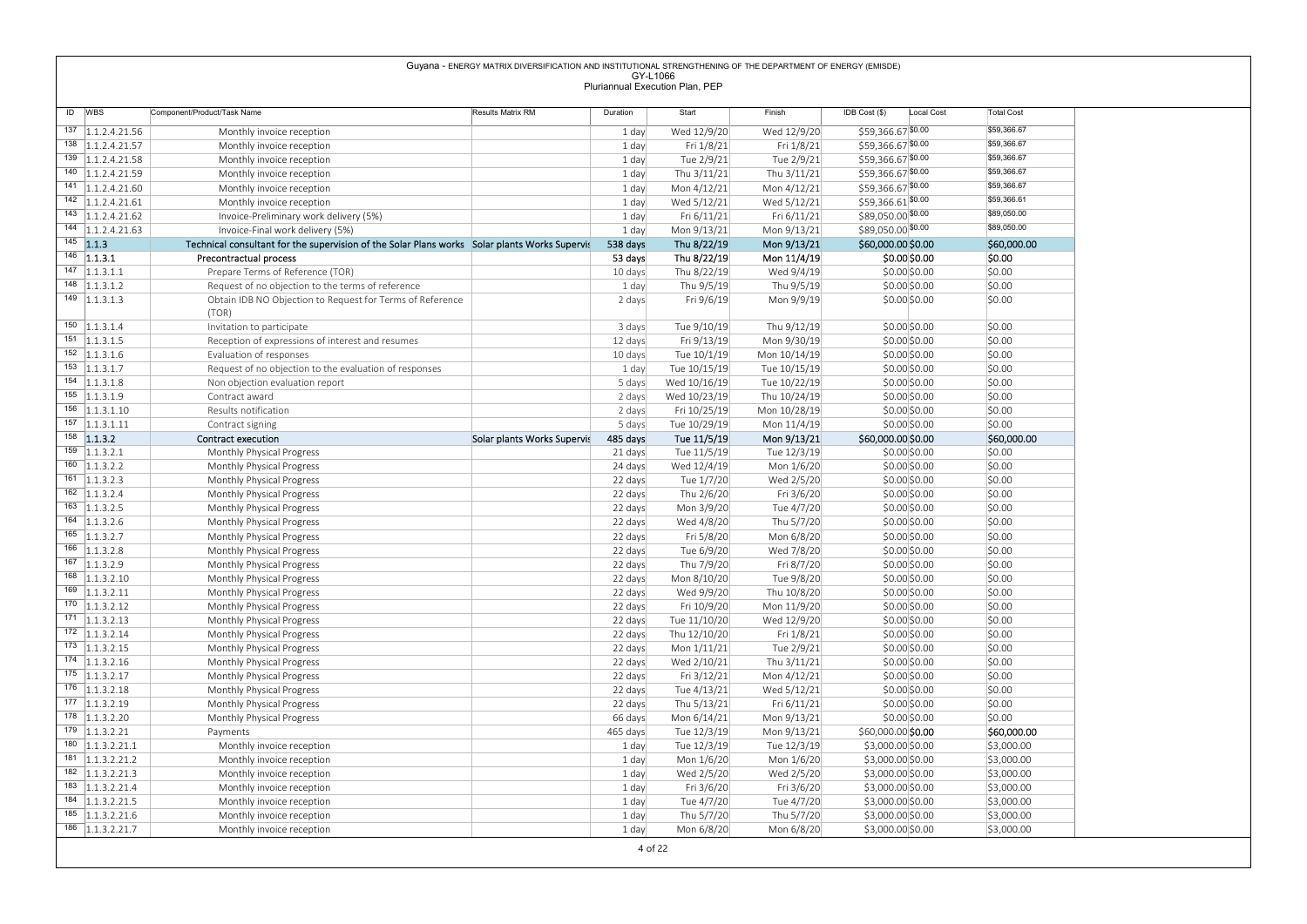|                                                |                                                                                               | Guyana - ENERGY MATRIX DIVERSIFICATION AND INSTITUTIONAL STRENGTHENING OF THE DEPARTMENT OF ENERGY (EMISDE) | GY-L1066           |                                 |                              |                                          |                            |
|------------------------------------------------|-----------------------------------------------------------------------------------------------|-------------------------------------------------------------------------------------------------------------|--------------------|---------------------------------|------------------------------|------------------------------------------|----------------------------|
|                                                |                                                                                               |                                                                                                             |                    | Pluriannual Execution Plan, PEP |                              |                                          |                            |
| ID WBS                                         | Component/Product/Task Name                                                                   | Results Matrix RM                                                                                           | Duration           | Start                           | Finish                       | IDB Cost (\$)<br>Local Cost              | <b>Total Cost</b>          |
| 137 1.1.2.4.21.56<br>138 1.1.2.4.21.57         | Monthly invoice reception                                                                     |                                                                                                             | 1 day              | Wed 12/9/20                     | Wed 12/9/20                  | \$59,366.67 \$0.00                       | \$59,366.67<br>\$59,366.67 |
| 139 1.1.2.4.21.58                              | Monthly invoice reception<br>Monthly invoice reception                                        |                                                                                                             | 1 day<br>1 day     | Fri 1/8/21<br>Tue 2/9/21        | Fri 1/8/21<br>Tue 2/9/21     | \$59,366.67 \$0.00<br>\$59,366.67 \$0.00 | \$59,366.67                |
| 140 1.1.2.4.21.59                              | Monthly invoice reception                                                                     |                                                                                                             | 1 day              | Thu 3/11/21                     | Thu 3/11/21                  | \$59,366.67 \$0.00                       | \$59,366.67                |
| $141$   1.1.2.4.21.60<br>$142$   1.1.2.4.21.61 | Monthly invoice reception                                                                     |                                                                                                             | 1 day              | Mon 4/12/21                     | Mon 4/12/21                  | \$59,366.67 \$0.00<br>\$59,366.61 \$0.00 | \$59,366.67<br>\$59,366.61 |
| $143$ 1.1.2.4.21.62                            | Monthly invoice reception<br>Invoice-Preliminary work delivery (5%)                           |                                                                                                             | 1 day<br>1 day     | Wed 5/12/21<br>Fri 6/11/21      | Wed 5/12/21<br>Fri 6/11/21   | \$89,050.00 \$0.00                       | \$89,050.00                |
| 144 1.1.2.4.21.63                              | Invoice-Final work delivery (5%)                                                              |                                                                                                             | 1 day              | Mon 9/13/21                     | Mon 9/13/21                  | \$89,050.00 \$0.00                       | \$89,050.00                |
| $145$ 1.1.3<br>$146$ 1.1.3.1                   | Technical consultant for the supervision of the Solar Plans works Solar plants Works Supervis |                                                                                                             | 538 days           | Thu 8/22/19                     | Mon 9/13/21                  | \$60,000.00 \$0.00<br>\$0.00 \$0.00      | \$60,000.00<br>\$0.00      |
| $147$  1.1.3.1.1                               | Precontractual process<br>Prepare Terms of Reference (TOR)                                    |                                                                                                             | 53 days<br>10 days | Thu 8/22/19<br>Thu 8/22/19      | Mon 11/4/19<br>Wed 9/4/19    | \$0.00 \$0.00                            | \$0.00                     |
| $148$  1.1.3.1.2                               | Request of no objection to the terms of reference                                             |                                                                                                             | 1 day              | Thu 9/5/19                      | Thu 9/5/19                   | \$0.00\$0.00                             | \$0.00                     |
| $\overline{149}$ 1.1.3.1.3                     | Obtain IDB NO Objection to Request for Terms of Reference<br>(TOR)                            |                                                                                                             | 2 days             | Fri 9/6/19                      | Mon 9/9/19                   | $$0.00$ $$0.00$                          | \$0.00                     |
| $150$   1.1.3.1.4                              | Invitation to participate                                                                     |                                                                                                             | 3 days             | Tue 9/10/19                     | Thu 9/12/19                  | \$0.00\$0.00                             | \$0.00                     |
| $151$   1.1.3.1.5<br>$152$   1.1.3.1.6         | Reception of expressions of interest and resumes                                              |                                                                                                             | 12 days            | Fri 9/13/19                     | Mon 9/30/19                  | \$0.00\$0.00                             | \$0.00                     |
| $153$  1.1.3.1.7                               | Evaluation of responses<br>Request of no objection to the evaluation of responses             |                                                                                                             | 10 days<br>1 day   | Tue 10/1/19<br>Tue 10/15/19     | Mon 10/14/19<br>Tue 10/15/19 | \$0.00\$0.00<br>\$0.00\$0.00             | \$0.00<br>\$0.00           |
| $154$   1.1.3.1.8                              | Non objection evaluation report                                                               |                                                                                                             | 5 days             | Wed 10/16/19                    | Tue 10/22/19                 | \$0.00\$0.00                             | \$0.00                     |
| $155$   1.1.3.1.9<br>$156$ 1.1.3.1.10          | Contract award                                                                                |                                                                                                             | 2 days<br>2 days   | Wed 10/23/19                    | Thu 10/24/19                 | \$0.00 \$0.00                            | \$0.00<br>\$0.00           |
| $157$ 1.1.3.1.11                               | Results notification<br>Contract signing                                                      |                                                                                                             | 5 days             | Fri 10/25/19<br>Tue 10/29/19    | Mon 10/28/19<br>Mon 11/4/19  | \$0.00\$0.00<br>\$0.00\$0.00             | \$0.00                     |
| 1.13.2                                         | Contract execution                                                                            | Solar plants Works Supervis                                                                                 | 485 days           | Tue 11/5/19                     | Mon 9/13/21                  | \$60,000.00 \$0.00                       | \$60,000.00                |
| $159$ 1.1.3.2.1<br>$160$ 1.1.3.2.2             | Monthly Physical Progress<br>Monthly Physical Progress                                        |                                                                                                             | 21 days<br>24 days | Tue 11/5/19<br>Wed 12/4/19      | Tue 12/3/19<br>Mon 1/6/20    | \$0.00\$0.00<br>\$0.00 \$0.00            | \$0.00<br>\$0.00           |
| $161$ 1.1.3.2.3                                | Monthly Physical Progress                                                                     |                                                                                                             | 22 days            | Tue 1/7/20                      | Wed 2/5/20                   | \$0.00\$0.00                             | \$0.00                     |
| $162$ 1.1.3.2.4                                | Monthly Physical Progress                                                                     |                                                                                                             | 22 days            | Thu 2/6/20                      | Fri 3/6/20                   | \$0.00\$0.00                             | \$0.00                     |
| $163$   1.1.3.2.5<br>$164$   1.1.3.2.6         | Monthly Physical Progress<br>Monthly Physical Progress                                        |                                                                                                             | 22 days<br>22 days | Mon 3/9/20<br>Wed 4/8/20        | Tue 4/7/20<br>Thu 5/7/20     | \$0.00\$0.00<br>\$0.00\$0.00             | \$0.00<br>\$0.00           |
| $165$   1.1.3.2.7                              | Monthly Physical Progress                                                                     |                                                                                                             | 22 days            | Fri 5/8/20                      | Mon 6/8/20                   | \$0.00\$0.00                             | \$0.00                     |
| $166$ 1.1.3.2.8                                | Monthly Physical Progress                                                                     |                                                                                                             | 22 days            | Tue 6/9/20                      | Wed 7/8/20                   | \$0.00\$0.00                             | \$0.00                     |
| $167$ 1.1.3.2.9<br>$168$ 1.1.3.2.10            | Monthly Physical Progress<br>Monthly Physical Progress                                        |                                                                                                             | 22 days<br>22 days | Thu 7/9/20<br>Mon 8/10/20       | Fri 8/7/20<br>Tue 9/8/20     | \$0.00\$0.00<br>\$0.00\$0.00             | \$0.00<br>\$0.00           |
| $169$   1.1.3.2.11                             | Monthly Physical Progress                                                                     |                                                                                                             | 22 days            | Wed 9/9/20                      | Thu 10/8/20                  | \$0.00\$0.00                             | \$0.00                     |
| $170$   1.1.3.2.12                             | Monthly Physical Progress                                                                     |                                                                                                             | 22 days            | Fri 10/9/20                     | Mon 11/9/20                  | \$0.00\$0.00                             | \$0.00                     |
|                                                | Monthly Physical Progress                                                                     |                                                                                                             | 22 days<br>22 days | Tue 11/10/20<br>Thu 12/10/20    | Wed 12/9/20<br>Fri 1/8/21    | \$0.00\$0.00<br>\$0.00\$0.00             | \$0.00<br>\$0.00           |
| $171$ 1.1.3.2.13                               |                                                                                               |                                                                                                             | 22 days            | Mon 1/11/21                     | Tue 2/9/21                   | \$0.00\$0.00                             | \$0.00                     |
| $172$   1.1.3.2.14<br>$173$   1.1.3.2.15       | Monthly Physical Progress<br>Monthly Physical Progress                                        |                                                                                                             |                    |                                 |                              |                                          |                            |
| $174$   1.1.3.2.16                             | Monthly Physical Progress                                                                     |                                                                                                             | 22 days            | Wed 2/10/21                     | Thu 3/11/21                  | \$0.00\$0.00                             | \$0.00                     |
| $175$ 1.1.3.2.17<br>$176$   1.1.3.2.18         | Monthly Physical Progress                                                                     |                                                                                                             | 22 days            | Fri 3/12/21                     | Mon 4/12/21                  | \$0.00\$0.00                             | \$0.00<br>\$0.00           |
| $177$   1.1.3.2.19                             | Monthly Physical Progress<br>Monthly Physical Progress                                        |                                                                                                             | 22 days<br>22 days | Tue 4/13/21<br>Thu 5/13/21      | Wed 5/12/21<br>Fri 6/11/21   | \$0.00\$0.00<br>\$0.00\$0.00             | \$0.00                     |
| $178$   1.1.3.2.20                             | Monthly Physical Progress                                                                     |                                                                                                             | 66 days            | Mon 6/14/21                     | Mon 9/13/21                  | \$0.00\$0.00                             | \$0.00                     |
| $179$ 1.1.3.2.21                               | Payments                                                                                      |                                                                                                             | 465 days           | Tue 12/3/19                     | Mon 9/13/21                  | \$60,000.00 \$0.00                       | \$60,000.00                |
| $180$   1.1.3.2.21.1<br>$181$ 1.1.3.2.21.2     | Monthly invoice reception<br>Monthly invoice reception                                        |                                                                                                             | 1 day<br>1 day     | Tue 12/3/19<br>Mon 1/6/20       | Tue 12/3/19<br>Mon 1/6/20    | \$3,000.00 \$0.00<br>\$3,000.00 \$0.00   | \$3,000.00<br>\$3,000.00   |
| $182$   1.1.3.2.21.3                           | Monthly invoice reception                                                                     |                                                                                                             | 1 day              | Wed 2/5/20                      | Wed 2/5/20                   | \$3,000.00 \$0.00                        | \$3,000.00                 |
| $183$   1.1.3.2.21.4<br>184 1.1.3.2.21.5       | Monthly invoice reception                                                                     |                                                                                                             | 1 day<br>1 day     | Fri 3/6/20<br>Tue 4/7/20        | Fri 3/6/20<br>Tue 4/7/20     | \$3,000.00 \$0.00<br>\$3,000.00 \$0.00   | \$3,000.00<br>\$3,000.00   |
| $185$   1.1.3.2.21.6<br>$186$ 1.1.3.2.21.7     | Monthly invoice reception<br>Monthly invoice reception<br>Monthly invoice reception           |                                                                                                             | 1 day<br>1 day     | Thu 5/7/20<br>Mon 6/8/20        | Thu 5/7/20<br>Mon 6/8/20     | \$3,000.00 \$0.00<br>\$3,000.00 \$0.00   | \$3,000.00<br>\$3,000.00   |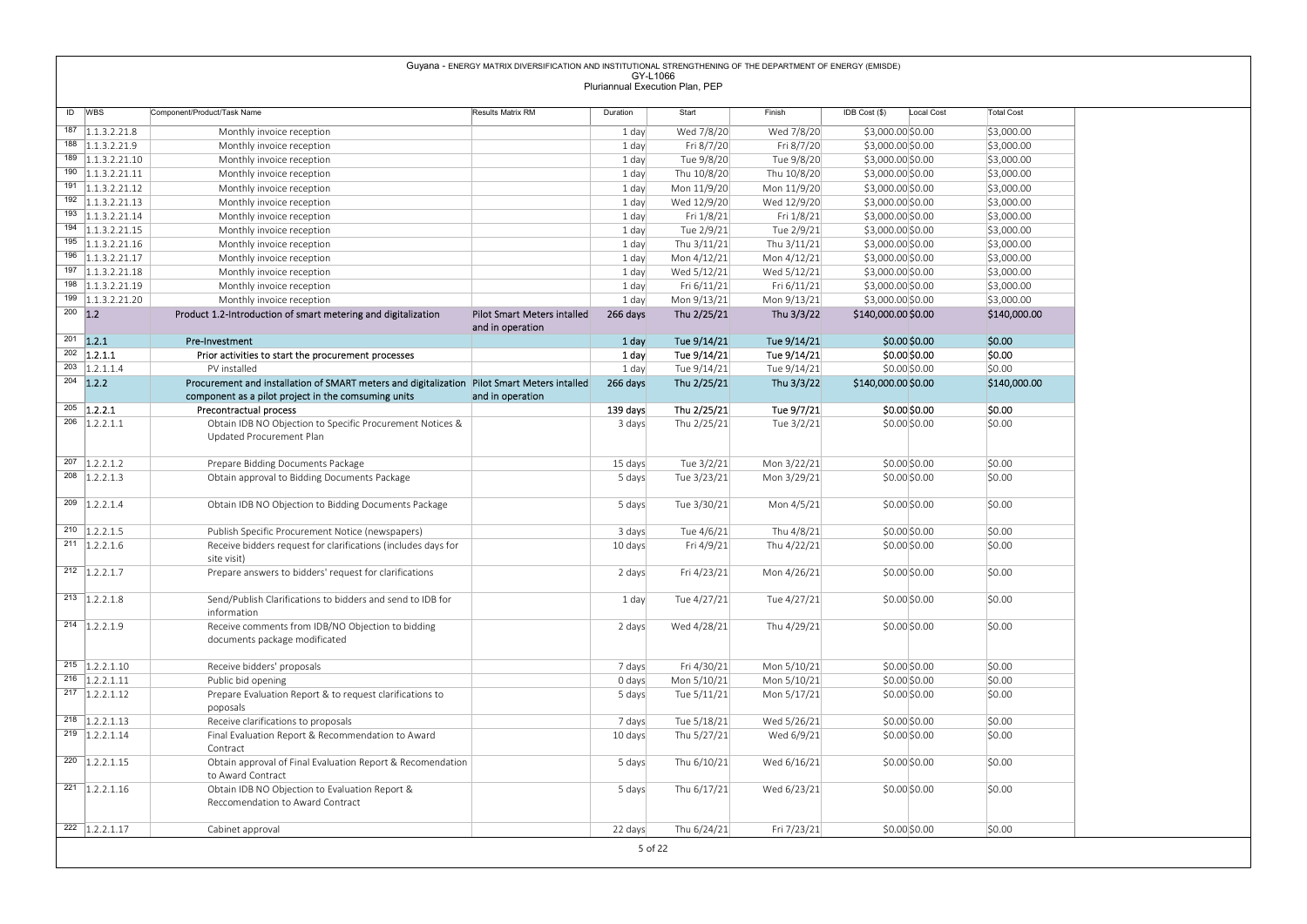|           |                                            |                                                                                                             | Guyana - ENERGY MATRIX DIVERSIFICATION AND INSTITUTIONAL STRENGTHENING OF THE DEPARTMENT OF ENERGY (EMISDE) |                  |                                 |                            |                                        |                          |
|-----------|--------------------------------------------|-------------------------------------------------------------------------------------------------------------|-------------------------------------------------------------------------------------------------------------|------------------|---------------------------------|----------------------------|----------------------------------------|--------------------------|
|           |                                            |                                                                                                             |                                                                                                             | GY-L1066         | Pluriannual Execution Plan, PEP |                            |                                        |                          |
|           | ID WBS                                     | Component/Product/Task Name                                                                                 | Results Matrix RM                                                                                           | Duration         | Start                           | Finish                     | IDB Cost (\$)<br>Local Cost            | <b>Total Cost</b>        |
|           | $187$   1.1.3.2.21.8                       | Monthly invoice reception                                                                                   |                                                                                                             | 1 day            | Wed 7/8/20                      | Wed 7/8/20                 | \$3,000.00 \$0.00                      | \$3,000.00               |
|           | 188 1.1.3.2.21.9                           | Monthly invoice reception                                                                                   |                                                                                                             | 1 day            | Fri 8/7/20                      | Fri 8/7/20                 | \$3,000.00 \$0.00                      | \$3,000.00               |
|           | $189$   1.1.3.2.21.10                      | Monthly invoice reception                                                                                   |                                                                                                             | 1 day            | Tue 9/8/20                      | Tue 9/8/20                 | \$3,000.00 \$0.00                      | \$3,000.00               |
|           | $\overline{190}$ 1.1.3.2.21.11             | Monthly invoice reception                                                                                   |                                                                                                             | 1 day            | Thu 10/8/20                     | Thu 10/8/20                | \$3,000.00 \$0.00                      | \$3,000.00               |
|           | $\overline{191}$ 1.1.3.2.21.12             | Monthly invoice reception                                                                                   |                                                                                                             | 1 day            | Mon 11/9/20                     | Mon 11/9/20                | \$3,000.00 \$0.00                      | \$3,000.00               |
|           | $192$ 1.1.3.2.21.13                        | Monthly invoice reception                                                                                   |                                                                                                             | 1 day            | Wed 12/9/20                     | Wed 12/9/20                | \$3,000.00 \$0.00                      | \$3,000.00               |
|           | $\overline{193}$ 1.1.3.2.21.14             | Monthly invoice reception                                                                                   |                                                                                                             | 1 day            | Fri 1/8/21                      | Fri 1/8/21                 | \$3,000.00 \$0.00                      | \$3,000.00               |
|           | $194$ 1.1.3.2.21.15<br>$195$ 1.1.3.2.21.16 | Monthly invoice reception                                                                                   |                                                                                                             | 1 day<br>1 day   | Tue 2/9/21                      | Tue 2/9/21                 | \$3,000.00 \$0.00                      | \$3,000.00               |
|           | $196$   1.1.3.2.21.17                      | Monthly invoice reception<br>Monthly invoice reception                                                      |                                                                                                             | 1 day            | Thu 3/11/21<br>Mon 4/12/21      | Thu 3/11/21<br>Mon 4/12/21 | \$3,000.00 \$0.00<br>\$3,000.00 \$0.00 | \$3,000.00<br>\$3,000.00 |
|           | $\overline{197}$ 1.1.3.2.21.18             | Monthly invoice reception                                                                                   |                                                                                                             | 1 day            | Wed 5/12/21                     | Wed 5/12/21                | \$3,000.00 \$0.00                      | \$3,000.00               |
|           | $198$   1.1.3.2.21.19                      | Monthly invoice reception                                                                                   |                                                                                                             | 1 day            | Fri 6/11/21                     | Fri 6/11/21                | \$3,000.00 \$0.00                      | \$3,000.00               |
|           | $\overline{199}$ 1.1.3.2.21.20             | Monthly invoice reception                                                                                   |                                                                                                             | 1 day            | Mon 9/13/21                     | Mon 9/13/21                | \$3,000.00 \$0.00                      | \$3,000.00               |
| $200$ 1.2 |                                            | Product 1.2-Introduction of smart metering and digitalization                                               | <b>Pilot Smart Meters intalled</b><br>and in operation                                                      | 266 days         | Thu 2/25/21                     | Thu 3/3/22                 | \$140,000.00 \$0.00                    | \$140,000.00             |
|           | $201$ 1.2.1                                | Pre-Investment                                                                                              |                                                                                                             | 1 day            | Tue 9/14/21                     | Tue 9/14/21                | \$0.00\$0.00                           | \$0.00                   |
|           | $202$ 1.2.1.1                              | Prior activities to start the procurement processes                                                         |                                                                                                             | 1 day            | Tue 9/14/21                     | Tue 9/14/21                | \$0.00 \$0.00                          | \$0.00                   |
|           | $203$   1.2.1.1.4<br>$204$ 1.2.2           | PV installed<br>Procurement and installation of SMART meters and digitalization Pilot Smart Meters intalled |                                                                                                             | 1 day            | Tue 9/14/21                     | Tue 9/14/21                | \$0.00 \$0.00                          | \$0.00<br>\$140,000.00   |
|           |                                            | component as a pilot project in the comsuming units                                                         | and in operation                                                                                            | 266 days         | Thu 2/25/21                     | Thu 3/3/22                 | \$140,000.00 \$0.00                    |                          |
|           | $\overline{205}$ 1.2.2.1                   | Precontractual process                                                                                      |                                                                                                             | 139 days         | Thu 2/25/21                     | Tue 9/7/21                 | \$0.00\$0.00                           | \$0.00                   |
|           | $206$ 1.2.2.1.1                            | Obtain IDB NO Objection to Specific Procurement Notices &<br>Updated Procurement Plan                       |                                                                                                             | 3 days           | Thu 2/25/21                     | Tue 3/2/21                 | \$0.00 \$0.00                          |                          |
|           |                                            |                                                                                                             |                                                                                                             |                  |                                 |                            |                                        | \$0.00                   |
|           |                                            |                                                                                                             |                                                                                                             |                  |                                 |                            |                                        |                          |
|           | $\overline{207}$ 1.2.2.1.2                 | Prepare Bidding Documents Package                                                                           |                                                                                                             | 15 days          | Tue 3/2/21                      | Mon 3/22/21                | \$0.00 \$0.00                          | \$0.00                   |
|           | $\overline{208}$ 1.2.2.1.3                 | Obtain approval to Bidding Documents Package                                                                |                                                                                                             | 5 days           | Tue 3/23/21                     | Mon 3/29/21                | \$0.00 \$0.00                          | \$0.00                   |
|           | $209$ 1.2.2.1.4                            | Obtain IDB NO Objection to Bidding Documents Package                                                        |                                                                                                             | 5 days           | Tue 3/30/21                     | Mon 4/5/21                 | \$0.00\$0.00                           | \$0.00                   |
|           | $\overline{210}$ 1.2.2.1.5                 | Publish Specific Procurement Notice (newspapers)                                                            |                                                                                                             | 3 days           | Tue 4/6/21                      | Thu 4/8/21                 | \$0.00 \$0.00                          | \$0.00                   |
|           | $211$ 1.2.2.1.6                            | Receive bidders request for clarifications (includes days for                                               |                                                                                                             | 10 days          | Fri 4/9/21                      | Thu 4/22/21                | \$0.00 \$0.00                          | \$0.00                   |
|           |                                            | site visit)                                                                                                 |                                                                                                             |                  |                                 |                            |                                        |                          |
|           | $212$   1.2.2.1.7                          | Prepare answers to bidders' request for clarifications                                                      |                                                                                                             | 2 days           | Fri 4/23/21                     | Mon 4/26/21                | \$0.00 \$0.00                          | \$0.00                   |
|           | $213$ 1.2.2.1.8                            | Send/Publish Clarifications to bidders and send to IDB for                                                  |                                                                                                             | 1 day            | Tue 4/27/21                     | Tue 4/27/21                | \$0.00 \$0.00                          | \$0.00                   |
|           |                                            | information                                                                                                 |                                                                                                             |                  |                                 |                            |                                        |                          |
|           | $\overline{214}$ 1.2.2.1.9                 | Receive comments from IDB/NO Objection to bidding<br>documents package modificated                          |                                                                                                             | 2 days           | Wed 4/28/21                     | Thu 4/29/21                | \$0.00 \$0.00                          | \$0.00                   |
|           |                                            |                                                                                                             |                                                                                                             |                  |                                 |                            |                                        |                          |
|           | $215$ 1.2.2.1.10<br>$216$   1.2.2.1.11     | Receive bidders' proposals<br>Public bid opening                                                            |                                                                                                             | 7 days<br>0 days | Fri 4/30/21<br>Mon 5/10/21      | Mon 5/10/21<br>Mon 5/10/21 | \$0.00\$0.00<br>\$0.00 \$0.00          | \$0.00<br>\$0.00         |
|           | $217$ 1.2.2.1.12                           | Prepare Evaluation Report & to request clarifications to                                                    |                                                                                                             | 5 days           | Tue 5/11/21                     | Mon 5/17/21                | \$0.00 \$0.00                          | \$0.00                   |
|           |                                            | poposals                                                                                                    |                                                                                                             |                  |                                 |                            |                                        |                          |
|           | $218$ 1.2.2.1.13                           | Receive clarifications to proposals                                                                         |                                                                                                             | 7 days           | Tue 5/18/21                     | Wed 5/26/21                | \$0.00 \$0.00                          | \$0.00                   |
|           | $219$ 1.2.2.1.14                           | Final Evaluation Report & Recommendation to Award                                                           |                                                                                                             | 10 days          | Thu 5/27/21                     | Wed 6/9/21                 | \$0.00\$0.00                           | \$0.00                   |
|           |                                            | Contract<br>Obtain approval of Final Evaluation Report & Recomendation                                      |                                                                                                             |                  | Thu 6/10/21                     | Wed 6/16/21                | \$0.00 \$0.00                          |                          |
|           | $220$ 1.2.2.1.15                           | to Award Contract                                                                                           |                                                                                                             | 5 days           |                                 |                            |                                        | \$0.00                   |
|           | $221$   1.2.2.1.16                         | Obtain IDB NO Objection to Evaluation Report &                                                              |                                                                                                             | 5 days           | Thu 6/17/21                     | Wed 6/23/21                | \$0.00 \$0.00                          | \$0.00                   |
|           |                                            | Reccomendation to Award Contract                                                                            |                                                                                                             |                  |                                 |                            |                                        |                          |
|           | $222$ 1.2.2.1.17                           | Cabinet approval                                                                                            |                                                                                                             | 22 days          | Thu 6/24/21                     | Fri 7/23/21                | \$0.00 \$0.00                          | \$0.00                   |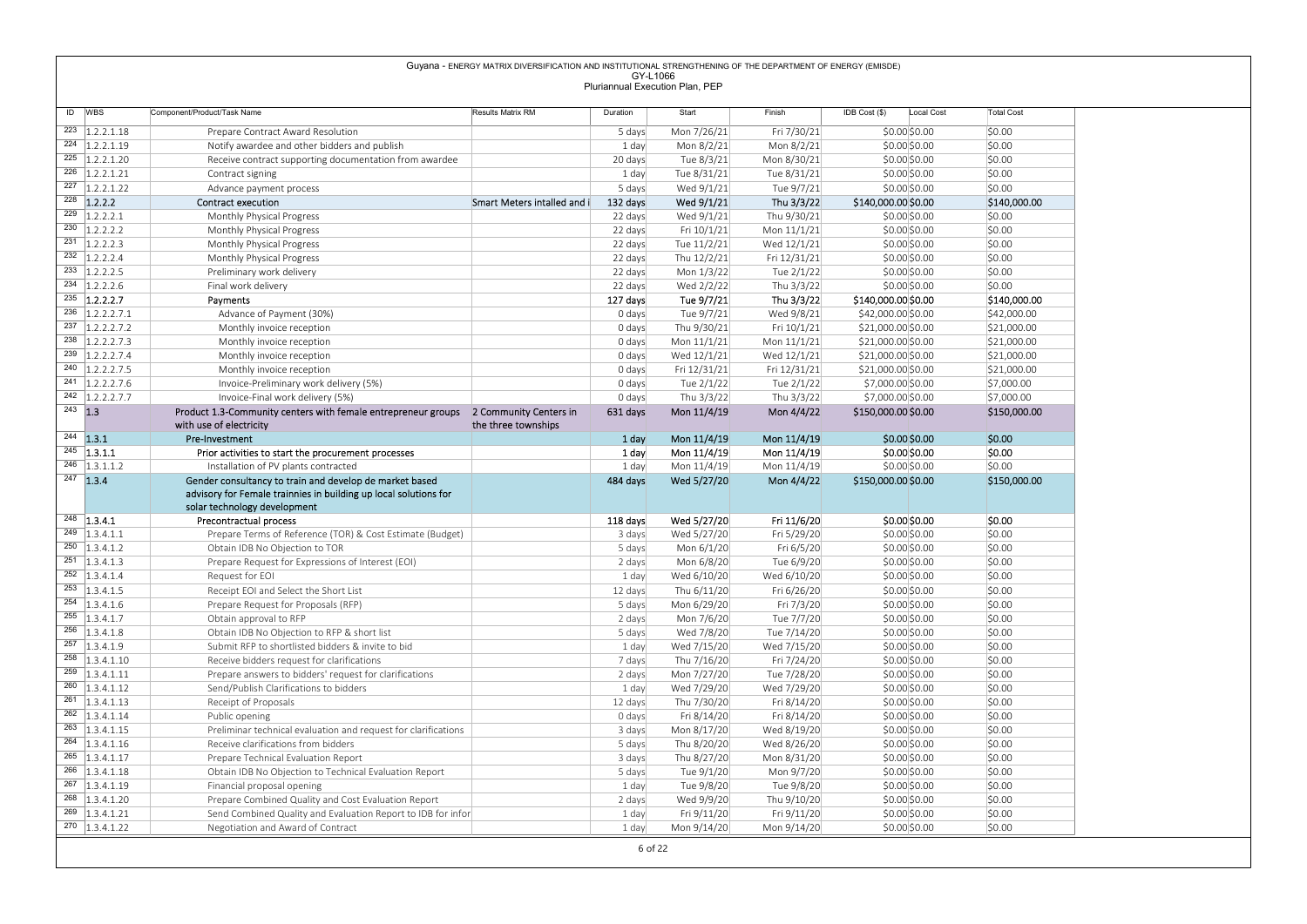|                                                                                                                                                                               |                                                                                                                                                             | Guyana - ENERGY MATRIX DIVERSIFICATION AND INSTITUTIONAL STRENGTHENING OF THE DEPARTMENT OF ENERGY (EMISDE) |                    |                                 |                            |                                          |                            |
|-------------------------------------------------------------------------------------------------------------------------------------------------------------------------------|-------------------------------------------------------------------------------------------------------------------------------------------------------------|-------------------------------------------------------------------------------------------------------------|--------------------|---------------------------------|----------------------------|------------------------------------------|----------------------------|
|                                                                                                                                                                               |                                                                                                                                                             |                                                                                                             | GY-L1066           | Pluriannual Execution Plan, PEP |                            |                                          |                            |
|                                                                                                                                                                               |                                                                                                                                                             |                                                                                                             |                    |                                 |                            |                                          |                            |
| ID WBS                                                                                                                                                                        | Component/Product/Task Name                                                                                                                                 | Results Matrix RM                                                                                           | Duration           | Start                           | Finish                     | $IDB Cost ($)$<br>Local Cost             | <b>Total Cost</b>          |
| $\overline{223}$ 1.2.2.1.18<br>$224$ 1.2.2.1.19                                                                                                                               | Prepare Contract Award Resolution                                                                                                                           |                                                                                                             | 5 days             | Mon 7/26/21                     | Fri 7/30/21                | \$0.00 \$0.00                            | \$0.00                     |
| $225$ 1.2.2.1.20                                                                                                                                                              | Notify awardee and other bidders and publish<br>Receive contract supporting documentation from awardee                                                      |                                                                                                             | 1 day<br>20 days   | Mon 8/2/21<br>Tue 8/3/21        | Mon 8/2/21<br>Mon 8/30/21  | \$0.00\$0.00<br>\$0.00\$0.00             | \$0.00<br>\$0.00           |
| $226$ 1.2.2.1.21                                                                                                                                                              | Contract signing                                                                                                                                            |                                                                                                             | 1 day              | Tue 8/31/21                     | Tue 8/31/21                | \$0.00 \$0.00                            | \$0.00                     |
| $\overline{227}$ 1.2.2.1.22                                                                                                                                                   | Advance payment process                                                                                                                                     |                                                                                                             | 5 days             | Wed 9/1/21                      | Tue 9/7/21                 | \$0.00\$0.00                             | \$0.00                     |
| $228$ 1.2.2.2                                                                                                                                                                 | Contract execution                                                                                                                                          | Smart Meters intalled and i                                                                                 | 132 days           | Wed 9/1/21                      | Thu 3/3/22                 | \$140,000.00 \$0.00                      | \$140,000.00               |
| $\overline{229}$ 1.2.2.2.1                                                                                                                                                    | Monthly Physical Progress                                                                                                                                   |                                                                                                             | 22 days            | Wed 9/1/21                      | Thu 9/30/21                | \$0.00\$0.00                             | \$0.00                     |
| $230$   1.2.2.2.2<br>$231$ 1.2.2.2.3                                                                                                                                          | Monthly Physical Progress<br>Monthly Physical Progress                                                                                                      |                                                                                                             | 22 days<br>22 days | Fri 10/1/21<br>Tue 11/2/21      | Mon 11/1/21<br>Wed 12/1/21 | \$0.00\$0.00<br>\$0.00 \$0.00            | \$0.00<br>\$0.00           |
| $232$ 1.2.2.2.4                                                                                                                                                               | Monthly Physical Progress                                                                                                                                   |                                                                                                             | 22 days            | Thu 12/2/21                     | Fri 12/31/21               | \$0.00 \$0.00                            | \$0.00                     |
| $233$ 1.2.2.2.5                                                                                                                                                               | Preliminary work delivery                                                                                                                                   |                                                                                                             | 22 days            | Mon 1/3/22                      | Tue 2/1/22                 | \$0.00 \$0.00                            | \$0.00                     |
| $234$ 1.2.2.2.6                                                                                                                                                               | Final work delivery                                                                                                                                         |                                                                                                             | 22 days            | Wed 2/2/22                      | Thu 3/3/22                 | \$0.00\$0.00                             | \$0.00                     |
| $235$ 1.2.2.2.7                                                                                                                                                               | Payments                                                                                                                                                    |                                                                                                             | 127 days           | Tue 9/7/21                      | Thu 3/3/22                 | \$140,000.00 \$0.00                      | \$140,000.00               |
| $236$   1.2.2.2.7.1<br>$237$ 1.2.2.2.7.2                                                                                                                                      | Advance of Payment (30%)<br>Monthly invoice reception                                                                                                       |                                                                                                             | 0 days             | Tue 9/7/21<br>Thu 9/30/21       | Wed 9/8/21<br>Fri 10/1/21  | \$42,000.00 \$0.00<br>\$21,000.00 \$0.00 | \$42,000.00<br>\$21,000.00 |
| $238$ 1.2.2.2.7.3                                                                                                                                                             | Monthly invoice reception                                                                                                                                   |                                                                                                             | 0 days<br>0 days   | Mon 11/1/21                     | Mon $11/1/21$              | \$21,000.00 \$0.00                       | \$21,000.00                |
| $239$ 1.2.2.2.7.4                                                                                                                                                             | Monthly invoice reception                                                                                                                                   |                                                                                                             | 0 days             | Wed 12/1/21                     | Wed 12/1/21                | \$21,000.00 \$0.00                       | \$21,000.00                |
| $240$   1.2.2.2.7.5                                                                                                                                                           | Monthly invoice reception                                                                                                                                   |                                                                                                             | 0 days             | Fri 12/31/21                    | Fri 12/31/21               | \$21,000.00 \$0.00                       | \$21,000.00                |
| $241$ 1.2.2.2.7.6                                                                                                                                                             | Invoice-Preliminary work delivery (5%)                                                                                                                      |                                                                                                             | 0 days             | Tue 2/1/22                      | Tue 2/1/22                 | \$7,000.00 \$0.00                        | \$7,000.00                 |
| $242$ 1.2.2.2.7.7<br>$243$ 1.3                                                                                                                                                | Invoice-Final work delivery (5%)<br>Product 1.3-Community centers with female entrepreneur groups 2 Community Centers in                                    |                                                                                                             | 0 days<br>631 days | Thu 3/3/22<br>Mon 11/4/19       | Thu 3/3/22<br>Mon 4/4/22   | \$7,000.00 \$0.00<br>\$150,000.00 \$0.00 | \$7,000.00<br>\$150,000.00 |
|                                                                                                                                                                               | with use of electricity                                                                                                                                     | the three townships                                                                                         |                    |                                 |                            |                                          |                            |
| $244$ 1.3.1                                                                                                                                                                   | Pre-Investment                                                                                                                                              |                                                                                                             | 1 day              | Mon 11/4/19                     | Mon 11/4/19                | $$0.00$$ \$0.00                          | \$0.00                     |
| $245$ 1.3.1.1                                                                                                                                                                 | Prior activities to start the procurement processes                                                                                                         |                                                                                                             | 1 day              | Mon 11/4/19                     | Mon 11/4/19                | \$0.00 \$0.00                            | \$0.00                     |
| $246$ 1.3.1.1.2                                                                                                                                                               | Installation of PV plants contracted                                                                                                                        |                                                                                                             | 1 day              | Mon 11/4/19                     | Mon 11/4/19                | \$0.00 \$0.00                            | \$0.00                     |
| $247$ 1.3.4                                                                                                                                                                   | Gender consultancy to train and develop de market based<br>advisory for Female trainnies in building up local solutions for<br>solar technology development |                                                                                                             | 484 days           | Wed 5/27/20                     | Mon 4/4/22                 | \$150,000.00 \$0.00                      | \$150,000.00               |
| $248$ 1.3.4.1                                                                                                                                                                 | Precontractual process                                                                                                                                      |                                                                                                             | 118 days           | Wed 5/27/20                     | Fri 11/6/20                | \$0.00 \$0.00                            | \$0.00                     |
| $249$   1.3.4.1.1                                                                                                                                                             | Prepare Terms of Reference (TOR) & Cost Estimate (Budget)                                                                                                   |                                                                                                             | 3 days             | Wed 5/27/20                     | Fri 5/29/20                | \$0.00 \$0.00                            | \$0.00                     |
| $250$   1.3.4.1.2<br>$251$   1.3.4.1.3                                                                                                                                        | Obtain IDB No Objection to TOR<br>Prepare Request for Expressions of Interest (EOI)                                                                         |                                                                                                             | 5 days<br>2 days   | Mon 6/1/20<br>Mon 6/8/20        | Fri 6/5/20<br>Tue 6/9/20   | \$0.00 \$0.00<br>\$0.00 \$0.00           | \$0.00<br>\$0.00           |
| $252$   1.3.4.1.4                                                                                                                                                             | Request for EOI                                                                                                                                             |                                                                                                             | 1 day              | Wed 6/10/20                     | Wed 6/10/20                | \$0.00 \$0.00                            | \$0.00                     |
| $253$ 1.3.4.1.5                                                                                                                                                               | Receipt EOI and Select the Short List                                                                                                                       |                                                                                                             | 12 days            | Thu 6/11/20                     | Fri 6/26/20                | \$0.00 \$0.00                            | \$0.00                     |
| $254$ 1.3.4.1.6                                                                                                                                                               | Prepare Request for Proposals (RFP)                                                                                                                         |                                                                                                             | 5 days             | Mon 6/29/20                     | Fri 7/3/20                 | \$0.00 \$0.00                            | \$0.00                     |
| $255$ 1.3.4.1.7                                                                                                                                                               | Obtain approval to RFP                                                                                                                                      |                                                                                                             | 2 days             | Mon 7/6/20                      | Tue 7/7/20                 | \$0.00 \$0.00                            | \$0.00                     |
| $256$ 1.3.4.1.8                                                                                                                                                               | Obtain IDB No Objection to RFP & short list                                                                                                                 |                                                                                                             | 5 days             | Wed 7/8/20                      | Tue 7/14/20                | \$0.00 \$0.00                            | \$0.00                     |
| $257$ 1.3.4.1.9<br>$258$   1.3.4.1.10                                                                                                                                         | Submit RFP to shortlisted bidders & invite to bid<br>Receive bidders request for clarifications                                                             |                                                                                                             | 1 day<br>7 days    | Wed 7/15/20<br>Thu 7/16/20      | Wed 7/15/20<br>Fri 7/24/20 | \$0.00 \$0.00<br>\$0.00 \$0.00           | \$0.00<br>\$0.00           |
| $259$  1.3.4.1.11                                                                                                                                                             | Prepare answers to bidders' request for clarifications                                                                                                      |                                                                                                             | 2 days             | Mon 7/27/20                     | Tue 7/28/20                | \$0.00 \$0.00                            | \$0.00                     |
| $260$ 1.3.4.1.12                                                                                                                                                              | Send/Publish Clarifications to bidders                                                                                                                      |                                                                                                             | 1 day              | Wed 7/29/20                     | Wed 7/29/20                | \$0.00 \$0.00                            | \$0.00                     |
| $261$   1.3.4.1.13                                                                                                                                                            | Receipt of Proposals                                                                                                                                        |                                                                                                             | 12 days            | Thu 7/30/20                     | Fri 8/14/20                | \$0.00 \$0.00                            | \$0.00                     |
| $262$ 1.3.4.1.14                                                                                                                                                              | Public opening                                                                                                                                              |                                                                                                             | 0 days             | Fri 8/14/20                     | Fri 8/14/20                | \$0.00 \$0.00                            | \$0.00                     |
|                                                                                                                                                                               | Preliminar technical evaluation and request for clarifications                                                                                              |                                                                                                             | 3 days             | Mon 8/17/20                     | Wed 8/19/20                | \$0.00 \$0.00                            | \$0.00                     |
|                                                                                                                                                                               | Receive clarifications from bidders<br>Prepare Technical Evaluation Report                                                                                  |                                                                                                             | 5 days<br>3 days   | Thu 8/20/20<br>Thu 8/27/20      | Wed 8/26/20<br>Mon 8/31/20 | \$0.00 \$0.00<br>\$0.00 \$0.00           | \$0.00<br>\$0.00           |
|                                                                                                                                                                               |                                                                                                                                                             |                                                                                                             | 5 days             |                                 |                            |                                          | \$0.00                     |
|                                                                                                                                                                               | Obtain IDB No Objection to Technical Evaluation Report                                                                                                      |                                                                                                             |                    | Tue 9/1/20                      | Mon 9/7/20                 | \$0.00 \$0.00                            |                            |
|                                                                                                                                                                               | Financial proposal opening                                                                                                                                  |                                                                                                             | 1 day              | Tue 9/8/20                      | Tue 9/8/20                 | \$0.00 \$0.00                            | \$0.00                     |
|                                                                                                                                                                               | Prepare Combined Quality and Cost Evaluation Report                                                                                                         |                                                                                                             | 2 days             | Wed 9/9/20                      | Thu 9/10/20                | \$0.00 \$0.00                            | \$0.00                     |
| $263$   1.3.4.1.15<br>$264$ 1.3.4.1.16<br>$265$   1.3.4.1.17<br>$266$ 1.3.4.1.18<br>$267$   1.3.4.1.19<br>$268$ 1.3.4.1.20<br>$\overline{269}$ 1.3.4.1.21<br>$270$ 1.3.4.1.22 | Send Combined Quality and Evaluation Report to IDB for infor<br>Negotiation and Award of Contract                                                           |                                                                                                             | 1 day<br>1 day     | Fri 9/11/20<br>Mon 9/14/20      | Fri 9/11/20<br>Mon 9/14/20 | \$0.00 \$0.00<br>\$0.00 \$0.00           | \$0.00<br>\$0.00           |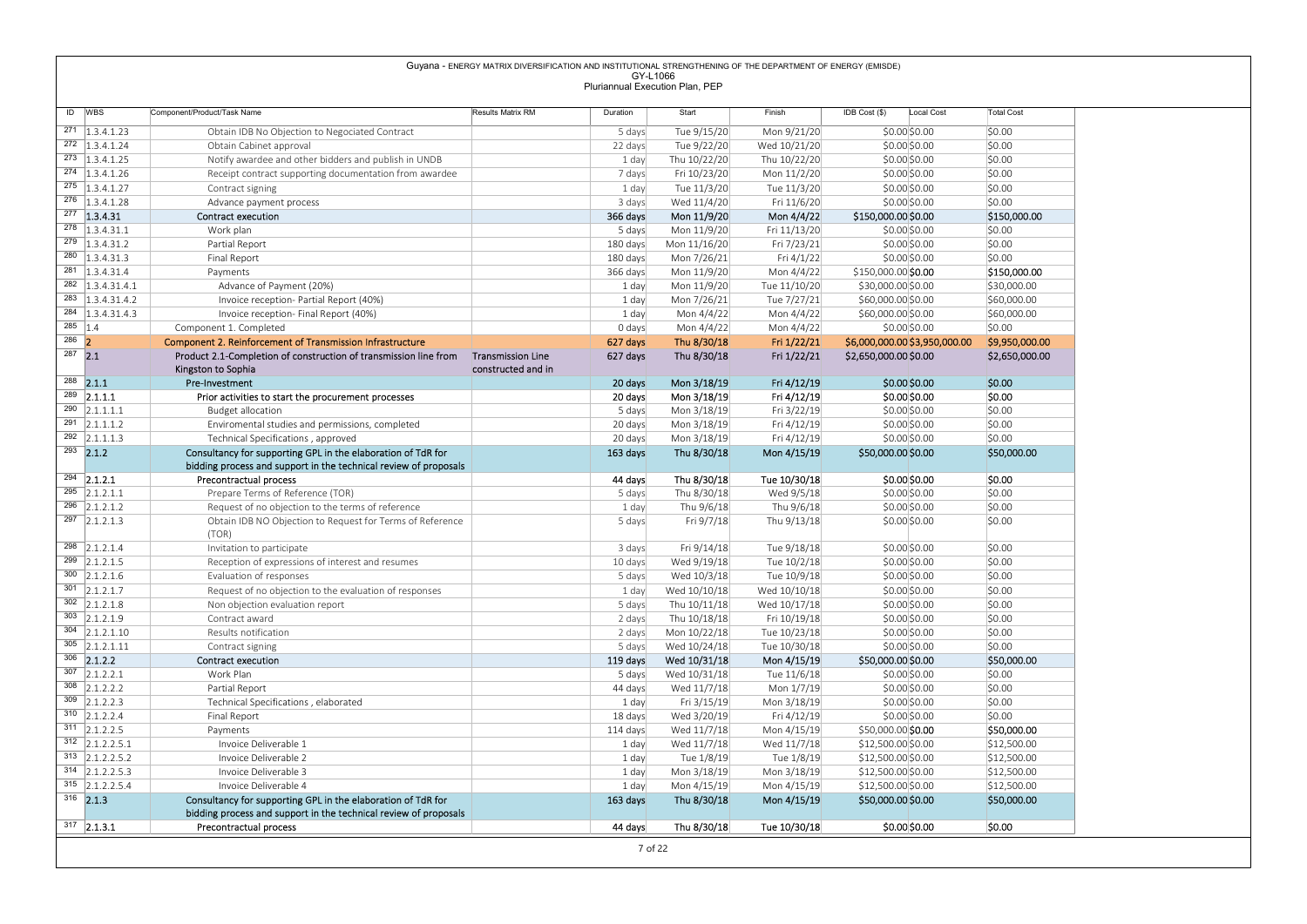|           |                                                            |                                                                                                                                                            | Guyana - ENERGY MATRIX DIVERSIFICATION AND INSTITUTIONAL STRENGTHENING OF THE DEPARTMENT OF ENERGY (EMISDE) | GY-L1066                        |                              |                              |                                          |                            |
|-----------|------------------------------------------------------------|------------------------------------------------------------------------------------------------------------------------------------------------------------|-------------------------------------------------------------------------------------------------------------|---------------------------------|------------------------------|------------------------------|------------------------------------------|----------------------------|
|           |                                                            |                                                                                                                                                            |                                                                                                             | Pluriannual Execution Plan, PEP |                              |                              |                                          |                            |
|           | ID WBS                                                     | Component/Product/Task Name                                                                                                                                | Results Matrix RM                                                                                           | Duration                        | Start                        | Finish                       | $IDB Cost$ (\$)<br>Local Cost            | <b>Total Cost</b>          |
|           | $\overline{271}$ 1.3.4.1.23                                | Obtain IDB No Objection to Negociated Contract                                                                                                             |                                                                                                             | 5 days                          | Tue 9/15/20                  | Mon 9/21/20                  | \$0.00 \$0.00                            | \$0.00                     |
|           | $\overline{272}$   1.3.4.1.24                              | Obtain Cabinet approval                                                                                                                                    |                                                                                                             | 22 days                         | Tue 9/22/20                  | Wed 10/21/20                 | \$0.00\$0.00                             | \$0.00                     |
|           | $\overline{273}$   1.3.4.1.25                              | Notify awardee and other bidders and publish in UNDB                                                                                                       |                                                                                                             | 1 day                           | Thu 10/22/20                 | Thu 10/22/20                 | \$0.00\$0.00                             | \$0.00                     |
|           | $274$   1.3.4.1.26                                         | Receipt contract supporting documentation from awardee                                                                                                     |                                                                                                             | 7 days                          | Fri 10/23/20                 | Mon 11/2/20                  | \$0.00\$0.00                             | \$0.00                     |
|           | $275$   1.3.4.1.27<br>$276$   1.3.4.1.28                   | Contract signing<br>Advance payment process                                                                                                                |                                                                                                             | 1 day<br>3 days                 | Tue 11/3/20<br>Wed 11/4/20   | Tue 11/3/20<br>Fri 11/6/20   | \$0.00\$0.00<br>\$0.00\$0.00             | \$0.00<br>\$0.00           |
|           | 277 1.3.4.31                                               | <b>Contract execution</b>                                                                                                                                  |                                                                                                             | 366 days                        | Mon 11/9/20                  | Mon 4/4/22                   | \$150,000.00 \$0.00                      | \$150,000.00               |
|           | $278$   1.3.4.31.1                                         | Work plan                                                                                                                                                  |                                                                                                             | 5 days                          | Mon 11/9/20                  | Fri 11/13/20                 | \$0.00\$0.00                             | \$0.00                     |
|           | $\overline{279}$ 1.3.4.31.2<br>$\overline{280}$ 1.3.4.31.3 | Partial Report<br>Final Report                                                                                                                             |                                                                                                             | 180 days<br>180 days            | Mon 11/16/20<br>Mon 7/26/21  | Fri 7/23/21<br>Fri 4/1/22    | \$0.00\$0.00<br>\$0.00\$0.00             | \$0.00<br>\$0.00           |
|           | $281$   1.3.4.31.4                                         | Payments                                                                                                                                                   |                                                                                                             | 366 days                        | Mon 11/9/20                  | Mon 4/4/22                   | \$150,000.00 \$0.00                      | \$150,000.00               |
|           | $\overline{282}$ 1.3.4.31.4.1                              | Advance of Payment (20%)                                                                                                                                   |                                                                                                             | 1 day                           | Mon 11/9/20                  | Tue 11/10/20                 | \$30,000.00 \$0.00                       | \$30,000.00                |
|           | $\overline{283}$ 1.3.4.31.4.2                              | Invoice reception- Partial Report (40%)                                                                                                                    |                                                                                                             | 1 day                           | Mon 7/26/21                  | Tue 7/27/21                  | \$60,000.00 \$0.00                       | \$60,000.00                |
| $285$ 1.4 | 284 1.3.4.31.4.3                                           | Invoice reception- Final Report (40%)<br>Component 1. Completed                                                                                            |                                                                                                             | 1 day<br>0 days                 | Mon 4/4/22<br>Mon 4/4/22     | Mon 4/4/22<br>Mon 4/4/22     | \$60,000.00 \$0.00<br>\$0.00\$0.00       | \$60,000.00<br>\$0.00      |
| $286$ 2   |                                                            | <b>Component 2. Reinforcement of Transmission Infrastructure</b>                                                                                           |                                                                                                             | 627 days                        | Thu 8/30/18                  | Fri 1/22/21                  | \$6,000,000.00 \$3,950,000.00            | \$9,950,000.00             |
| $287$ 2.1 |                                                            | Product 2.1-Completion of construction of transmission line from                                                                                           | <b>Transmission Line</b>                                                                                    | 627 days                        | Thu 8/30/18                  | Fri 1/22/21                  | \$2,650,000.00 \$0.00                    | \$2,650,000.00             |
|           | $288$ 2.1.1                                                | Kingston to Sophia<br>Pre-Investment                                                                                                                       | constructed and in                                                                                          | 20 days                         | Mon 3/18/19                  | Fri 4/12/19                  | \$0.00\$0.00                             | \$0.00                     |
|           | $289$ 2.1.1.1                                              | Prior activities to start the procurement processes                                                                                                        |                                                                                                             | 20 days                         | Mon 3/18/19                  | Fri 4/12/19                  | \$0.00 \$0.00                            | \$0.00                     |
|           | $290$ 2.1.1.1.1                                            | <b>Budget allocation</b>                                                                                                                                   |                                                                                                             | 5 days                          | Mon 3/18/19                  | Fri 3/22/19                  | \$0.00 \$0.00                            | \$0.00                     |
|           | $291$ 2.1.1.1.2<br>$292$ 2.1.1.1.3                         | Enviromental studies and permissions, completed<br>Technical Specifications, approved                                                                      |                                                                                                             | 20 days                         | Mon 3/18/19<br>Mon 3/18/19   | Fri 4/12/19<br>Fri 4/12/19   | \$0.00 \$0.00<br>\$0.00 \$0.00           | \$0.00<br>\$0.00           |
|           | $293$ 2.1.2                                                | Consultancy for supporting GPL in the elaboration of TdR for                                                                                               |                                                                                                             | 20 days<br>163 days             | Thu 8/30/18                  | Mon 4/15/19                  | \$50,000.00 \$0.00                       | \$50,000.00                |
|           |                                                            | bidding process and support in the technical review of proposals                                                                                           |                                                                                                             |                                 |                              |                              |                                          |                            |
|           | $\overline{294}$ 2.1.2.1                                   | Precontractual process                                                                                                                                     |                                                                                                             | 44 days                         | Thu 8/30/18                  | Tue 10/30/18                 | \$0.00 \$0.00                            | \$0.00                     |
|           | $\overline{295}$ 2.1.2.1.1<br>$296$ 2.1.2.1.2              | Prepare Terms of Reference (TOR)<br>Request of no objection to the terms of reference                                                                      |                                                                                                             | 5 days<br>1 day                 | Thu 8/30/18<br>Thu 9/6/18    | Wed 9/5/18<br>Thu 9/6/18     | \$0.00 \$0.00<br>\$0.00\$0.00            | \$0.00<br>\$0.00           |
|           | $\overline{297}$ 2.1.2.1.3                                 | Obtain IDB NO Objection to Request for Terms of Reference                                                                                                  |                                                                                                             | 5 days                          | Fri 9/7/18                   | Thu 9/13/18                  | \$0.00 \$0.00                            | \$0.00                     |
|           |                                                            | (TOR)                                                                                                                                                      |                                                                                                             |                                 |                              |                              |                                          |                            |
|           | $298$ 2.1.2.1.4                                            | Invitation to participate<br>Reception of expressions of interest and resumes                                                                              |                                                                                                             | 3 days<br>10 days               | Fri 9/14/18<br>Wed 9/19/18   | Tue 9/18/18<br>Tue 10/2/18   | \$0.00 \$0.00<br>\$0.00 \$0.00           | \$0.00<br>\$0.00           |
|           |                                                            |                                                                                                                                                            |                                                                                                             | 5 days                          | Wed 10/3/18                  | Tue 10/9/18                  | \$0.00 \$0.00                            | \$0.00                     |
|           | $299$ 2.1.2.1.5<br>$300$ 2.1.2.1.6                         | Evaluation of responses                                                                                                                                    |                                                                                                             | 1 day                           | Wed 10/10/18                 | Wed 10/10/18                 | \$0.00 \$0.00                            | \$0.00                     |
|           | $301$ 2.1.2.1.7                                            | Request of no objection to the evaluation of responses                                                                                                     |                                                                                                             |                                 |                              |                              |                                          |                            |
|           | $302$ 2.1.2.1.8                                            | Non objection evaluation report                                                                                                                            |                                                                                                             | 5 days                          | Thu 10/11/18                 | Wed 10/17/18                 | \$0.00 \$0.00                            | \$0.00                     |
|           | $303$ 2.1.2.1.9                                            | Contract award                                                                                                                                             |                                                                                                             | 2 days                          | Thu 10/18/18                 | Fri 10/19/18                 | \$0.00 \$0.00                            | \$0.00                     |
|           | $304$ 2.1.2.1.10<br>$305$ 2.1.2.1.11                       | Results notification<br>Contract signing                                                                                                                   |                                                                                                             | 2 days<br>5 days                | Mon 10/22/18<br>Wed 10/24/18 | Tue 10/23/18<br>Tue 10/30/18 | \$0.00\$0.00<br>\$0.00 \$0.00            | \$0.00<br>\$0.00           |
|           | $306$ 2.1.2.2                                              | Contract execution                                                                                                                                         |                                                                                                             | 119 days                        | Wed 10/31/18                 | Mon 4/15/19                  | \$50,000.00 \$0.00                       | \$50,000.00                |
|           | $307$ 2.1.2.2.1                                            | Work Plan                                                                                                                                                  |                                                                                                             | 5 days                          | Wed 10/31/18                 | Tue 11/6/18                  | \$0.00 \$0.00                            | \$0.00                     |
|           | $308$ 2.1.2.2.2<br>$309$ 2.1.2.2.3                         | Partial Report<br>Technical Specifications, elaborated                                                                                                     |                                                                                                             | 44 days<br>1 day                | Wed 11/7/18<br>Fri 3/15/19   | Mon 1/7/19<br>Mon 3/18/19    | \$0.00 \$0.00<br>\$0.00 \$0.00           | \$0.00<br>\$0.00           |
|           | $310$ 2.1.2.2.4                                            | Final Report                                                                                                                                               |                                                                                                             | 18 days                         | Wed 3/20/19                  | Fri 4/12/19                  | \$0.00 \$0.00                            | \$0.00                     |
|           | $311$ 2.1.2.2.5                                            | Payments                                                                                                                                                   |                                                                                                             | 114 days                        | Wed 11/7/18                  | Mon 4/15/19                  | \$50,000.00 \$0.00                       | \$50,000.00                |
|           | $312$ 2.1.2.2.5.1                                          | Invoice Deliverable 1                                                                                                                                      |                                                                                                             | 1 day                           | Wed 11/7/18                  | Wed 11/7/18                  | \$12,500.00 \$0.00                       | \$12,500.00                |
|           | $313$ 2.1.2.2.5.2<br>$314$ 2.1.2.2.5.3                     | Invoice Deliverable 2<br>Invoice Deliverable 3                                                                                                             |                                                                                                             | 1 day<br>1 day                  | Tue 1/8/19<br>Mon 3/18/19    | Tue 1/8/19<br>Mon 3/18/19    | \$12,500.00 \$0.00<br>\$12,500.00 \$0.00 | \$12,500.00<br>\$12,500.00 |
|           | $315$ 2.1.2.2.5.4                                          | Invoice Deliverable 4                                                                                                                                      |                                                                                                             | 1 day                           | Mon 4/15/19                  | Mon 4/15/19                  | \$12,500.00 \$0.00                       | \$12,500.00                |
|           | $316$ 2.1.3<br>$317$ 2.1.3.1                               | Consultancy for supporting GPL in the elaboration of TdR for<br>bidding process and support in the technical review of proposals<br>Precontractual process |                                                                                                             | 163 days<br>44 days             | Thu 8/30/18<br>Thu 8/30/18   | Mon 4/15/19<br>Tue 10/30/18  | \$50,000.00 \$0.00<br>\$0.00 \$0.00      | \$50,000.00<br>\$0.00      |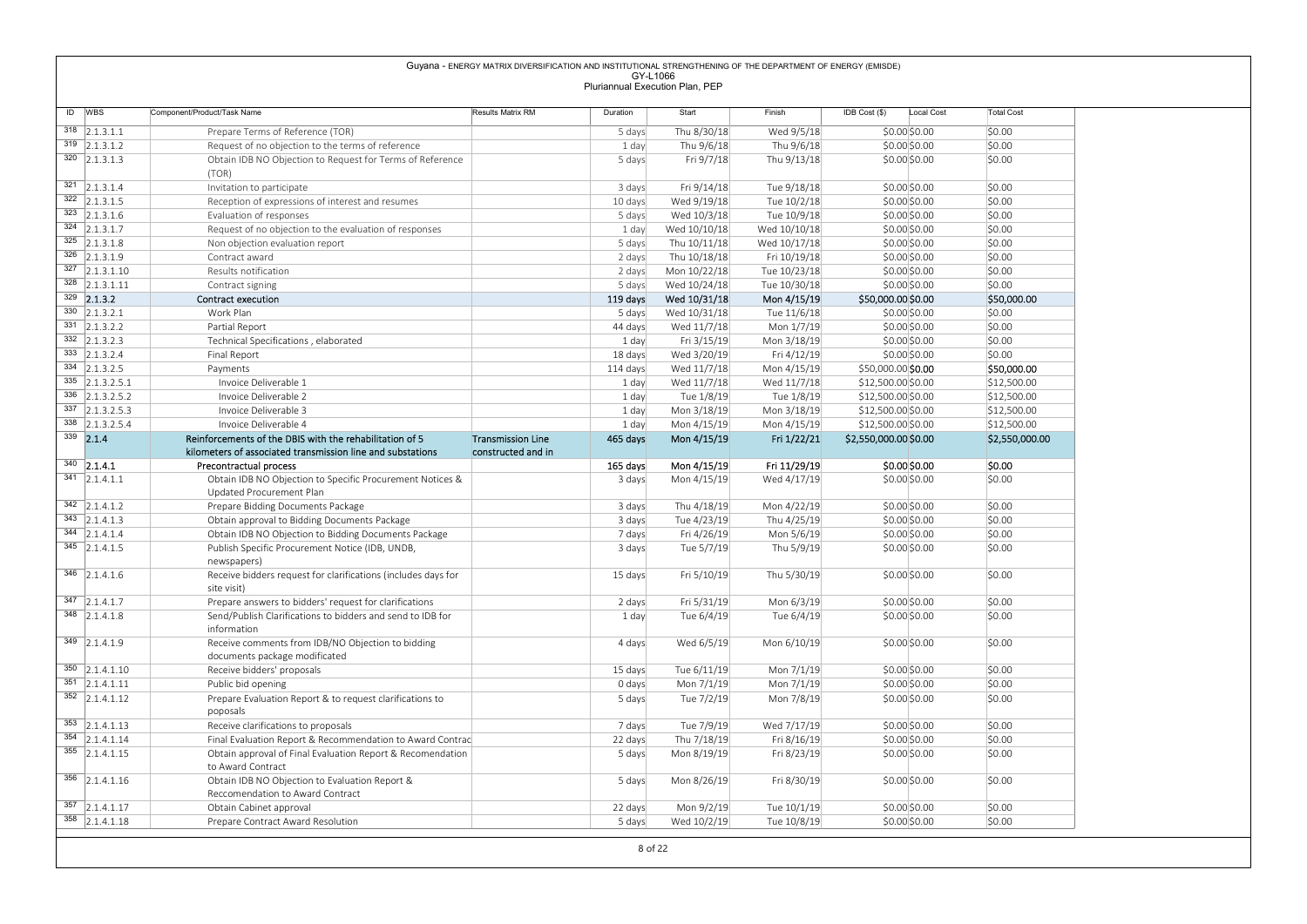# $\begin{tabular}{l|c|c|c|c|c} \hline & \multicolumn{3}{c}{\textbf{Guyana} = ENERGV AMTRX DIVERSE/CATION AND NISTITITIONALS TREBGTHEINNG OF THE DEDARTMERT OF ENERGV (EMSOE) } \\\hline \hline \end{tabular} \begin{tabular}{l|c|c|c|c} \hline & \multicolumn{3}{c}{\textbf{Guyana} = ENERGV AMTRX DIVERSE/CATION AND NISTITITIONALS TREBGTHEINNG OF THE DEDARTMERT OF ENERGV (EMSOE) } \\\hline \end{tabular} \begin{tabular}{l|c|c|c} \hline & \multicolumn{$ (TOR) 5 days Fri 9/7/18 Thu 9/13/18 \$0.00|\$0.00 \$0.00 \$0.00 <sup>321</sup> 2.1.3.1.4 Invitation to participate 3 days Fri 9/14/18 Tue 9/18/18 \$0.00 \$0.00 \$0.00 322 2.1.3.1.5 Reception of expressions of interest and resumes 10 days Wed 9/19/18 Tue 10/2/18 \$0.00 \$0.00 \$0.00 \$0.00 \$0.00 \$0.00 \$0.00 \$0.00 \$0.00 \$0.00 \$0.00 \$0.00 \$0.00 \$0.00 \$0.00 \$0.00 \$0.00 \$0.00 \$0.00 \$0.00 \$0.00 \$ <sup>323</sup> 2.1.3.1.6 Evaluation of responses 5 days Wed 10/3/18 Tue 10/9/18 \$0.00 \$0.00 \$0.00  $\frac{324}{325}$  2.1.3.1.7 Request of no objection to the evaluation of responses 1 day Wed 10/10/18 Wed 10/10/18 \$0.00 \$0.00 \$0.00 \$0.00 \$0.00 \$0.00 \$0.00 \$0.00 \$0.00 \$0.00 \$0.00 \$0.00 \$0.00 \$0.00 \$0.00 \$0.00 \$0.00 \$0.00 \$0 <sup>325</sup> 2.1.3.1.8 Non objection evaluation report 5 days Thu 10/11/18 Wed 10/17/18 \$0.00 \$0.00 \$0.00 <sup>326</sup> 2.1.3.1.9 Contract award 2 days Thu 10/18/18 Fri 10/19/18 \$0.00 \$0.00 \$0.00 <sup>327</sup> 2.1.3.1.10 Results notification 2 days Mon 10/22/18 Tue 10/23/18 \$0.00 \$0.00 \$0.00 <sup>328</sup> 2.1.3.1.11 Contract signing 5 days Wed 10/24/18 Tue 10/30/18 \$0.00 \$0.00 \$0.00 <sup>329</sup> 2.1.3.2 Contract execution 119 days Wed 10/31/18 Mon 4/15/19 \$50,000.00 \$0.00 \$50,000.00 <sup>330</sup> 2.1.3.2.1 Work Plan 5 days Wed 10/31/18 Tue 11/6/18 \$0.00 \$0.00 \$0.00 <sup>331</sup> 2.1.3.2.2 Partial Report 44 days Wed 11/7/18 Mon 1/7/19 \$0.00 \$0.00 \$0.00  $\frac{332}{21.3.2.3}$  332 2.1.3.2.3 Technical Specifications , elaborated 1 day Fri 3/15/19 Mon 3/18/19 \$0.00 \$0.00 \$0.00 \$0.00 \$0.00 \$0.00 \$0.00 \$0.00 \$0.00 \$0.00 \$0.00 \$0.00 \$0.00 \$0.00 \$0.00 \$0.00 \$0.00 \$0.00 \$0.00 \$0.00 333 2.1.3.2.4 Final Report 18 days Wed 3/20/19 Fri 4/12/19 \$0.00|\$0.00 334 2.1.3.2.5 | Payments Payments Payments Payments Payments Payments Payments Payments Payments Payments Payments Payments Payments Payments Payments Payments Payments Payments Payments Payments Payments Payments Payments <sup>335</sup> 2.1.3.2.5.1 Invoice Deliverable 1 1 day Wed 11/7/18 Wed 11/7/18 \$12,500.00 \$0.00 \$12,500.00 <sup>336</sup> 2.1.3.2.5.2 Invoice Deliverable 2 1 day Tue 1/8/19 Tue 1/8/19 \$12,500.00 \$0.00 \$12,500.00 337 2.1.3.2.5.3 Invoice Deliverable 3 1 day Mon 3/18/19 Mon 3/18/19 \$12,500.00 \$0.00 \$12,500.00 \$12,500.00 \$12,500.00 \$12,500.00 \$12,500.00 \$12,500.00 \$12,500.00 \$12,500.00 \$12,500.00 \$12,500.00 \$12, <sup>338</sup> 2.1.3.2.5.4 Invoice Deliverable 4 1 day Mon 4/15/19 Mon 4/15/19 \$12,500.00 \$0.00 \$12,500.00  $\overline{339}$  2.1.4 **Reinforcements of the DBIS with the rehabilitation of 5 Transmission Line**<br>Reinforcements of associated transmission line and substations constructed and in kilometers of associated transmission line and substations Transmission Line 165 days Transmission Line 465 days Mon 4/15/19 Fri 1/22/21 \$2,550,000.00 \$0.00 \$2,550,000.00 <br>constructed and in Fri 1/22/21 \$2,550,000.00 \$0.00 <sup>340</sup> 2.1.4.1 Precontractual process 165 days Mon 4/15/19 Fri 11/29/19 \$0.00 \$0.00 \$0.00 <sup>341</sup> 2.1.4.1.1 Obtain IDB NO Objection to Specific Procurement Notices & Updated Procurement Plan 3 days Mon 4/15/19 Wed 4/17/19 \$0.00|\$0.00 |\$0.00 | 342 2.1.4.1.2 Prepare Bidding Documents Package 3 days Thu 4/18/19 Mon 4/22/19 \$0.00 \$0.00 \$0.00 \$0.00 \$0.00 \$0.00 \$0.00 \$0.00 \$0.00 \$0.00 \$0.00 \$0.00 \$0.00 \$0.00 \$0.00 \$0.00 \$0.00 \$0.00 \$0.00 \$0.00 \$0.00 \$0.00 \$0.00 \$0.00  $\frac{343}{2.1.4.1.3}$  Obtain approval to Bidding Documents Package 3 days Tue 4/23/19 Thu 4/25/19 \$0.00 \$0.00 \$0.00 \$0.00 \$0.00 \$0.00 \$0.00 \$0.00 \$0.00 \$0.00 \$0.00 \$0.00 \$0.00 \$0.00 \$0.00 \$0.00 \$0.00 \$0.00 \$0.00 \$0.00 \$0.00 344 2.1.4.1.4 Obtain IDB NO Objection to Bidding Documents Package 7 days Fri 4/26/19 Mon 5/6/19 \$0.00 \$0.00 \$0.00 \$0.00 \$0.00 \$0.00 \$0.00 \$0.00 \$0.00 \$0.00 \$0.00 \$0.00 \$0.00 \$0.00 \$0.00 \$0.00 \$0.00 \$0.00 \$0.00 \$0.00 \$0.00 Publish Specific Procurement Notice (IDB, UNDB, newspapers) 3 days Tue 5/7/19 Thu 5/9/19 \$0.00|\$0.00 |\$0.00 | | <sup>346</sup> 2.1.4.1.6 Receive bidders request for clarifications (includes days for site visit) 15 days Fri 5/10/19 Thu 5/30/19 \$0.00 \$0.00 \$0.00 \$0.00 \$0.00 \$0.00 \$0.00 \$0.00 \$ information Guyana - ENERGY MATRIX DIVERSIFICATION AND INSTITUTIONAL STRENGTHENING OF THE DEPARTMENT OF ENERGY (EMISDE) GY-L1066 Pluriannual Execution Plan, PEP

|                             | site visit)                                                                        |         |             |             |               |        |
|-----------------------------|------------------------------------------------------------------------------------|---------|-------------|-------------|---------------|--------|
| $347$ 2.1.4.1.7             | Prepare answers to bidders' request for clarifications                             | 2 days  | Fri 5/31/19 | Mon 6/3/19  | \$0.00 \$0.00 | \$0.00 |
| 348 2.1.4.1.8               | Send/Publish Clarifications to bidders and send to IDB for<br>information          | 1 day   | Tue 6/4/19  | Tue 6/4/19  | \$0.00 \$0.00 | \$0.00 |
| $\frac{349}{2.1.4.1.9}$     | Receive comments from IDB/NO Objection to bidding<br>documents package modificated | 4 days  | Wed 6/5/19  | Mon 6/10/19 | \$0.00 \$0.00 | \$0.00 |
| $\overline{350}$ 2.1.4.1.10 | Receive bidders' proposals                                                         | 15 days | Tue 6/11/19 | Mon 7/1/19  | \$0.00 \$0.00 | \$0.00 |
| $351 \quad  2.1.4.1.11$     | Public bid opening                                                                 | 0 days  | Mon 7/1/19  | Mon 7/1/19  | \$0.00 \$0.00 | \$0.00 |
| $352$ 2.1.4.1.12            | Prepare Evaluation Report & to request clarifications to<br>poposals               | 5 days  | Tue 7/2/19  | Mon 7/8/19  | \$0.00 \$0.00 | \$0.00 |
| $353$ 2.1.4.1.13            | Receive clarifications to proposals                                                | 7 days  | Tue 7/9/19  | Wed 7/17/19 | \$0.00 \$0.00 | \$0.00 |
| $354$ 2.1.4.1.14            | Final Evaluation Report & Recommendation to Award Contrac                          | 22 days | Thu 7/18/19 | Fri 8/16/19 | \$0.00 \$0.00 | \$0.00 |
| 355 2.1.4.1.15              | Obtain approval of Final Evaluation Report & Recomendation<br>to Award Contract    | 5 days  | Mon 8/19/19 | Fri 8/23/19 | \$0.00 \$0.00 | \$0.00 |
| $\overline{356}$ 2.1.4.1.16 | Obtain IDB NO Objection to Evaluation Report &<br>Reccomendation to Award Contract | 5 days  | Mon 8/26/19 | Fri 8/30/19 | \$0.00 \$0.00 | \$0.00 |
| $357$ 2.1.4.1.17            | Obtain Cabinet approval                                                            | 22 days | Mon 9/2/19  | Tue 10/1/19 | \$0.00 \$0.00 | \$0.00 |
| 358 2.1.4.1.18              | Prepare Contract Award Resolution                                                  | 5 days  | Wed 10/2/19 | Tue 10/8/19 | \$0.00 \$0.00 | \$0.00 |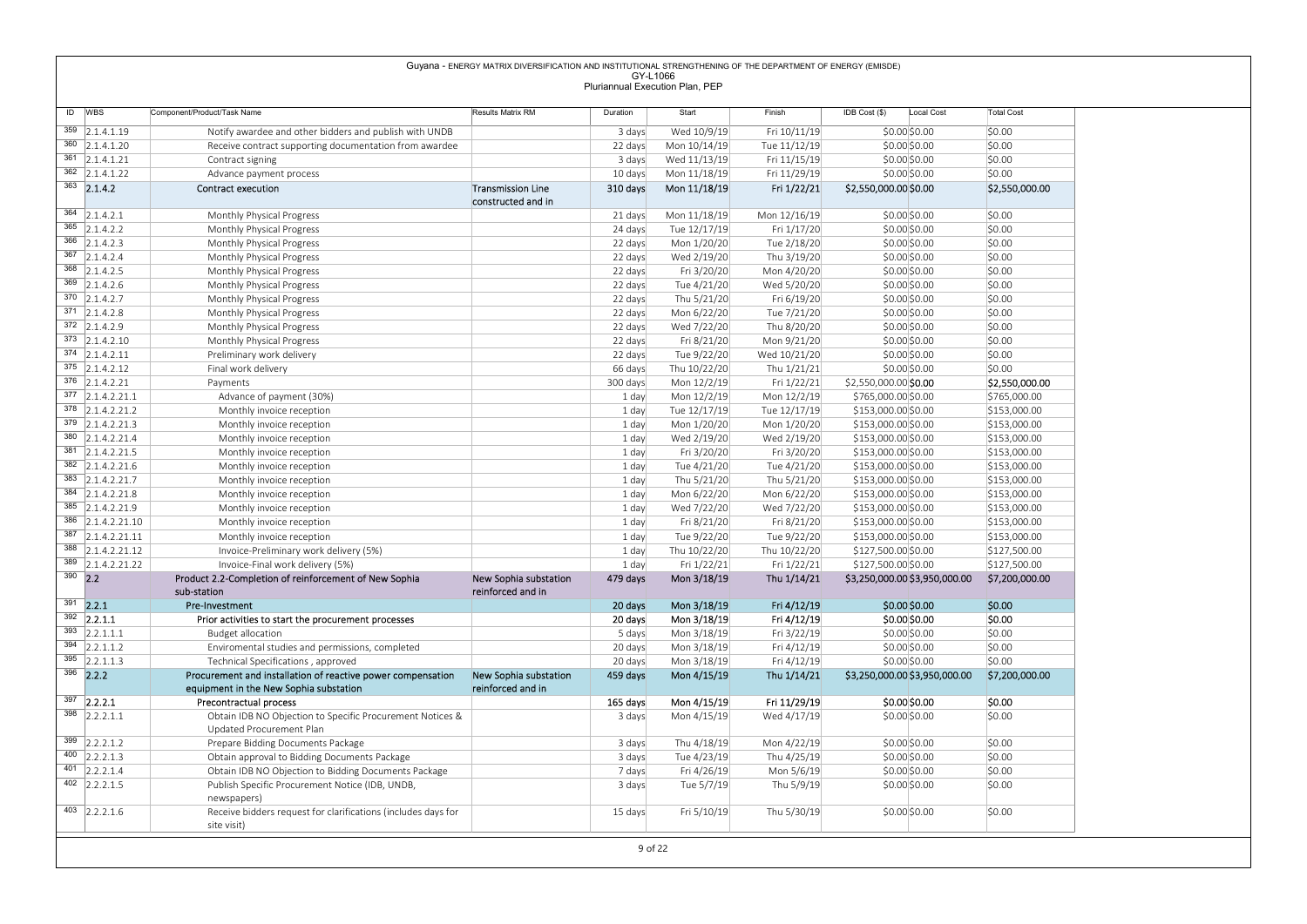|                                      |                                                                                     | Guyana - ENERGY MATRIX DIVERSIFICATION AND INSTITUTIONAL STRENGTHENING OF THE DEPARTMENT OF ENERGY (EMISDE) |                                 |                              |                              |                                              |                                |
|--------------------------------------|-------------------------------------------------------------------------------------|-------------------------------------------------------------------------------------------------------------|---------------------------------|------------------------------|------------------------------|----------------------------------------------|--------------------------------|
|                                      |                                                                                     |                                                                                                             | GY-L1066                        |                              |                              |                                              |                                |
|                                      |                                                                                     |                                                                                                             | Pluriannual Execution Plan, PEP |                              |                              |                                              |                                |
| ID WBS                               | Component/Product/Task Name                                                         | Results Matrix RM                                                                                           | Duration                        | Start                        | Finish                       | IDB Cost (\$)<br>Local Cost                  | <b>Total Cost</b>              |
|                                      |                                                                                     |                                                                                                             |                                 |                              |                              |                                              |                                |
| 359 2.1.4.1.19                       | Notify awardee and other bidders and publish with UNDB                              |                                                                                                             | 3 days                          | Wed 10/9/19                  | Fri 10/11/19                 | \$0.00 \$0.00                                | \$0.00                         |
| 360 2.1.4.1.20<br>$361$ 2.1.4.1.21   | Receive contract supporting documentation from awardee<br>Contract signing          |                                                                                                             | 22 days<br>3 days               | Mon 10/14/19<br>Wed 11/13/19 | Tue 11/12/19<br>Fri 11/15/19 | \$0.00\$0.00<br>\$0.00\$0.00                 | \$0.00<br>\$0.00               |
| 362 2.1.4.1.22                       | Advance payment process                                                             |                                                                                                             | 10 days                         | Mon 11/18/19                 | Fri 11/29/19                 | \$0.00\$0.00                                 | \$0.00                         |
| $363$ 2.1.4.2                        | Contract execution                                                                  | <b>Transmission Line</b>                                                                                    | 310 days                        | Mon 11/18/19                 | Fri 1/22/21                  | \$2,550,000.00 \$0.00                        | \$2,550,000.00                 |
|                                      |                                                                                     | constructed and in                                                                                          |                                 |                              |                              |                                              |                                |
| $364$ 2.1.4.2.1                      | Monthly Physical Progress                                                           |                                                                                                             | 21 days                         | Mon 11/18/19                 | Mon 12/16/19                 | \$0.00\$0.00                                 | \$0.00                         |
| $365$ 2.1.4.2.2                      | Monthly Physical Progress                                                           |                                                                                                             | 24 days                         | Tue 12/17/19                 | Fri 1/17/20                  | \$0.00\$0.00                                 | \$0.00                         |
| $366$ 2.1.4.2.3                      | Monthly Physical Progress                                                           |                                                                                                             | 22 days                         | Mon 1/20/20                  | Tue 2/18/20                  | \$0.00\$0.00                                 | \$0.00                         |
| $367$ 2.1.4.2.4                      | Monthly Physical Progress                                                           |                                                                                                             | 22 days                         | Wed 2/19/20                  | Thu 3/19/20                  | \$0.00\$0.00                                 | \$0.00                         |
| $368$ 2.1.4.2.5                      | Monthly Physical Progress                                                           |                                                                                                             | 22 days                         | Fri 3/20/20                  | Mon 4/20/20                  | \$0.00\$0.00                                 | \$0.00                         |
| $369$ 2.1.4.2.6                      | Monthly Physical Progress                                                           |                                                                                                             | 22 days                         | Tue 4/21/20                  | Wed 5/20/20                  | \$0.00\$0.00                                 | \$0.00                         |
| $370$ 2.1.4.2.7                      | Monthly Physical Progress                                                           |                                                                                                             | 22 days                         | Thu 5/21/20                  | Fri 6/19/20                  | \$0.00\$0.00                                 | \$0.00                         |
| $371$ 2.1.4.2.8                      | Monthly Physical Progress                                                           |                                                                                                             | 22 days                         | Mon 6/22/20                  | Tue 7/21/20                  | \$0.00\$0.00                                 | \$0.00                         |
| $372$ 2.1.4.2.9                      | Monthly Physical Progress                                                           |                                                                                                             | 22 days                         | Wed 7/22/20                  | Thu 8/20/20                  | \$0.00\$0.00                                 | \$0.00                         |
| $373$ 2.1.4.2.10                     | Monthly Physical Progress                                                           |                                                                                                             | 22 days                         | Fri 8/21/20                  | Mon 9/21/20                  | \$0.00\$0.00                                 | \$0.00                         |
| 374 2.1.4.2.11                       | Preliminary work delivery                                                           |                                                                                                             | 22 days                         | Tue 9/22/20                  | Wed 10/21/20                 | $$0.00$ \$0.00                               | \$0.00                         |
| $375$ 2.1.4.2.12<br>$376$ 2.1.4.2.21 | Final work delivery                                                                 |                                                                                                             | 66 days                         | Thu 10/22/20                 | Thu 1/21/21                  | \$0.00\$0.00                                 | \$0.00                         |
| 377 2.1.4.2.21.1                     | Payments<br>Advance of payment (30%)                                                |                                                                                                             | 300 days<br>1 day               | Mon 12/2/19<br>Mon 12/2/19   | Fri 1/22/21<br>Mon 12/2/19   | \$2,550,000.00 \$0.00<br>\$765,000.00 \$0.00 | \$2,550,000.00<br>\$765,000.00 |
| $378$ 2.1.4.2.21.2                   | Monthly invoice reception                                                           |                                                                                                             | 1 day                           | Tue 12/17/19                 | Tue 12/17/19                 | \$153,000.00 \$0.00                          | \$153,000.00                   |
| $379$ 2.1.4.2.21.3                   | Monthly invoice reception                                                           |                                                                                                             | 1 day                           | Mon 1/20/20                  | Mon 1/20/20                  | \$153,000.00 \$0.00                          | \$153,000.00                   |
| 380 2.1.4.2.21.4                     | Monthly invoice reception                                                           |                                                                                                             | 1 day                           | Wed 2/19/20                  | Wed 2/19/20                  | \$153,000.00 \$0.00                          | \$153,000.00                   |
| 381 2.1.4.2.21.5                     | Monthly invoice reception                                                           |                                                                                                             | 1 day                           | Fri 3/20/20                  | Fri 3/20/20                  | \$153,000.00 \$0.00                          | \$153,000.00                   |
| $382$ 2.1.4.2.21.6                   | Monthly invoice reception                                                           |                                                                                                             | 1 day                           | Tue 4/21/20                  | Tue 4/21/20                  | \$153,000.00 \$0.00                          | \$153,000.00                   |
| 383 2.1.4.2.21.7                     | Monthly invoice reception                                                           |                                                                                                             | 1 day                           | Thu 5/21/20                  | Thu 5/21/20                  | \$153,000.00 \$0.00                          | \$153,000.00                   |
| 384 2.1.4.2.21.8                     | Monthly invoice reception                                                           |                                                                                                             | 1 day                           | Mon 6/22/20                  | Mon 6/22/20                  | \$153,000.00 \$0.00                          | \$153,000.00                   |
| 385 2.1.4.2.21.9                     | Monthly invoice reception                                                           |                                                                                                             | 1 day                           | Wed 7/22/20                  | Wed 7/22/20                  | \$153,000.00 \$0.00                          | \$153,000.00                   |
| 386 2.1.4.2.21.10                    | Monthly invoice reception                                                           |                                                                                                             | 1 day                           | Fri 8/21/20                  | Fri 8/21/20                  | \$153,000.00 \$0.00                          | \$153,000.00                   |
| 387 2.1.4.2.21.11                    | Monthly invoice reception                                                           |                                                                                                             | 1 day                           | Tue 9/22/20                  | Tue 9/22/20                  | \$153,000.00 \$0.00                          | \$153,000.00                   |
| $388$ 2.1.4.2.21.12                  | Invoice-Preliminary work delivery (5%)                                              |                                                                                                             | 1 day                           | Thu 10/22/20                 | Thu 10/22/20                 | \$127,500.00 \$0.00                          | \$127,500.00                   |
| 389 2.1.4.2.21.22                    | Invoice-Final work delivery (5%)                                                    |                                                                                                             | 1 day                           | Fri 1/22/21                  | Fri 1/22/21                  | \$127,500.00 \$0.00                          | \$127,500.00                   |
| $390$ 2.2                            | Product 2.2-Completion of reinforcement of New Sophia                               | New Sophia substation                                                                                       | 479 days                        | Mon 3/18/19                  | Thu 1/14/21                  | \$3,250,000.00 \$3,950,000.00                | \$7,200,000.00                 |
|                                      | sub-station                                                                         | reinforced and in                                                                                           |                                 |                              |                              |                                              |                                |
| $391$ 2.2.1                          | Pre-Investment                                                                      |                                                                                                             | 20 days                         | Mon 3/18/19                  | Fri 4/12/19                  | \$0.00 \$0.00                                | \$0.00                         |
| $392$ 2.2.1.1                        | Prior activities to start the procurement processes                                 |                                                                                                             | 20 days                         | Mon 3/18/19                  | Fri 4/12/19                  | \$0.00 \$0.00                                | \$0.00                         |
| $393$ 2.2.1.1.1                      | Budget allocation                                                                   |                                                                                                             | 5 days                          | Mon 3/18/19                  | Fri 3/22/19                  | \$0.00\$0.00                                 | \$0.00                         |
| $394$ 2.2.1.1.2                      | Enviromental studies and permissions, completed                                     |                                                                                                             | 20 days                         | Mon 3/18/19                  | Fri 4/12/19                  | \$0.00\$0.00                                 | \$0.00                         |
| $395$ 2.2.1.1.3                      | Technical Specifications, approved                                                  |                                                                                                             | 20 days                         | Mon 3/18/19                  | Fri 4/12/19                  | \$0.00\$0.00                                 | \$0.00                         |
| $396$ 2.2.2                          | Procurement and installation of reactive power compensation                         | New Sophia substation                                                                                       | 459 days                        | Mon 4/15/19                  | Thu 1/14/21                  | \$3,250,000.00 \$3,950,000.00                | \$7,200,000.00                 |
| $397$ 2.2.2.1                        | equipment in the New Sophia substation                                              | reinforced and in                                                                                           |                                 |                              |                              |                                              |                                |
| $398$ 2.2.2.1.1                      | Precontractual process<br>Obtain IDB NO Objection to Specific Procurement Notices & |                                                                                                             | 165 days<br>3 days              | Mon 4/15/19<br>Mon 4/15/19   | Fri 11/29/19                 | \$0.00 \$0.00                                | \$0.00<br>\$0.00               |
|                                      | Updated Procurement Plan                                                            |                                                                                                             |                                 |                              | Wed 4/17/19                  | \$0.00 \$0.00                                |                                |
| $\overline{399}$ 2.2.2.1.2           | Prepare Bidding Documents Package                                                   |                                                                                                             | 3 days                          | Thu 4/18/19                  | Mon 4/22/19                  | \$0.00\$0.00                                 | \$0.00                         |
| 400 2.2.2.1.3                        | Obtain approval to Bidding Documents Package                                        |                                                                                                             | 3 days                          | Tue 4/23/19                  | Thu 4/25/19                  | \$0.00 \$0.00                                | \$0.00                         |
| 401 2.2.2.1.4                        | Obtain IDB NO Objection to Bidding Documents Package                                |                                                                                                             | 7 days                          | Fri 4/26/19                  | Mon 5/6/19                   | \$0.00\$0.00                                 | \$0.00                         |
| $402$ 2.2.2.1.5                      | Publish Specific Procurement Notice (IDB, UNDB,                                     |                                                                                                             | 3 days                          | Tue 5/7/19                   | Thu 5/9/19                   | \$0.00 \$0.00                                | \$0.00                         |
|                                      | newspapers)                                                                         |                                                                                                             |                                 |                              |                              |                                              |                                |
|                                      | Receive bidders request for clarifications (includes days for                       |                                                                                                             | 15 days                         | Fri 5/10/19                  | Thu 5/30/19                  | \$0.00\$0.00                                 | \$0.00                         |
| $403$ 2.2.2.1.6                      |                                                                                     |                                                                                                             |                                 |                              |                              |                                              |                                |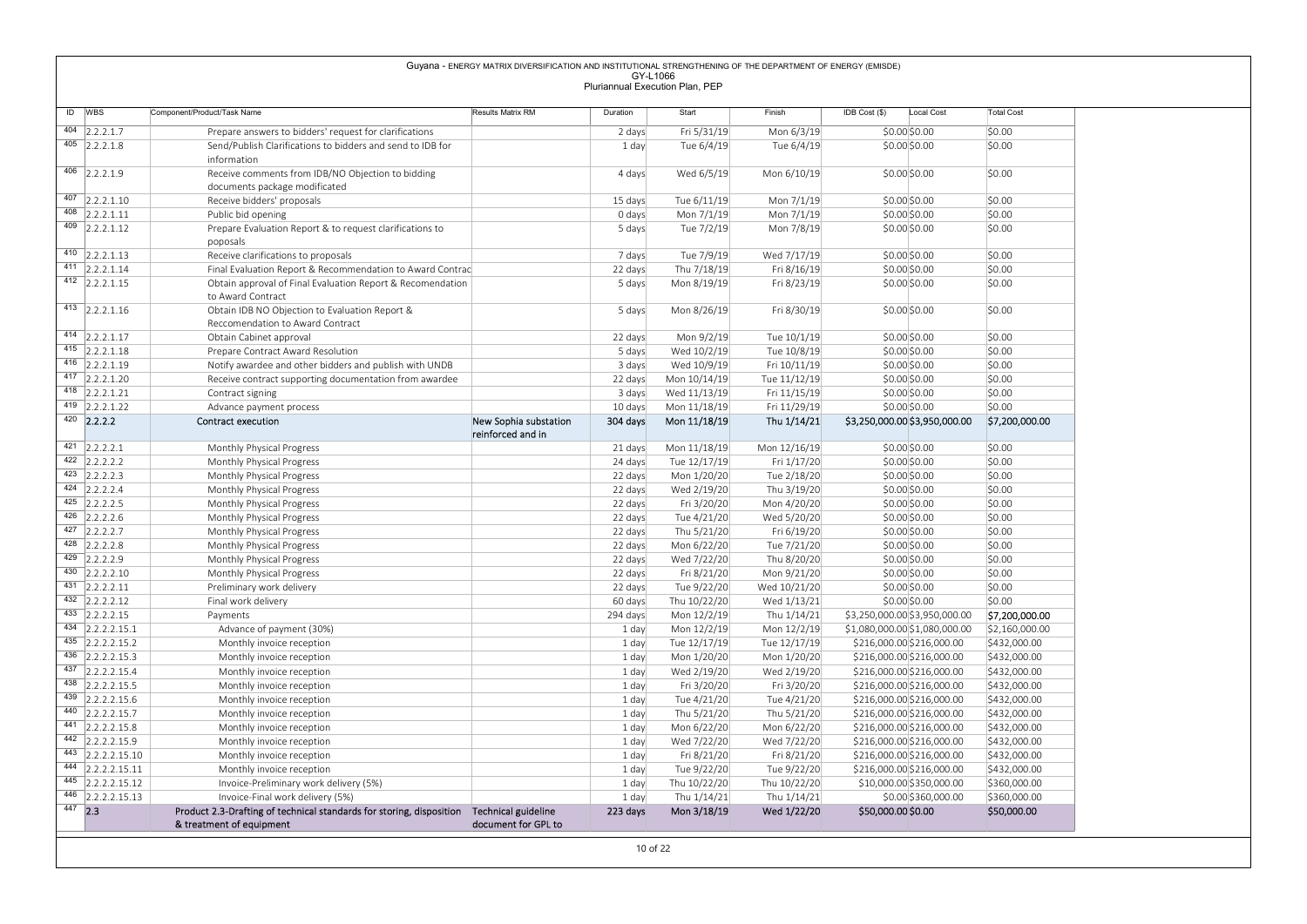|                                                 |                                                                                                          | Guyana - ENERGY MATRIX DIVERSIFICATION AND INSTITUTIONAL STRENGTHENING OF THE DEPARTMENT OF ENERGY (EMISDE) | GY-L1066            |                                 |                             |                                                        |                              |
|-------------------------------------------------|----------------------------------------------------------------------------------------------------------|-------------------------------------------------------------------------------------------------------------|---------------------|---------------------------------|-----------------------------|--------------------------------------------------------|------------------------------|
|                                                 |                                                                                                          |                                                                                                             |                     | Pluriannual Execution Plan, PEP |                             |                                                        |                              |
| ID WBS                                          | Component/Product/Task Name                                                                              | Results Matrix RM                                                                                           | Duration            | Start                           | Finish                      | IDB Cost (\$)<br>Local Cost                            | <b>Total Cost</b>            |
| $\overline{404}$ 2.2.2.1.7                      | Prepare answers to bidders' request for clarifications                                                   |                                                                                                             | 2 days              | Fri 5/31/19                     | Mon 6/3/19                  | $$0.00$ \$0.00                                         | \$0.00                       |
| $\overline{405}$ 2.2.2.1.8                      | Send/Publish Clarifications to bidders and send to IDB for<br>information                                |                                                                                                             | 1 day               | Tue 6/4/19                      | Tue 6/4/19                  | \$0.00 \$0.00                                          | \$0.00                       |
| 406 2.2.2.1.9                                   | Receive comments from IDB/NO Objection to bidding                                                        |                                                                                                             | 4 days              | Wed 6/5/19                      | Mon 6/10/19                 | \$0.00 \$0.00                                          | \$0.00                       |
|                                                 | documents package modificated                                                                            |                                                                                                             |                     |                                 |                             |                                                        |                              |
| $407$ 2.2.2.1.10                                | Receive bidders' proposals                                                                               |                                                                                                             | 15 days             | Tue 6/11/19                     | Mon 7/1/19                  | \$0.00\$0.00                                           | \$0.00                       |
| $\overline{408}$ 2.2.2.1.11<br>$409$ 2.2.2.1.12 | Public bid opening                                                                                       |                                                                                                             | 0 days              | Mon 7/1/19                      | Mon 7/1/19                  | \$0.00 \$0.00                                          | \$0.00<br>\$0.00             |
|                                                 | Prepare Evaluation Report & to request clarifications to<br>poposals                                     |                                                                                                             | 5 days              | Tue 7/2/19                      | Mon 7/8/19                  | \$0.00\$0.00                                           |                              |
| 410 $ 2.2.2.1.13$                               | Receive clarifications to proposals                                                                      |                                                                                                             | 7 days              | Tue 7/9/19                      | Wed 7/17/19                 | \$0.00 \$0.00                                          | \$0.00                       |
| $411$ 2.2.2.1.14                                | Final Evaluation Report & Recommendation to Award Contrac                                                |                                                                                                             | 22 days             | Thu 7/18/19                     | Fri 8/16/19                 | \$0.00 \$0.00                                          | \$0.00                       |
| $412$ 2.2.2.1.15                                | Obtain approval of Final Evaluation Report & Recomendation<br>to Award Contract                          |                                                                                                             | 5 days              | Mon 8/19/19                     | Fri 8/23/19                 | \$0.00 \$0.00                                          | \$0.00                       |
| 413 $ 2.2.2.1.16$                               | Obtain IDB NO Objection to Evaluation Report &                                                           |                                                                                                             | 5 days              | Mon 8/26/19                     | Fri 8/30/19                 | \$0.00\$0.00                                           | \$0.00                       |
|                                                 | Reccomendation to Award Contract                                                                         |                                                                                                             |                     |                                 |                             |                                                        |                              |
| 414 $ 2.2.2.1.17$<br>$415$ 2.2.2.1.18           | Obtain Cabinet approval<br>Prepare Contract Award Resolution                                             |                                                                                                             | 22 days<br>5 days   | Mon 9/2/19<br>Wed 10/2/19       | Tue 10/1/19<br>Tue 10/8/19  | \$0.00 \$0.00<br>\$0.00 \$0.00                         | \$0.00<br>\$0.00             |
| 416 2.2.2.1.19                                  | Notify awardee and other bidders and publish with UNDB                                                   |                                                                                                             | 3 days              | Wed 10/9/19                     | Fri 10/11/19                | \$0.00 \$0.00                                          | \$0.00                       |
| $417$ 2.2.2.1.20                                | Receive contract supporting documentation from awardee                                                   |                                                                                                             | 22 days             | Mon 10/14/19                    | Tue 11/12/19                | \$0.00\$0.00                                           | \$0.00                       |
| $418$ 2.2.2.1.21                                | Contract signing                                                                                         |                                                                                                             | 3 days              | Wed 11/13/19                    | Fri 11/15/19                | \$0.00 \$0.00                                          | \$0.00                       |
| 419 2.2.2.1.22<br>$420$ 2.2.2.2                 | Advance payment process<br>Contract execution                                                            | New Sophia substation                                                                                       | 10 days<br>304 days | Mon 11/18/19<br>Mon 11/18/19    | Fri 11/29/19<br>Thu 1/14/21 | \$0.00 \$0.00<br>\$3,250,000.00 \$3,950,000.00         | \$0.00<br>\$7,200,000.00     |
|                                                 |                                                                                                          | reinforced and in                                                                                           |                     |                                 |                             |                                                        |                              |
| $421$ 2.2.2.2.1                                 | Monthly Physical Progress                                                                                |                                                                                                             | 21 days             | Mon 11/18/19                    | Mon 12/16/19                | \$0.00 \$0.00                                          | \$0.00                       |
| $422$ 2.2.2.2.2                                 | Monthly Physical Progress                                                                                |                                                                                                             | 24 days             | Tue 12/17/19                    | Fri 1/17/20                 | \$0.00 \$0.00                                          | \$0.00                       |
| $423$ 2.2.2.2.3<br>$424$ 2.2.2.2.4              | Monthly Physical Progress<br>Monthly Physical Progress                                                   |                                                                                                             | 22 days<br>22 days  | Mon 1/20/20<br>Wed 2/19/20      | Tue 2/18/20<br>Thu 3/19/20  | \$0.00 \$0.00<br>\$0.00 \$0.00                         | \$0.00<br>\$0.00             |
| $425$ 2.2.2.2.5                                 | Monthly Physical Progress                                                                                |                                                                                                             | 22 days             | Fri 3/20/20                     | Mon 4/20/20                 | \$0.00 \$0.00                                          | \$0.00                       |
| $426$ 2.2.2.2.6                                 | Monthly Physical Progress                                                                                |                                                                                                             | 22 days             | Tue 4/21/20                     | Wed 5/20/20                 | \$0.00\$0.00                                           | \$0.00                       |
| $427$ 2.2.2.2.7                                 | Monthly Physical Progress                                                                                |                                                                                                             | 22 days             | Thu 5/21/20                     | Fri 6/19/20                 | \$0.00 \$0.00                                          | \$0.00                       |
| $428$ 2.2.2.2.8<br>$429$ 2.2.2.2.9              | Monthly Physical Progress                                                                                |                                                                                                             | 22 days             | Mon 6/22/20<br>Wed 7/22/20      | Tue 7/21/20                 | \$0.00\$0.00                                           | \$0.00<br>\$0.00             |
| 430 $ 2.2.2.2.10$                               | Monthly Physical Progress<br>Monthly Physical Progress                                                   |                                                                                                             | 22 days<br>22 days  | Fri 8/21/20                     | Thu 8/20/20<br>Mon 9/21/20  | \$0.00 \$0.00<br>\$0.00\$0.00                          | \$0.00                       |
| $431$ 2.2.2.2.11                                | Preliminary work delivery                                                                                |                                                                                                             | 22 days             | Tue 9/22/20                     | Wed 10/21/20                | \$0.00 \$0.00                                          | \$0.00                       |
| $432$ 2.2.2.2.12                                | Final work delivery                                                                                      |                                                                                                             | 60 days             | Thu 10/22/20                    | Wed 1/13/21                 | \$0.00 \$0.00                                          | \$0.00                       |
| $433$ 2.2.2.2.15                                | Payments                                                                                                 |                                                                                                             | 294 days            | Mon 12/2/19                     | Thu 1/14/21                 | \$3,250,000.00 \$3,950,000.00                          | \$7,200,000.00               |
| 434 2.2.2.2.15.1                                | Advance of payment (30%)                                                                                 |                                                                                                             | 1 day               | Mon 12/2/19                     | Mon 12/2/19                 | \$1,080,000.00 \$1,080,000.00                          | \$2,160,000.00               |
| $435$ 2.2.2.2.15.2<br>436 2.2.2.2.15.3          | Monthly invoice reception<br>Monthly invoice reception                                                   |                                                                                                             | 1 day<br>1 day      | Tue 12/17/19<br>Mon 1/20/20     | Tue 12/17/19<br>Mon 1/20/20 | \$216,000.00 \$216,000.00<br>\$216,000.00 \$216,000.00 | \$432,000.00<br>\$432,000.00 |
| $437$ 2.2.2.2.15.4                              | Monthly invoice reception                                                                                |                                                                                                             | 1 day               | Wed 2/19/20                     | Wed 2/19/20                 | \$216,000.00 \$216,000.00                              | \$432,000.00                 |
| 438 2.2.2.2.15.5                                | Monthly invoice reception                                                                                |                                                                                                             | 1 day               | Fri 3/20/20                     | Fri 3/20/20                 | \$216,000.00 \$216,000.00                              | \$432,000.00                 |
| 439 2.2.2.2.15.6                                | Monthly invoice reception                                                                                |                                                                                                             | 1 day               | Tue 4/21/20                     | Tue 4/21/20                 | \$216,000.00 \$216,000.00                              | \$432,000.00                 |
| 440 2.2.2.2.15.7<br>441 2.2.2.2.15.8            | Monthly invoice reception                                                                                |                                                                                                             | 1 day               | Thu 5/21/20                     | Thu 5/21/20                 | \$216,000.00 \$216,000.00                              | \$432,000.00                 |
| 442 2.2.2.2.15.9                                | Monthly invoice reception<br>Monthly invoice reception                                                   |                                                                                                             | 1 day<br>1 day      | Mon 6/22/20<br>Wed 7/22/20      | Mon 6/22/20<br>Wed 7/22/20  | \$216,000.00 \$216,000.00<br>\$216,000.00 \$216,000.00 | \$432,000.00<br>\$432,000.00 |
| $\overline{443}$ 2.2.2.2.15.10                  | Monthly invoice reception                                                                                |                                                                                                             | 1 day               | Fri 8/21/20                     | Fri 8/21/20                 | \$216,000.00 \$216,000.00                              | \$432,000.00                 |
| 444 2.2.2.2.15.11                               | Monthly invoice reception                                                                                |                                                                                                             | 1 day               | Tue 9/22/20                     | Tue 9/22/20                 | \$216,000.00 \$216,000.00                              | \$432,000.00                 |
| $445$ 2.2.2.2.15.12                             | Invoice-Preliminary work delivery (5%)                                                                   |                                                                                                             | 1 day               | Thu 10/22/20                    | Thu 10/22/20                | \$10,000.00 \$350,000.00                               | \$360,000.00                 |
|                                                 | Invoice-Final work delivery (5%)<br>Product 2.3-Drafting of technical standards for storing, disposition | Technical guideline                                                                                         | 1 day<br>223 days   | Thu 1/14/21<br>Mon 3/18/19      | Thu 1/14/21<br>Wed 1/22/20  | \$0.00 \$360,000.00<br>\$50,000.00 \$0.00              | \$360,000.00<br>\$50,000.00  |
| 446 2.2.2.2.15.13<br>$447$ 2.3                  |                                                                                                          |                                                                                                             |                     |                                 |                             |                                                        |                              |

10 of 22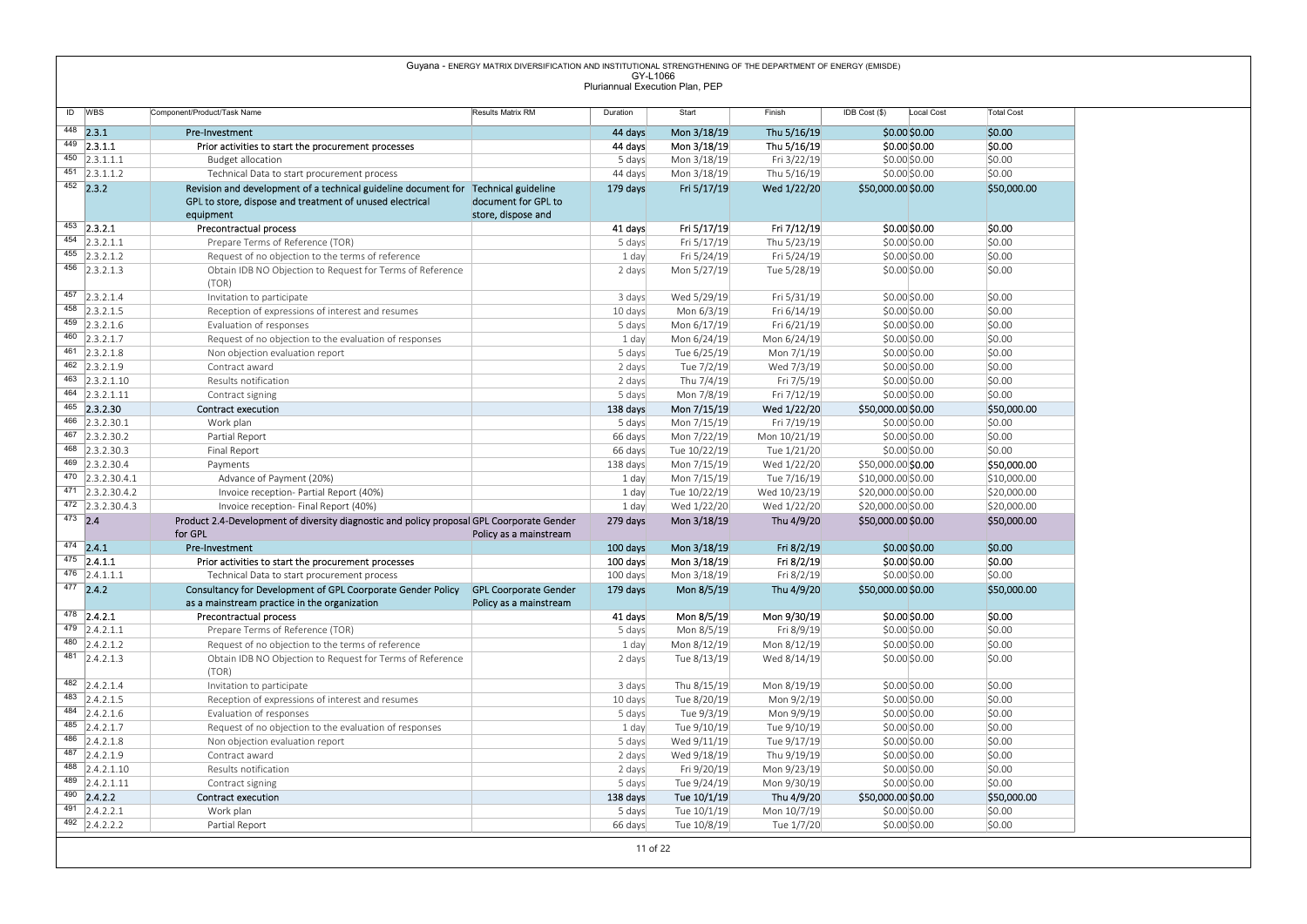# Guyana - ENEROY MATRIX DIVERSIFICATION AND INSTITUTIONAL STRENGTHENING OF THE DEPARTMENT OF ENEROY (EMISOR)<br>
Pluriannual Execution Pina, PEP<br>
MBS Composite Manus Manus Manus Manus Manus Manus Manus Manus Manus Manus Manus Revision and development of a technical guideline document for Technical guideline 179 days<br>GPL to store, dispose and treatment of unused electrical document for GPL to store, dispose and 179 days Fri 5/17/19 Wed 1/22/20 \$50,000.00 \$0.00 \$50,000.00 <sup>453</sup> 2.3.2.1 Precontractual process 41 days Fri 5/17/19 Fri 7/12/19 \$0.00 \$0.00 \$0.00 454 2.3.2.1.1 Prepare Terms of Reference (TOR) 5 days Fri 5/17/19 Thu 5/23/19 \$0.00 \$0.00 \$0.00 \$0.00 \$0.00 \$0.00 \$0.00 \$0.00 \$0.00 \$0.00 \$0.00 \$0.00 \$0.00 \$0.00 \$0.00 \$0.00 \$0.00 \$0.00 \$0.00 \$0.00 \$0.00 \$0.00 \$0.00 \$0.00 455 2.3.2.1.2 Request of no objection to the terms of reference 1 day Fri 5/24/19 Fri 5/24/19 Fri 5/24/19 \$0.00<br>456 2.3.2.1.2 Chtain IDB NO Objection to Request for Terms of Reference 2 2 days Mon 5/27/19 Tue 5/28/19 \$0.00 Obtain IDB NO Objection to Request for Terms of Reference (TOR) 2 days Mon 5/27/19 Tue 5/28/19 \$0.00 \$0.00 \$0.00 <sup>457</sup> 2.3.2.1.4 Invitation to participate 3 days Wed 5/29/19 Fri 5/31/19 \$0.00 \$0.00 \$0.00 458 2.3.2.1.5 Reception of expressions of interest and resumes 10 days Mon 6/3/19 Fri 6/14/19 \$0.00 \$0.00 \$0.00 \$0.00 \$0.00 \$0.00 \$0.00 \$0.00 \$0.00 \$0.00 \$0.00 \$0.00 \$0.00 \$0.00 \$0.00 \$0.00 \$0.00 \$0.00 \$0.00 \$0.00 \$0.00 \$0 <sup>459</sup> 2.3.2.1.6 Evaluation of responses 5 days Mon 6/17/19 Fri 6/21/19 \$0.00 \$0.00 \$0.00 460 2.3.2.1.7 Request of no objection to the evaluation of responses 1 day Mon 6/24/19 Mon 6/24/19 \$0.00 \$0.00 \$0.00 \$0.00 \$0.00 \$0.00 \$0.00 \$0.00 \$0.00 \$0.00 \$0.00 \$0.00 \$0.00 \$0.00 \$0.00 \$0.00 \$0.00 \$0.00 \$0.00 \$0.00 \$0. <sup>461</sup> 2.3.2.1.8 Non objection evaluation report 5 days Tue 6/25/19 Mon 7/1/19 \$0.00 \$0.00 \$0.00 <sup>462</sup> 2.3.2.1.9 Contract award 2 days Tue 7/2/19 Wed 7/3/19 \$0.00 \$0.00 \$0.00 <sup>463</sup> 2.3.2.1.10 Results notification 2 days Thu 7/4/19 Fri 7/5/19 \$0.00 \$0.00 \$0.00 <sup>464</sup> 2.3.2.1.11 Contract signing 5 days Mon 7/8/19 Fri 7/12/19 \$0.00 \$0.00 \$0.00 <sup>465</sup> 2.3.2.30 Contract execution 138 days Mon 7/15/19 Wed 1/22/20 \$50,000.00 \$0.00 \$50,000.00 <sup>466</sup> 2.3.2.30.1 Work plan 5 days Mon 7/15/19 Fri 7/19/19 \$0.00 \$0.00 \$0.00 <sup>467</sup> 2.3.2.30.2 Partial Report 66 days Mon 7/22/19 Mon 10/21/19 \$0.00 \$0.00 \$0.00 <sup>468</sup> 2.3.2.30.3 Final Report 66 days Tue 10/22/19 Tue 1/21/20 \$0.00 \$0.00 \$0.00 469 2.3.2.30.4 Payments Payments Payments Payments Payments Payments (138 days Mon 7/15/19 Wed 1/22/20 \$50,000.00 \$**0.00 \$50,000.00 \$50,000.00 \$** \$50,000 \$50,000 \$50,000 \$50,000 \$50,000 \$ <sup>470</sup> 2.3.2.30.4.1 Advance of Payment (20%) 1 day Mon 7/15/19 Tue 7/16/19 \$10,000.00 \$0.00 \$10,000.00 <sup>471</sup> 2.3.2.30.4.2 Invoice reception- Partial Report (40%) 1 day Tue 10/22/19 Wed 10/23/19 \$20,000.00 \$0.00 \$20,000.00  $\frac{472}{1}$  2.3.2.30.4.3 Invoice reception- Final Report (40%)<br> **22.0.30.4.3** Involved Report (40%) 1 day Wed 1/22/20 Wed 1/22/20 \$20,000.00 \$0.00 \$20,000.00 \$20,000.00 \$50,000.00 \$50,000.00 \$50,000.00 \$50,000.00 \$50,000.  $^{473}$  2.4 Product 2.4-Development of diversity diagnostic and policy proposal GPL Coorporate Gender 279 days Mon 3/18/19 Thu 4/9/20 \$50,000.00 \$0.00 \$50,000.00 \$50,000.00 \$50,000.00 \$50,000.00 \$50,000.00 \$50,000.00 \$50,  $^{474}$  <code>2.4.1 Pre-Investment the state state state to the state of the state of the state of the state of the state of the state of the state of the state of the state of the state of the state of the state of the state </code> 475 2.4.1.1 Prior activities to start the procurement processes 100 days Mon 3/18/19 Fri 8/2/19 \$0.00 \$0.00 \$0.00 \$0.00 \$0.00 \$0.00 \$0.00 \$0.00 \$0.00 \$0.00 \$0.00 \$0.00 \$0.00 \$0.00 \$0.00 \$0.00 \$0.00 \$0.00 \$0.00 \$0.00 \$0.00  $\frac{476}{477}$  2.4.1.1.1 Technical Data to start procurement process 100 days Mon 3/18/19 Fri 8/2/19 \$0.00 \$0.00 \$0.00 \$0.00 \$0.00 \$50,00 \$50,00 \$50,00 \$50,00 \$50,00 \$50,00 \$50,00 \$50,00 \$50,00 \$50,00 \$50,00 \$50,00 \$50,00  $\frac{477}{12}$  2.4.2 Consultancy for Development of GPL Coorporate Gender Policy GPL Coorporate Gender 179 days Mon 8/5/19 Thu 4/9/20 \$50,000.00 \$0.00 \$50,000.00 \$50,000.00 \$50,000.00 \$50,000.00 \$50,000.00 \$50,000.00 \$1,000 <sup>478</sup> 2.4.2.1 Precontractual process 41 days Mon 8/5/19 Mon 9/30/19 \$0.00 \$0.00 \$0.00 <sup>479</sup> 2.4.2.1.1 Prepare Terms of Reference (TOR) 5 days Mon 8/5/19 Fri 8/9/19 \$0.00 \$0.00 \$0.00 480 2.4.2.1.2 Request of no objection to the terms of reference 1 day Mon 8/12/19 Mon 8/12/19 Mon 8/12/19 \$0.00<br>481 2.4.2.1.2 Chrisin IDB NO Objection to Request for Terms of Reference 2 days Tue 8/13/19 Wed 8/14/19 \$0.00 Obtain IDB NO Objection to Request for Terms of Reference (TOR) 2 days Tue 8/13/19 Wed 8/14/19 \$0.00 \$0.00 \$0.00 482 2.4.2.1.4 | Invitation to participate 3 days | 3 days Thu 8/15/19 Mon 8/19/19 \$0.00 \$0.00 \$0.00 \$0.00 \$0.00 483 2.4.2.1.5 Reception of expressions of interest and resumes 10 days Tue 8/20/19 Mon 9/2/19 \$0.00 \$0.00 \$0.00 \$0.00 \$0.00 \$0.00 \$0.00 \$0.00 \$0.00 \$0.00 \$0.00 \$0.00 \$0.00 \$0.00 \$0.00 \$0.00 \$0.00 \$0.00 \$0.00 \$0.00 \$0.00 \$0 <sup>484</sup> 2.4.2.1.6 Evaluation of responses 5 days Tue 9/3/19 Mon 9/9/19 \$0.00 \$0.00 \$0.00 485 2.4.2.1.7 Request of no objection to the evaluation of responses 1 day Tue 9/10/19 Tue 9/10/19 50.00 \$0.00 \$0.00 \$0.00 \$0.00 \$0.00 \$0.00 \$0.00 \$0.00 \$0.00 \$0.00 \$0.00 \$0.00 \$0.00 \$0.00 \$0.00 \$0.00 \$0.00 \$0.00 \$1.00 \$1. 196 2.4.2.1.8 Non objection evaluation report 5 days Wed 9/11/19 Tue 9/17/19 \$0.00 \$0.00 \$0.00 \$0.00 \$0.00 \$0.00 \$0.00 \$0.00 \$0.00 \$0.00 \$0.00 \$0.00 \$0.00 \$0.00 \$0.00 \$0.00 \$0.00 \$0.00 \$0.00 \$0.00 \$0.00 \$0.00 \$0.00 \$0.00 \$ <sup>487</sup> 2.4.2.1.9 Contract award 2 days Wed 9/18/19 Thu 9/19/19 \$0.00 \$0.00 \$0.00 <sup>488</sup> 2.4.2.1.10 Results notification 2 days Fri 9/20/19 Mon 9/23/19 \$0.00 \$0.00 \$0.00 <sup>489</sup> 2.4.2.1.11 Contract signing 5 days Tue 9/24/19 Mon 9/30/19 \$0.00 \$0.00 \$0.00 <sup>490</sup> 2.4.2.2 Contract execution 138 days Tue 10/1/19 Thu 4/9/20 \$50,000.00 \$0.00 \$50,000.00 <sup>491</sup> 2.4.2.2.1 Work plan 5 days Tue 10/1/19 Mon 10/7/19 \$0.00 \$0.00 \$0.00 <sup>492</sup> 2.4.2.2.2 Partial Report 66 days Tue 10/8/19 Tue 1/7/20 \$0.00 \$0.00 \$0.00 Guyana - ENERGY MATRIX DIVERSIFICATION AND INSTITUTIONAL STRENGTHENING OF THE DEPARTMENT OF ENERGY (EMISDE) GY-L1066 Pluriannual Execution Plan, PEP

11 of 22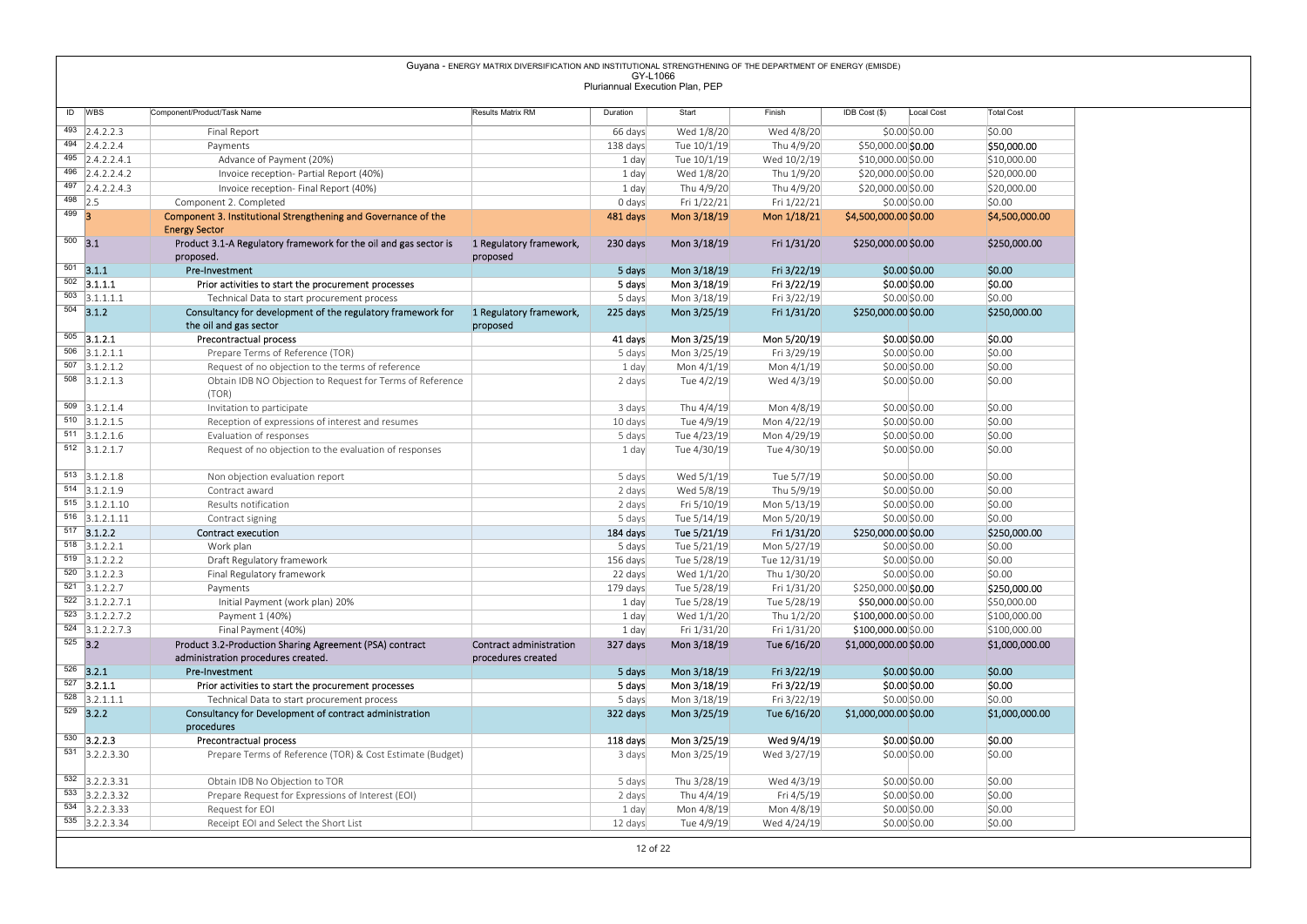|         |                                                              |                                                                                                       | Guyana - ENERGY MATRIX DIVERSIFICATION AND INSTITUTIONAL STRENGTHENING OF THE DEPARTMENT OF ENERGY (EMISDE) |                    |                                 |                            |                                            |                                |                              |
|---------|--------------------------------------------------------------|-------------------------------------------------------------------------------------------------------|-------------------------------------------------------------------------------------------------------------|--------------------|---------------------------------|----------------------------|--------------------------------------------|--------------------------------|------------------------------|
|         |                                                              |                                                                                                       |                                                                                                             | GY-L1066           | Pluriannual Execution Plan, PEP |                            |                                            |                                |                              |
|         |                                                              |                                                                                                       |                                                                                                             |                    |                                 |                            |                                            |                                |                              |
|         | ID WBS                                                       | Component/Product/Task Name                                                                           | Results Matrix RM                                                                                           | Duration           | Start                           | Finish                     | IDB Cost (\$)                              | Local Cost                     | <b>Total Cost</b>            |
|         | $\overline{493}$ 2.4.2.2.3                                   | Final Report                                                                                          |                                                                                                             | 66 days            | Wed 1/8/20                      | Wed 4/8/20                 |                                            | \$0.00 \$0.00                  | \$0.00                       |
|         | $\overline{494}$ 2.4.2.2.4                                   | Payments                                                                                              |                                                                                                             | 138 days           | Tue 10/1/19                     | Thu 4/9/20                 | \$50,000.00 \$0.00                         |                                | \$50,000.00                  |
|         | $\overline{495}$ 2.4.2.2.4.1<br>$\overline{496}$ 2.4.2.2.4.2 | Advance of Payment (20%)<br>Invoice reception- Partial Report (40%)                                   |                                                                                                             | 1 day<br>1 day     | Tue 10/1/19<br>Wed 1/8/20       | Wed 10/2/19<br>Thu 1/9/20  | \$10,000.00 \$0.00<br>\$20,000.00 \$0.00   |                                | \$10,000.00<br>\$20,000.00   |
|         | 497 2.4.2.2.4.3                                              | Invoice reception- Final Report (40%)                                                                 |                                                                                                             | 1 day              | Thu 4/9/20                      | Thu 4/9/20                 | \$20,000.00 \$0.00                         |                                | \$20,000.00                  |
|         | $498$ 2.5                                                    | Component 2. Completed                                                                                |                                                                                                             | 0 days             | Fri 1/22/21                     | Fri 1/22/21                |                                            | \$0.00 \$0.00                  | \$0.00                       |
| $499$ 3 |                                                              | Component 3. Institutional Strengthening and Governance of the                                        |                                                                                                             | 481 days           | Mon 3/18/19                     | Mon 1/18/21                | \$4,500,000.00 \$0.00                      |                                | \$4,500,000.00               |
|         | $500$ 3.1                                                    | <b>Energy Sector</b>                                                                                  |                                                                                                             |                    |                                 |                            |                                            |                                | \$250,000.00                 |
|         |                                                              | Product 3.1-A Regulatory framework for the oil and gas sector is<br>proposed.                         | 1 Regulatory framework,<br>proposed                                                                         | 230 days           | Mon 3/18/19                     | Fri 1/31/20                | \$250,000.00 \$0.00                        |                                |                              |
|         | $501$ 3.1.1                                                  | Pre-Investment                                                                                        |                                                                                                             | 5 days             | Mon 3/18/19                     | Fri 3/22/19                |                                            | $$0.00$$ \$0.00                | \$0.00                       |
|         | $\overline{502}$ 3.1.1.1                                     | Prior activities to start the procurement processes                                                   |                                                                                                             | 5 days             | Mon 3/18/19                     | Fri 3/22/19                |                                            | \$0.00 \$0.00                  | \$0.00                       |
|         | $\overline{503}$ 3.1.1.1.1                                   | Technical Data to start procurement process                                                           |                                                                                                             | 5 days             | Mon 3/18/19                     | Fri 3/22/19                |                                            | \$0.00 \$0.00                  | \$0.00                       |
|         | $504$ 3.1.2                                                  | Consultancy for development of the regulatory framework for<br>the oil and gas sector                 | 1 Regulatory framework,<br>proposed                                                                         | 225 days           | Mon 3/25/19                     | Fri 1/31/20                | \$250,000.00 \$0.00                        |                                | \$250,000.00                 |
|         | $505$ 3.1.2.1                                                | Precontractual process                                                                                |                                                                                                             | 41 days            | Mon 3/25/19                     | Mon 5/20/19                |                                            | \$0.00 \$0.00                  | \$0.00                       |
|         | $\overline{506}$ 3.1.2.1.1                                   | Prepare Terms of Reference (TOR)                                                                      |                                                                                                             | 5 days             | Mon 3/25/19                     | Fri 3/29/19                |                                            | \$0.00 \$0.00                  | \$0.00                       |
|         | $507$ 3.1.2.1.2                                              | Request of no objection to the terms of reference                                                     |                                                                                                             | 1 day              | Mon 4/1/19                      | Mon 4/1/19                 |                                            | \$0.00 \$0.00                  | \$0.00                       |
|         | $508$ 3.1.2.1.3                                              | Obtain IDB NO Objection to Request for Terms of Reference<br>(TOR)                                    |                                                                                                             | 2 days             | Tue 4/2/19                      | Wed 4/3/19                 |                                            | \$0.00 \$0.00                  | \$0.00                       |
|         | $509$ 3.1.2.1.4                                              | Invitation to participate                                                                             |                                                                                                             | 3 days             | Thu 4/4/19                      | Mon 4/8/19                 |                                            | \$0.00 \$0.00                  | \$0.00                       |
|         | $\overline{510}$ 3.1.2.1.5                                   | Reception of expressions of interest and resumes                                                      |                                                                                                             | 10 days            | Tue 4/9/19                      | Mon 4/22/19                |                                            | \$0.00 \$0.00                  | \$0.00                       |
|         | $\overline{511}$ 3.1.2.1.6                                   | Evaluation of responses                                                                               |                                                                                                             | 5 days             | Tue 4/23/19                     | Mon 4/29/19                |                                            | \$0.00 \$0.00                  | \$0.00                       |
|         | $512$ 3.1.2.1.7                                              | Request of no objection to the evaluation of responses                                                |                                                                                                             | 1 day              | Tue 4/30/19                     | Tue 4/30/19                |                                            | \$0.00 \$0.00                  | \$0.00                       |
|         | $513$ 3.1.2.1.8                                              | Non objection evaluation report                                                                       |                                                                                                             | 5 days             | Wed 5/1/19                      | Tue 5/7/19                 |                                            | \$0.00\$0.00                   | \$0.00                       |
|         | $514$ 3.1.2.1.9                                              | Contract award                                                                                        |                                                                                                             | 2 days             | Wed 5/8/19                      | Thu 5/9/19                 |                                            | \$0.00 \$0.00                  | \$0.00                       |
|         | $515$ 3.1.2.1.10                                             | Results notification                                                                                  |                                                                                                             | 2 days             | Fri 5/10/19                     | Mon 5/13/19                |                                            | \$0.00 \$0.00                  | \$0.00                       |
|         | $516$ 3.1.2.1.11                                             | Contract signing                                                                                      |                                                                                                             | 5 days             | Tue 5/14/19                     | Mon 5/20/19                |                                            | \$0.00 \$0.00                  | \$0.00                       |
|         | $517$ 3.1.2.2<br>$518$ 3.1.2.2.1                             | Contract execution<br>Work plan                                                                       |                                                                                                             | 184 days<br>5 days | Tue 5/21/19<br>Tue 5/21/19      | Fri 1/31/20<br>Mon 5/27/19 | \$250,000.00 \$0.00                        | \$0.00 \$0.00                  | \$250,000.00<br>\$0.00       |
|         | $519$ 3.1.2.2.2                                              | Draft Regulatory framework                                                                            |                                                                                                             | 156 days           | Tue 5/28/19                     | Tue 12/31/19               |                                            | \$0.00 \$0.00                  | \$0.00                       |
|         | $520$ 3.1.2.2.3                                              | Final Regulatory framework                                                                            |                                                                                                             | 22 days            | Wed 1/1/20                      | Thu 1/30/20                |                                            | \$0.00 \$0.00                  | \$0.00                       |
|         | $521$ 3.1.2.2.7                                              | Payments                                                                                              |                                                                                                             | 179 days           | Tue 5/28/19                     | Fri 1/31/20                | \$250,000.00 \$0.00                        |                                | \$250,000.00                 |
|         | $522$ 3.1.2.2.7.1<br>$523$ 3.1.2.2.7.2                       | Initial Payment (work plan) 20%                                                                       |                                                                                                             | 1 day              | Tue 5/28/19                     | Tue 5/28/19                | \$50,000.00 \$0.00                         |                                | \$50,000.00                  |
|         | $524$ 3.1.2.2.7.3                                            | Payment 1 (40%)<br>Final Payment (40%)                                                                |                                                                                                             | 1 day<br>1 day     | Wed 1/1/20<br>Fri 1/31/20       | Thu 1/2/20<br>Fri 1/31/20  | \$100,000.00 \$0.00<br>\$100,000.00 \$0.00 |                                | \$100,000.00<br>\$100,000.00 |
|         | $525$ 3.2                                                    | Product 3.2-Production Sharing Agreement (PSA) contract                                               | <b>Contract administration</b>                                                                              | 327 days           | Mon 3/18/19                     | Tue 6/16/20                | \$1,000,000.00 \$0.00                      |                                | \$1,000,000.00               |
|         |                                                              | administration procedures created.                                                                    | procedures created                                                                                          |                    |                                 |                            |                                            |                                |                              |
|         | $526$ 3.2.1                                                  | Pre-Investment                                                                                        |                                                                                                             | 5 days             | Mon 3/18/19                     | Fri 3/22/19                |                                            | \$0.00\$0.00                   | \$0.00                       |
|         | $\overline{527}$ 3.2.1.1<br>$\overline{528}$ 3.2.1.1.1       | Prior activities to start the procurement processes                                                   |                                                                                                             | 5 days             | Mon 3/18/19<br>Mon 3/18/19      | Fri 3/22/19                |                                            | \$0.00 \$0.00<br>\$0.00 \$0.00 | \$0.00<br>\$0.00             |
|         | $\overline{529}$ 3.2.2                                       | Technical Data to start procurement process<br>Consultancy for Development of contract administration |                                                                                                             | 5 days<br>322 days | Mon 3/25/19                     | Fri 3/22/19<br>Tue 6/16/20 | \$1,000,000.00 \$0.00                      |                                | \$1,000,000.00               |
|         |                                                              | procedures                                                                                            |                                                                                                             |                    |                                 |                            |                                            |                                |                              |
|         | $530$ 3.2.2.3                                                | Precontractual process                                                                                |                                                                                                             | 118 days           | Mon 3/25/19                     | Wed 9/4/19                 |                                            | \$0.00 \$0.00                  | \$0.00                       |
|         | $\overline{531}$ 3.2.2.3.30                                  | Prepare Terms of Reference (TOR) & Cost Estimate (Budget)                                             |                                                                                                             | 3 days             | Mon 3/25/19                     | Wed 3/27/19                |                                            | \$0.00 \$0.00                  | \$0.00                       |
|         | $532$ 3.2.2.3.31                                             | Obtain IDB No Objection to TOR                                                                        |                                                                                                             | 5 days             | Thu 3/28/19                     | Wed 4/3/19                 |                                            | \$0.00 \$0.00                  | \$0.00                       |
|         |                                                              | Prepare Request for Expressions of Interest (EOI)                                                     |                                                                                                             | 2 days             | Thu 4/4/19                      | Fri 4/5/19                 |                                            | \$0.00 \$0.00                  | \$0.00                       |
|         | 533 3.2.2.3.32                                               |                                                                                                       |                                                                                                             |                    | Mon 4/8/19                      | Mon 4/8/19                 |                                            | \$0.00 \$0.00                  | \$0.00                       |
|         | $\overline{534}$ 3.2.2.3.33<br>535 3.2.2.3.34                | Request for EOI<br>Receipt EOI and Select the Short List                                              |                                                                                                             | 1 day              |                                 |                            |                                            |                                | \$0.00                       |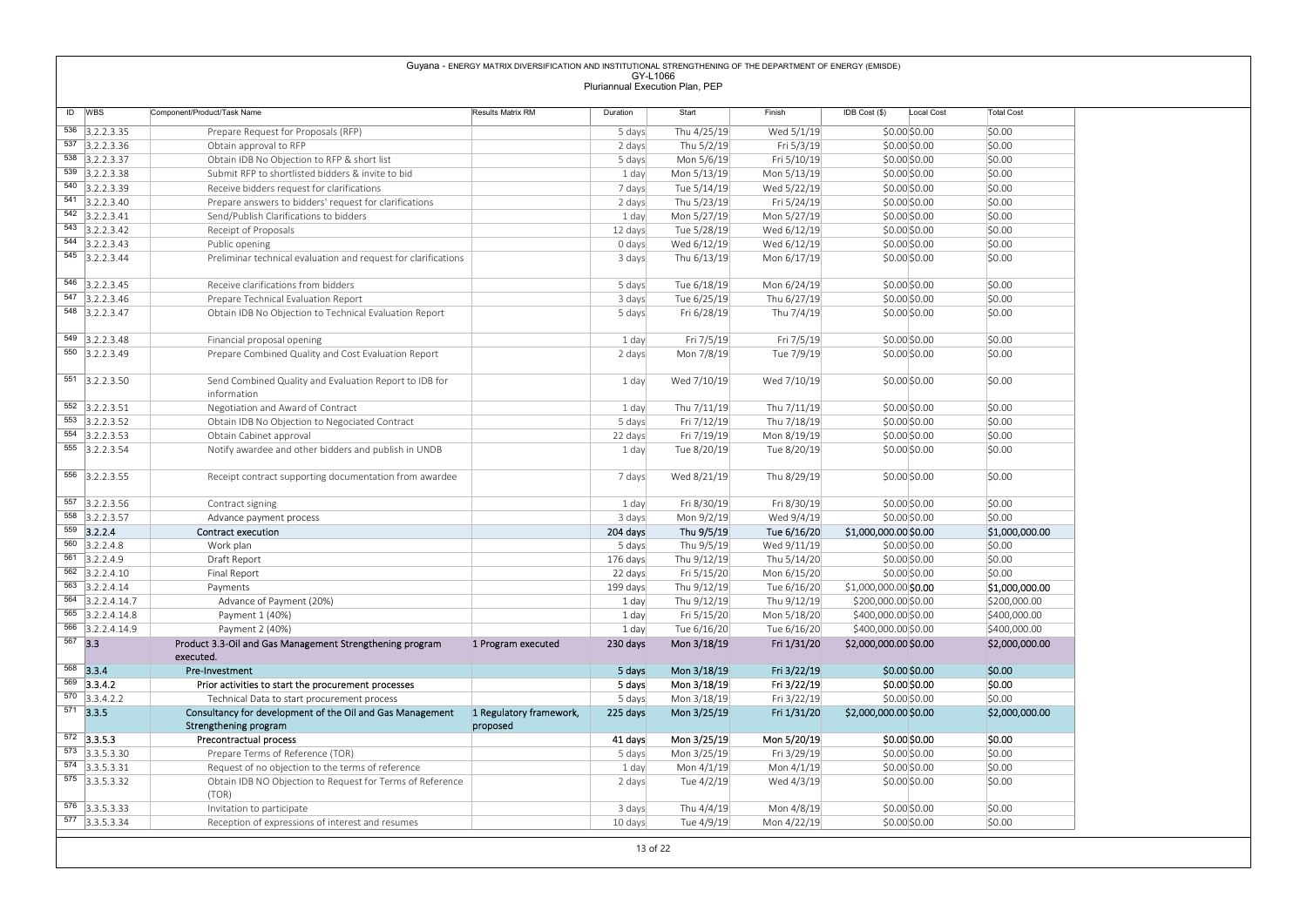|                                               |                                                                                     | Guyana - ENERGY MATRIX DIVERSIFICATION AND INSTITUTIONAL STRENGTHENING OF THE DEPARTMENT OF ENERGY (EMISDE) |                                 |                            |                            |                                |                   |
|-----------------------------------------------|-------------------------------------------------------------------------------------|-------------------------------------------------------------------------------------------------------------|---------------------------------|----------------------------|----------------------------|--------------------------------|-------------------|
|                                               |                                                                                     |                                                                                                             | GY-L1066                        |                            |                            |                                |                   |
|                                               |                                                                                     |                                                                                                             | Pluriannual Execution Plan, PEP |                            |                            |                                |                   |
| ID WBS                                        | Component/Product/Task Name                                                         | Results Matrix RM                                                                                           | Duration                        | Start                      | Finish                     | IDB Cost (\$)<br>Local Cost    | <b>Total Cost</b> |
| 536 3.2.2.3.35                                | Prepare Request for Proposals (RFP)                                                 |                                                                                                             | 5 days                          | Thu 4/25/19                | Wed 5/1/19                 | $$0.00$ \$0.00                 | \$0.00            |
| $\overline{537}$ 3.2.2.3.36                   | Obtain approval to RFP                                                              |                                                                                                             | 2 days                          | Thu 5/2/19                 | Fri 5/3/19                 | \$0.00 \$0.00                  | \$0.00            |
| 538 3.2.2.3.37                                | Obtain IDB No Objection to RFP & short list                                         |                                                                                                             | 5 days                          | Mon 5/6/19                 | Fri 5/10/19                | \$0.00 \$0.00                  | \$0.00            |
| $539$ 3.2.2.3.38                              | Submit RFP to shortlisted bidders & invite to bid                                   |                                                                                                             | 1 day                           | Mon 5/13/19                | Mon 5/13/19                | \$0.00 \$0.00                  | \$0.00            |
| 540 3.2.2.3.39                                | Receive bidders request for clarifications                                          |                                                                                                             | 7 days                          | Tue 5/14/19                | Wed 5/22/19                | \$0.00 \$0.00                  | \$0.00            |
| 541 3.2.2.3.40<br>$\overline{542}$ 3.2.2.3.41 | Prepare answers to bidders' request for clarifications                              |                                                                                                             | 2 days                          | Thu 5/23/19                | Fri 5/24/19<br>Mon 5/27/19 | \$0.00 \$0.00                  | \$0.00<br>\$0.00  |
| 543 3.2.2.3.42                                | Send/Publish Clarifications to bidders<br>Receipt of Proposals                      |                                                                                                             | 1 day<br>12 days                | Mon 5/27/19<br>Tue 5/28/19 | Wed 6/12/19                | \$0.00 \$0.00<br>\$0.00\$0.00  | \$0.00            |
| $\overline{544}$ 3.2.2.3.43                   | Public opening                                                                      |                                                                                                             | 0 days                          | Wed 6/12/19                | Wed 6/12/19                | \$0.00 \$0.00                  | \$0.00            |
| $\overline{545}$ 3.2.2.3.44                   | Preliminar technical evaluation and request for clarifications                      |                                                                                                             | 3 days                          | Thu 6/13/19                | Mon 6/17/19                | \$0.00\$0.00                   | \$0.00            |
|                                               |                                                                                     |                                                                                                             |                                 |                            |                            |                                |                   |
| 546 3.2.2.3.45                                | Receive clarifications from bidders                                                 |                                                                                                             | 5 days                          | Tue 6/18/19                | Mon 6/24/19                | \$0.00\$0.00                   | \$0.00            |
| 547 3.2.2.3.46                                | Prepare Technical Evaluation Report                                                 |                                                                                                             | 3 days                          | Tue 6/25/19                | Thu 6/27/19                | \$0.00 \$0.00                  | \$0.00            |
| 548 3.2.2.3.47                                | Obtain IDB No Objection to Technical Evaluation Report                              |                                                                                                             | 5 days                          | Fri 6/28/19                | Thu 7/4/19                 | \$0.00 \$0.00                  | \$0.00            |
| $549$ 3.2.2.3.48                              | Financial proposal opening                                                          |                                                                                                             | 1 day                           | Fri 7/5/19                 | Fri 7/5/19                 | \$0.00\$0.00                   | \$0.00            |
| $\overline{550}$ 3.2.2.3.49                   | Prepare Combined Quality and Cost Evaluation Report                                 |                                                                                                             | 2 days                          | Mon 7/8/19                 | Tue 7/9/19                 | \$0.00\$0.00                   | \$0.00            |
|                                               |                                                                                     |                                                                                                             |                                 |                            |                            |                                |                   |
| $551$ 3.2.2.3.50                              | Send Combined Quality and Evaluation Report to IDB for                              |                                                                                                             | 1 day                           | Wed 7/10/19                | Wed 7/10/19                | \$0.00 \$0.00                  | \$0.00            |
| 552<br>3.2.2.3.51                             | information                                                                         |                                                                                                             |                                 |                            |                            |                                |                   |
| $\overline{553}$ 3.2.2.3.52                   | Negotiation and Award of Contract<br>Obtain IDB No Objection to Negociated Contract |                                                                                                             | 1 day<br>5 days                 | Thu 7/11/19<br>Fri 7/12/19 | Thu 7/11/19<br>Thu 7/18/19 | \$0.00 \$0.00<br>\$0.00 \$0.00 | \$0.00<br>\$0.00  |
| 554 3.2.2.3.53                                | Obtain Cabinet approval                                                             |                                                                                                             | 22 days                         | Fri 7/19/19                | Mon 8/19/19                | \$0.00 \$0.00                  | \$0.00            |
| 555 3.2.2.3.54                                | Notify awardee and other bidders and publish in UNDB                                |                                                                                                             | 1 day                           | Tue 8/20/19                | Tue 8/20/19                | \$0.00 \$0.00                  | \$0.00            |
|                                               |                                                                                     |                                                                                                             |                                 |                            |                            |                                |                   |
| 556 3.2.2.3.55                                | Receipt contract supporting documentation from awardee                              |                                                                                                             | 7 days                          | Wed 8/21/19                | Thu 8/29/19                | \$0.00 \$0.00                  | \$0.00            |
|                                               |                                                                                     |                                                                                                             |                                 |                            |                            |                                |                   |
| 557 3.2.2.3.56<br>558 3.2.2.3.57              | Contract signing<br>Advance payment process                                         |                                                                                                             | 1 day<br>3 days                 | Fri 8/30/19<br>Mon 9/2/19  | Fri 8/30/19<br>Wed 9/4/19  | \$0.00 \$0.00<br>\$0.00 \$0.00 | \$0.00<br>\$0.00  |
| $559$ 3.2.2.4                                 | <b>Contract execution</b>                                                           |                                                                                                             | 204 days                        | Thu 9/5/19                 | Tue 6/16/20                | \$1,000,000.00 \$0.00          | \$1,000,000.00    |
| $560$ 3.2.2.4.8                               | Work plan                                                                           |                                                                                                             | 5 days                          | Thu 9/5/19                 | Wed 9/11/19                | \$0.00\$0.00                   | \$0.00            |
| $561$ 3.2.2.4.9                               | Draft Report                                                                        |                                                                                                             | 176 days                        | Thu 9/12/19                | Thu 5/14/20                | \$0.00 \$0.00                  | \$0.00            |
| 562 3.2.2.4.10                                | Final Report                                                                        |                                                                                                             | 22 days                         | Fri 5/15/20                | Mon 6/15/20                | \$0.00 \$0.00                  | \$0.00            |
| $563$ 3.2.2.4.14                              | Payments                                                                            |                                                                                                             | 199 days                        | Thu 9/12/19                | Tue 6/16/20                | \$1,000,000.00 \$0.00          | \$1,000,000.00    |
| 564 3.2.2.4.14.7                              | Advance of Payment (20%)                                                            |                                                                                                             | 1 day                           | Thu 9/12/19                | Thu 9/12/19                | \$200,000.00 \$0.00            | \$200,000.00      |
| 565 3.2.2.4.14.8                              | Payment 1 (40%)                                                                     |                                                                                                             | 1 day                           | Fri 5/15/20                | Mon 5/18/20                | \$400,000.00 \$0.00            | \$400,000.00      |
| 566 3.2.2.4.14.9<br>$567$ 3.3                 | Payment 2 (40%)<br>Product 3.3-Oil and Gas Management Strengthening program         | 1 Program executed                                                                                          | 1 day                           | Tue 6/16/20                | Tue 6/16/20                | \$400,000.00 \$0.00            | \$400,000.00      |
|                                               | executed.                                                                           |                                                                                                             | 230 days                        | Mon 3/18/19                | Fri 1/31/20                | \$2,000,000.00 \$0.00          | \$2,000,000.00    |
| 568 3.3.4                                     | Pre-Investment                                                                      |                                                                                                             | 5 days                          | Mon 3/18/19                | Fri 3/22/19                | \$0.00 \$0.00                  | \$0.00            |
| $569$ 3.3.4.2                                 | Prior activities to start the procurement processes                                 |                                                                                                             | 5 days                          | Mon 3/18/19                | Fri 3/22/19                | \$0.00 \$0.00                  | \$0.00            |
| $\overline{570}$ 3.3.4.2.2                    | Technical Data to start procurement process                                         |                                                                                                             | 5 days                          | Mon 3/18/19                | Fri 3/22/19                | \$0.00 \$0.00                  | \$0.00            |
| $571$ 3.3.5                                   | Consultancy for development of the Oil and Gas Management                           | 1 Regulatory framework,                                                                                     | 225 days                        | Mon 3/25/19                | Fri 1/31/20                | \$2,000,000.00 \$0.00          | \$2,000,000.00    |
| $572$ 3.3.5.3                                 | Strengthening program                                                               | proposed                                                                                                    |                                 |                            |                            |                                |                   |
| $573$ 3.3.5.3.30                              | Precontractual process<br>Prepare Terms of Reference (TOR)                          |                                                                                                             | 41 days<br>5 days               | Mon 3/25/19<br>Mon 3/25/19 | Mon 5/20/19<br>Fri 3/29/19 | \$0.00 \$0.00<br>\$0.00 \$0.00 | \$0.00<br>\$0.00  |
| 574 3.3.5.3.31                                | Request of no objection to the terms of reference                                   |                                                                                                             | 1 day                           | Mon 4/1/19                 | Mon 4/1/19                 | \$0.00 \$0.00                  | \$0.00            |
| 575 3.3.5.3.32                                | Obtain IDB NO Objection to Request for Terms of Reference                           |                                                                                                             | 2 days                          | Tue 4/2/19                 | Wed 4/3/19                 | \$0.00 \$0.00                  | \$0.00            |
|                                               | (TOR)                                                                               |                                                                                                             |                                 |                            |                            |                                |                   |
|                                               | Invitation to participate                                                           |                                                                                                             | 3 days                          | Thu 4/4/19                 | Mon 4/8/19                 | \$0.00 \$0.00                  | \$0.00            |
| 576 3.3.5.3.33<br>$\overline{577}$ 3.3.5.3.34 |                                                                                     |                                                                                                             | 10 days                         | Tue 4/9/19                 | Mon 4/22/19                | \$0.00 \$0.00                  | \$0.00            |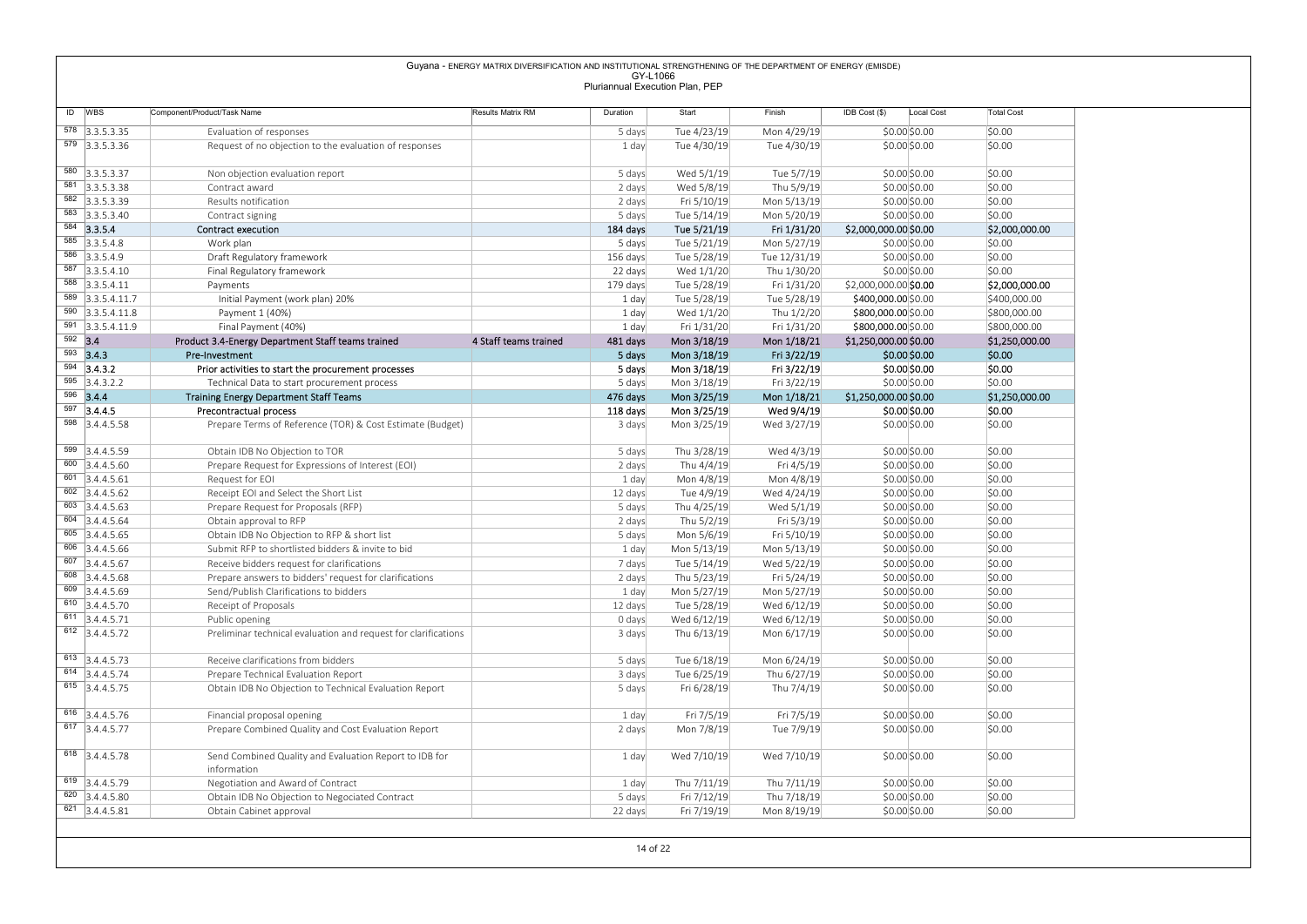|                                                                                                                    |                                                                                                  | Guyana - ENERGY MATRIX DIVERSIFICATION AND INSTITUTIONAL STRENGTHENING OF THE DEPARTMENT OF ENERGY (EMISDE) | GY-L1066                        |                             |                             |                                              |                                |
|--------------------------------------------------------------------------------------------------------------------|--------------------------------------------------------------------------------------------------|-------------------------------------------------------------------------------------------------------------|---------------------------------|-----------------------------|-----------------------------|----------------------------------------------|--------------------------------|
|                                                                                                                    |                                                                                                  |                                                                                                             | Pluriannual Execution Plan, PEP |                             |                             |                                              |                                |
| ID WBS                                                                                                             | Component/Product/Task Name                                                                      | Results Matrix RM                                                                                           | Duration                        | Start                       | Finish                      | $IDB Cost$ (\$)<br>Local Cost                | <b>Total Cost</b>              |
| 578 3.3.5.3.35                                                                                                     |                                                                                                  |                                                                                                             |                                 |                             |                             |                                              |                                |
| 579 3.3.5.3.36                                                                                                     | Evaluation of responses<br>Request of no objection to the evaluation of responses                |                                                                                                             | 5 days<br>1 day                 | Tue 4/23/19<br>Tue 4/30/19  | Mon 4/29/19<br>Tue 4/30/19  | $$0.00$ \$0.00<br>$$0.00$ \$0.00             | \$0.00<br>\$0.00               |
|                                                                                                                    |                                                                                                  |                                                                                                             |                                 |                             |                             |                                              |                                |
| 580 3.3.5.3.37                                                                                                     | Non objection evaluation report                                                                  |                                                                                                             | 5 days                          | Wed 5/1/19                  | Tue 5/7/19                  | \$0.00\$0.00                                 | \$0.00                         |
| 581 3.3.5.3.38<br>582 3.3.5.3.39                                                                                   | Contract award<br>Results notification                                                           |                                                                                                             | 2 days<br>2 days                | Wed 5/8/19<br>Fri 5/10/19   | Thu 5/9/19<br>Mon 5/13/19   | \$0.00\$0.00<br>\$0.00 \$0.00                | \$0.00<br>\$0.00               |
| 583 3.3.5.3.40                                                                                                     | Contract signing                                                                                 |                                                                                                             | 5 days                          | Tue 5/14/19                 | Mon 5/20/19                 | \$0.00 \$0.00                                | \$0.00                         |
| 584 3.3.5.4                                                                                                        | <b>Contract execution</b>                                                                        |                                                                                                             | 184 days                        | Tue 5/21/19                 | Fri 1/31/20                 | \$2,000,000.00 \$0.00                        | \$2,000,000.00                 |
| $585$ 3.3.5.4.8                                                                                                    | Work plan                                                                                        |                                                                                                             | 5 days                          | Tue 5/21/19                 | Mon 5/27/19                 | \$0.00 \$0.00                                | \$0.00                         |
| $586$ 3.3.5.4.9<br>587 3.3.5.4.10                                                                                  | Draft Regulatory framework<br>Final Regulatory framework                                         |                                                                                                             | 156 days<br>22 days             | Tue 5/28/19<br>Wed $1/1/20$ | Tue 12/31/19<br>Thu 1/30/20 | \$0.00 \$0.00<br>\$0.00\$0.00                | \$0.00<br>\$0.00               |
| $588$ 3.3.5.4.11                                                                                                   | Payments                                                                                         |                                                                                                             | 179 days                        | Tue 5/28/19                 | Fri 1/31/20                 | \$2,000,000.00 \$0.00                        | \$2,000,000.00                 |
| 589 3.3.5.4.11.7                                                                                                   | Initial Payment (work plan) 20%                                                                  |                                                                                                             | 1 day                           | Tue 5/28/19                 | Tue 5/28/19                 | \$400,000.00 \$0.00                          | \$400,000.00                   |
| $590$ 3.3.5.4.11.8<br>591 3.3.5.4.11.9                                                                             | Payment 1 (40%)                                                                                  |                                                                                                             | 1 day                           | Wed $1/1/20$                | Thu 1/2/20<br>Fri 1/31/20   | \$800,000.00 \$0.00                          | \$800,000.00                   |
| $592$ 3.4                                                                                                          | Final Payment (40%)<br>Product 3.4-Energy Department Staff teams trained                         | 4 Staff teams trained                                                                                       | 1 day<br>481 days               | Fri 1/31/20<br>Mon 3/18/19  | Mon 1/18/21                 | \$800,000.00 \$0.00<br>\$1,250,000.00 \$0.00 | \$800,000.00<br>\$1,250,000.00 |
| $593$ 3.4.3                                                                                                        | Pre-Investment                                                                                   |                                                                                                             | 5 days                          | Mon 3/18/19                 | Fri 3/22/19                 | $$0.00$$ \$0.00                              | \$0.00                         |
| $594$ 3.4.3.2                                                                                                      | Prior activities to start the procurement processes                                              |                                                                                                             | 5 days                          | Mon 3/18/19                 | Fri 3/22/19                 | \$0.00 \$0.00                                | \$0.00                         |
| $595$ 3.4.3.2.2<br>596 3.4.4                                                                                       | Technical Data to start procurement process                                                      |                                                                                                             | 5 days<br>476 days              | Mon 3/18/19<br>Mon 3/25/19  | Fri 3/22/19<br>Mon 1/18/21  | \$0.00 \$0.00<br>\$1,250,000.00 \$0.00       | \$0.00<br>\$1,250,000.00       |
| $597$ 3.4.4.5                                                                                                      | <b>Training Energy Department Staff Teams</b><br>Precontractual process                          |                                                                                                             | 118 days                        | Mon 3/25/19                 | Wed 9/4/19                  | \$0.00 \$0.00                                | \$0.00                         |
| 598 3.4.4.5.58                                                                                                     | Prepare Terms of Reference (TOR) & Cost Estimate (Budget)                                        |                                                                                                             | 3 days                          | Mon 3/25/19                 | Wed 3/27/19                 | \$0.00 \$0.00                                | \$0.00                         |
| 599 3.4.4.5.59                                                                                                     |                                                                                                  |                                                                                                             |                                 |                             |                             |                                              |                                |
| $\begin{array}{ c c } \hline 600 & 3.4.4.5.60 \end{array}$                                                         | Obtain IDB No Objection to TOR<br>Prepare Request for Expressions of Interest (EOI)              |                                                                                                             | 5 days<br>2 days                | Thu 3/28/19<br>Thu 4/4/19   | Wed 4/3/19<br>Fri 4/5/19    | \$0.00 \$0.00<br>\$0.00 \$0.00               | \$0.00<br>\$0.00               |
| $601$ 3.4.4.5.61                                                                                                   | Request for EOI                                                                                  |                                                                                                             | 1 day                           | Mon 4/8/19                  | Mon 4/8/19                  | \$0.00 \$0.00                                | \$0.00                         |
| $602$ 3.4.4.5.62                                                                                                   | Receipt EOI and Select the Short List                                                            |                                                                                                             | 12 days                         | Tue 4/9/19                  | Wed 4/24/19                 | \$0.00 \$0.00                                | \$0.00                         |
| $603$ 3.4.4.5.63<br>$604$ 3.4.4.5.64                                                                               | Prepare Request for Proposals (RFP)<br>Obtain approval to RFP                                    |                                                                                                             | 5 days                          | Thu 4/25/19<br>Thu 5/2/19   | Wed 5/1/19<br>Fri 5/3/19    | \$0.00 \$0.00<br>\$0.00 \$0.00               | \$0.00<br>\$0.00               |
| $605$ 3.4.4.5.65                                                                                                   | Obtain IDB No Objection to RFP & short list                                                      |                                                                                                             | 2 days<br>5 days                | Mon 5/6/19                  | Fri 5/10/19                 | \$0.00 \$0.00                                | \$0.00                         |
| $\begin{array}{ c c } \hline 606 & 3.4.4.5.66 \hline \end{array}$                                                  | Submit RFP to shortlisted bidders & invite to bid                                                |                                                                                                             | 1 day                           | Mon 5/13/19                 | Mon 5/13/19                 | \$0.00 \$0.00                                | \$0.00                         |
| $607$ 3.4.4.5.67                                                                                                   | Receive bidders request for clarifications                                                       |                                                                                                             | 7 days                          | Tue 5/14/19                 | Wed 5/22/19                 | \$0.00 \$0.00                                | \$0.00                         |
| $608$ 3.4.4.5.68<br>$\begin{array}{ c c } \hline 609 & 3.4.4.5.69 \end{array}$                                     | Prepare answers to bidders' request for clarifications<br>Send/Publish Clarifications to bidders |                                                                                                             | 2 days<br>1 day                 | Thu 5/23/19<br>Mon 5/27/19  | Fri 5/24/19<br>Mon 5/27/19  | \$0.00 \$0.00<br>\$0.00 \$0.00               | \$0.00<br>\$0.00               |
| $610$ 3.4.4.5.70                                                                                                   | Receipt of Proposals                                                                             |                                                                                                             | 12 days                         | Tue 5/28/19                 | Wed 6/12/19                 | \$0.00 \$0.00                                | \$0.00                         |
| $\begin{array}{ c c c } \hline 611 & 3.4.4.5.71 \end{array}$                                                       | Public opening                                                                                   |                                                                                                             | 0 days                          | Wed 6/12/19                 | Wed 6/12/19                 | \$0.00 \$0.00                                | \$0.00                         |
|                                                                                                                    | Preliminar technical evaluation and request for clarifications                                   |                                                                                                             | 3 days                          | Thu 6/13/19                 | Mon 6/17/19                 | \$0.00 \$0.00                                | \$0.00                         |
| $612$ 3.4.4.5.72                                                                                                   | Receive clarifications from bidders                                                              |                                                                                                             | 5 days                          | Tue 6/18/19                 | Mon 6/24/19                 | \$0.00 \$0.00                                | \$0.00                         |
|                                                                                                                    | Prepare Technical Evaluation Report                                                              |                                                                                                             | 3 days                          | Tue 6/25/19                 | Thu 6/27/19                 | \$0.00 \$0.00                                | \$0.00                         |
| 613 3.4.4.5.73<br>$614$ 3.4.4.5.74                                                                                 | Obtain IDB No Objection to Technical Evaluation Report                                           |                                                                                                             | 5 days                          | Fri 6/28/19                 | Thu 7/4/19                  | \$0.00 \$0.00                                | \$0.00                         |
| 615 3.4.4.5.75                                                                                                     |                                                                                                  |                                                                                                             | 1 day                           | Fri 7/5/19                  | Fri 7/5/19                  | \$0.00 \$0.00                                | \$0.00                         |
|                                                                                                                    |                                                                                                  |                                                                                                             |                                 |                             |                             |                                              |                                |
| $616$ 3.4.4.5.76                                                                                                   | Financial proposal opening<br>Prepare Combined Quality and Cost Evaluation Report                |                                                                                                             | 2 days                          | Mon 7/8/19                  | Tue 7/9/19                  | \$0.00 \$0.00                                | \$0.00                         |
|                                                                                                                    |                                                                                                  |                                                                                                             |                                 |                             |                             |                                              |                                |
|                                                                                                                    | Send Combined Quality and Evaluation Report to IDB for                                           |                                                                                                             | 1 day                           | Wed 7/10/19                 | Wed 7/10/19                 | \$0.00 \$0.00                                | \$0.00                         |
|                                                                                                                    | information                                                                                      |                                                                                                             |                                 |                             |                             |                                              |                                |
| $\overline{617}$ 3.4.4.5.77<br>618 3.4.4.5.78<br>$619$ 3.4.4.5.79<br>620 3.4.4.5.80<br>$\overline{621}$ 3.4.4.5.81 | Negotiation and Award of Contract<br>Obtain IDB No Objection to Negociated Contract              |                                                                                                             | 1 day<br>5 days                 | Thu 7/11/19<br>Fri 7/12/19  | Thu 7/11/19<br>Thu 7/18/19  | \$0.00\$0.00<br>\$0.00 \$0.00                | \$0.00<br>\$0.00               |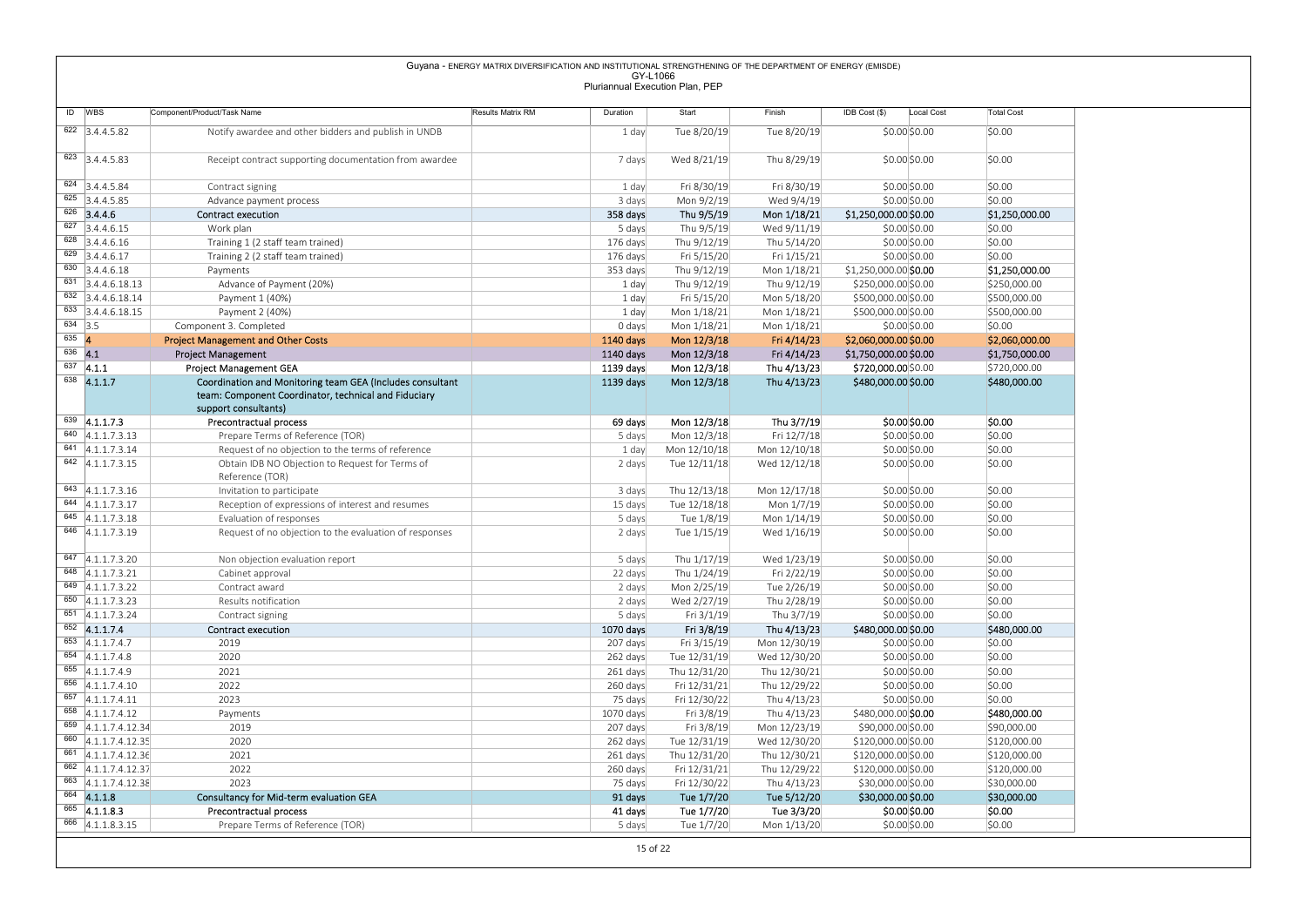|                                                                                         |                                                                                   | Guyana - ENERGY MATRIX DIVERSIFICATION AND INSTITUTIONAL STRENGTHENING OF THE DEPARTMENT OF ENERGY (EMISDE) | GY-L1066                        |                              |                              |                                            |                                |                             |
|-----------------------------------------------------------------------------------------|-----------------------------------------------------------------------------------|-------------------------------------------------------------------------------------------------------------|---------------------------------|------------------------------|------------------------------|--------------------------------------------|--------------------------------|-----------------------------|
|                                                                                         |                                                                                   |                                                                                                             | Pluriannual Execution Plan, PEP |                              |                              |                                            |                                |                             |
| ID WBS                                                                                  | Component/Product/Task Name                                                       | Results Matrix RM                                                                                           | Duration                        | Start                        | Finish                       | IDB Cost (\$)                              | Local Cost                     | <b>Total Cost</b>           |
| $622$ 3.4.4.5.82                                                                        | Notify awardee and other bidders and publish in UNDB                              |                                                                                                             | 1 day                           | Tue 8/20/19                  | Tue 8/20/19                  |                                            | $$0.00$ \$0.00                 | \$0.00                      |
|                                                                                         |                                                                                   |                                                                                                             |                                 |                              |                              |                                            |                                |                             |
| $623$ 3.4.4.5.83                                                                        | Receipt contract supporting documentation from awardee                            |                                                                                                             | 7 days                          | Wed 8/21/19                  | Thu 8/29/19                  |                                            | \$0.00 \$0.00                  | \$0.00                      |
|                                                                                         |                                                                                   |                                                                                                             |                                 |                              |                              |                                            |                                |                             |
| $624$ 3.4.4.5.84<br>$625$ 3.4.4.5.85                                                    | Contract signing                                                                  |                                                                                                             | 1 day                           | Fri 8/30/19                  | Fri 8/30/19                  |                                            | \$0.00 \$0.00                  | \$0.00                      |
| $626$ 3.4.4.6                                                                           | Advance payment process<br>Contract execution                                     |                                                                                                             | 3 days<br>358 days              | Mon 9/2/19<br>Thu 9/5/19     | Wed 9/4/19<br>Mon 1/18/21    | \$1,250,000.00 \$0.00                      | \$0.00 \$0.00                  | \$0.00<br>\$1,250,000.00    |
| $\overline{627}$ 3.4.4.6.15                                                             | Work plan                                                                         |                                                                                                             | 5 days                          | Thu 9/5/19                   | Wed 9/11/19                  |                                            | \$0.00 \$0.00                  | \$0.00                      |
| $\overline{628}$ 3.4.4.6.16                                                             | Training 1 (2 staff team trained)                                                 |                                                                                                             | 176 days                        | Thu 9/12/19                  | Thu 5/14/20                  |                                            | \$0.00 \$0.00                  | \$0.00                      |
| $629$ 3.4.4.6.17                                                                        | Training 2 (2 staff team trained)                                                 |                                                                                                             | 176 days                        | Fri 5/15/20                  | Fri 1/15/21                  |                                            | \$0.00 \$0.00                  | \$0.00                      |
| $\begin{array}{ c c } \hline 630 & \multicolumn{1}{ }{3.4.4.6.18} \\\hline \end{array}$ | Payments                                                                          |                                                                                                             | 353 days                        | Thu 9/12/19                  | Mon 1/18/21                  | \$1,250,000.00 \$0.00                      |                                | \$1,250,000.00              |
| $\overline{631}$ 3.4.4.6.18.13                                                          | Advance of Payment (20%)                                                          |                                                                                                             | 1 day                           | Thu 9/12/19                  | Thu 9/12/19                  | \$250,000.00 \$0.00                        |                                | \$250,000.00                |
| $\begin{array}{ c c } \hline 632 & 3.4.4.6.18.14 \\ \hline \end{array}$                 | Payment 1 (40%)                                                                   |                                                                                                             | 1 day                           | Fri 5/15/20                  | Mon 5/18/20                  | \$500,000.00 \$0.00                        |                                | \$500,000.00                |
| $\overline{633}$ 3.4.4.6.18.15<br>$634$ 3.5                                             | Payment 2 (40%)                                                                   |                                                                                                             | 1 day                           | Mon 1/18/21                  | Mon 1/18/21                  | \$500,000.00 \$0.00                        |                                | \$500,000.00                |
| $635 \quad 4$                                                                           | Component 3. Completed<br><b>Project Management and Other Costs</b>               |                                                                                                             | 0 days<br>1140 days             | Mon 1/18/21<br>Mon 12/3/18   | Mon 1/18/21<br>Fri 4/14/23   | \$2,060,000.00 \$0.00                      | \$0.00 \$0.00                  | \$0.00<br>\$2,060,000.00    |
| $636$ 4.1                                                                               | Project Management                                                                |                                                                                                             | 1140 days                       | Mon 12/3/18                  | Fri 4/14/23                  | \$1,750,000.00 \$0.00                      |                                | \$1,750,000.00              |
| $637$ 4.1.1                                                                             | Project Management GEA                                                            |                                                                                                             | 1139 days                       | Mon 12/3/18                  | Thu 4/13/23                  | \$720,000.00 \$0.00                        |                                | \$720,000.00                |
| $638$ 4.1.1.7                                                                           | Coordination and Monitoring team GEA (Includes consultant                         |                                                                                                             | 1139 days                       | Mon 12/3/18                  | Thu 4/13/23                  | \$480,000.00 \$0.00                        |                                | \$480,000.00                |
|                                                                                         | team: Component Coordinator, technical and Fiduciary                              |                                                                                                             |                                 |                              |                              |                                            |                                |                             |
| $639$ 4.1.1.7.3                                                                         | support consultants)<br>Precontractual process                                    |                                                                                                             | 69 days                         | Mon 12/3/18                  | Thu 3/7/19                   |                                            | \$0.00 \$0.00                  | \$0.00                      |
| $\overline{640}$ 4.1.1.7.3.13                                                           | Prepare Terms of Reference (TOR)                                                  |                                                                                                             | 5 days                          | Mon 12/3/18                  | Fri 12/7/18                  |                                            | \$0.00 \$0.00                  | \$0.00                      |
| $641$ 4.1.1.7.3.14                                                                      | Request of no objection to the terms of reference                                 |                                                                                                             | 1 day                           | Mon 12/10/18                 | Mon 12/10/18                 |                                            | \$0.00 \$0.00                  | \$0.00                      |
| $642$ 4.1.1.7.3.15                                                                      | Obtain IDB NO Objection to Request for Terms of                                   |                                                                                                             | 2 days                          | Tue 12/11/18                 | Wed 12/12/18                 |                                            | \$0.00 \$0.00                  | \$0.00                      |
|                                                                                         | Reference (TOR)                                                                   |                                                                                                             |                                 |                              |                              |                                            |                                |                             |
| $643$ 4.1.1.7.3.16                                                                      | Invitation to participate                                                         |                                                                                                             | 3 days                          | Thu 12/13/18                 | Mon 12/17/18                 |                                            | \$0.00 \$0.00                  | \$0.00                      |
| 644 4.1.1.7.3.17<br>$645$ 4.1.1.7.3.18                                                  | Reception of expressions of interest and resumes                                  |                                                                                                             | 15 days                         | Tue 12/18/18                 | Mon 1/7/19                   |                                            | \$0.00 \$0.00                  | \$0.00                      |
| 646 4.1.1.7.3.19                                                                        | Evaluation of responses<br>Request of no objection to the evaluation of responses |                                                                                                             | 5 days<br>2 days                | Tue 1/8/19<br>Tue 1/15/19    | Mon 1/14/19<br>Wed 1/16/19   |                                            | \$0.00 \$0.00<br>\$0.00 \$0.00 | \$0.00<br>\$0.00            |
|                                                                                         |                                                                                   |                                                                                                             |                                 |                              |                              |                                            |                                |                             |
| $647$ 4.1.1.7.3.20                                                                      | Non objection evaluation report                                                   |                                                                                                             | 5 days                          | Thu 1/17/19                  | Wed 1/23/19                  |                                            | \$0.00 \$0.00                  | \$0.00                      |
| $648$ 4.1.1.7.3.21                                                                      | Cabinet approval                                                                  |                                                                                                             | 22 days                         | Thu 1/24/19                  | Fri 2/22/19                  |                                            | \$0.00 \$0.00                  | \$0.00                      |
| $649$ 4.1.1.7.3.22                                                                      | Contract award                                                                    |                                                                                                             | 2 days                          | Mon 2/25/19                  | Tue 2/26/19                  |                                            | \$0.00 \$0.00                  | \$0.00                      |
| 650 $ 4.1.1.7.3.23$                                                                     | Results notification                                                              |                                                                                                             | 2 days                          | Wed 2/27/19                  | Thu 2/28/19                  |                                            | \$0.00 \$0.00                  | \$0.00                      |
| $651$ 4.1.1.7.3.24<br>$652$ 4.1.1.7.4                                                   | Contract signing<br><b>Contract execution</b>                                     |                                                                                                             | 5 days<br>1070 days             | Fri 3/1/19<br>Fri 3/8/19     | Thu 3/7/19<br>Thu 4/13/23    | \$480,000.00 \$0.00                        | \$0.00 \$0.00                  | \$0.00<br>\$480,000.00      |
| $653$ 4.1.1.7.4.7                                                                       | 2019                                                                              |                                                                                                             | 207 days                        | Fri 3/15/19                  | Mon 12/30/19                 |                                            | \$0.00 \$0.00                  | \$0.00                      |
| $654$ 4.1.1.7.4.8                                                                       | 2020                                                                              |                                                                                                             | 262 days                        | Tue 12/31/19                 | Wed 12/30/20                 |                                            | \$0.00 \$0.00                  | \$0.00                      |
| $655$ 4.1.1.7.4.9                                                                       | 2021                                                                              |                                                                                                             | 261 days                        | Thu 12/31/20                 | Thu 12/30/21                 |                                            | \$0.00 \$0.00                  | \$0.00                      |
| 656 4.1.1.7.4.10                                                                        | 2022                                                                              |                                                                                                             | 260 days                        | Fri 12/31/21                 | Thu 12/29/22                 |                                            | \$0.00 \$0.00                  | \$0.00                      |
| $\overline{657}$ 4.1.1.7.4.11                                                           | 2023                                                                              |                                                                                                             | 75 days                         | Fri 12/30/22                 | Thu 4/13/23                  |                                            | \$0.00 \$0.00                  | \$0.00                      |
| $658$ 4.1.1.7.4.12                                                                      | Payments                                                                          |                                                                                                             | 1070 days                       | Fri 3/8/19                   | Thu 4/13/23                  | \$480,000.00 \$0.00                        |                                | \$480,000.00                |
| $\overline{659}$ 4.1.1.7.4.12.34<br>660 4.1.1.7.4.12.35                                 | 2019<br>2020                                                                      |                                                                                                             | 207 days                        | Fri 3/8/19                   | Mon 12/23/19                 | \$90,000.00 \$0.00                         |                                | \$90,000.00<br>\$120,000.00 |
| $661$ 4.1.1.7.4.12.36                                                                   | 2021                                                                              |                                                                                                             | 262 days<br>261 days            | Tue 12/31/19<br>Thu 12/31/20 | Wed 12/30/20<br>Thu 12/30/21 | \$120,000.00 \$0.00<br>\$120,000.00 \$0.00 |                                | \$120,000.00                |
| 662 4.1.1.7.4.12.37                                                                     | 2022                                                                              |                                                                                                             | 260 days                        | Fri 12/31/21                 | Thu 12/29/22                 | \$120,000.00 \$0.00                        |                                | \$120,000.00                |
| 663 4.1.1.7.4.12.38                                                                     | 2023                                                                              |                                                                                                             | 75 days                         | Fri 12/30/22                 | Thu 4/13/23                  | \$30,000.00 \$0.00                         |                                | \$30,000.00                 |
| $664$ 4.1.1.8                                                                           | Consultancy for Mid-term evaluation GEA                                           |                                                                                                             | 91 days                         | Tue 1/7/20                   | Tue 5/12/20                  | \$30,000.00 \$0.00                         |                                | \$30,000.00                 |
|                                                                                         | Precontractual process                                                            |                                                                                                             | 41 days                         | Tue 1/7/20                   | Tue 3/3/20                   |                                            | \$0.00 \$0.00                  | \$0.00                      |
| $665$ 4.1.1.8.3<br>$\overline{666}$ 4.1.1.8.3.15                                        | Prepare Terms of Reference (TOR)                                                  |                                                                                                             | 5 days                          | Tue 1/7/20                   | Mon 1/13/20                  |                                            | \$0.00 \$0.00                  | \$0.00                      |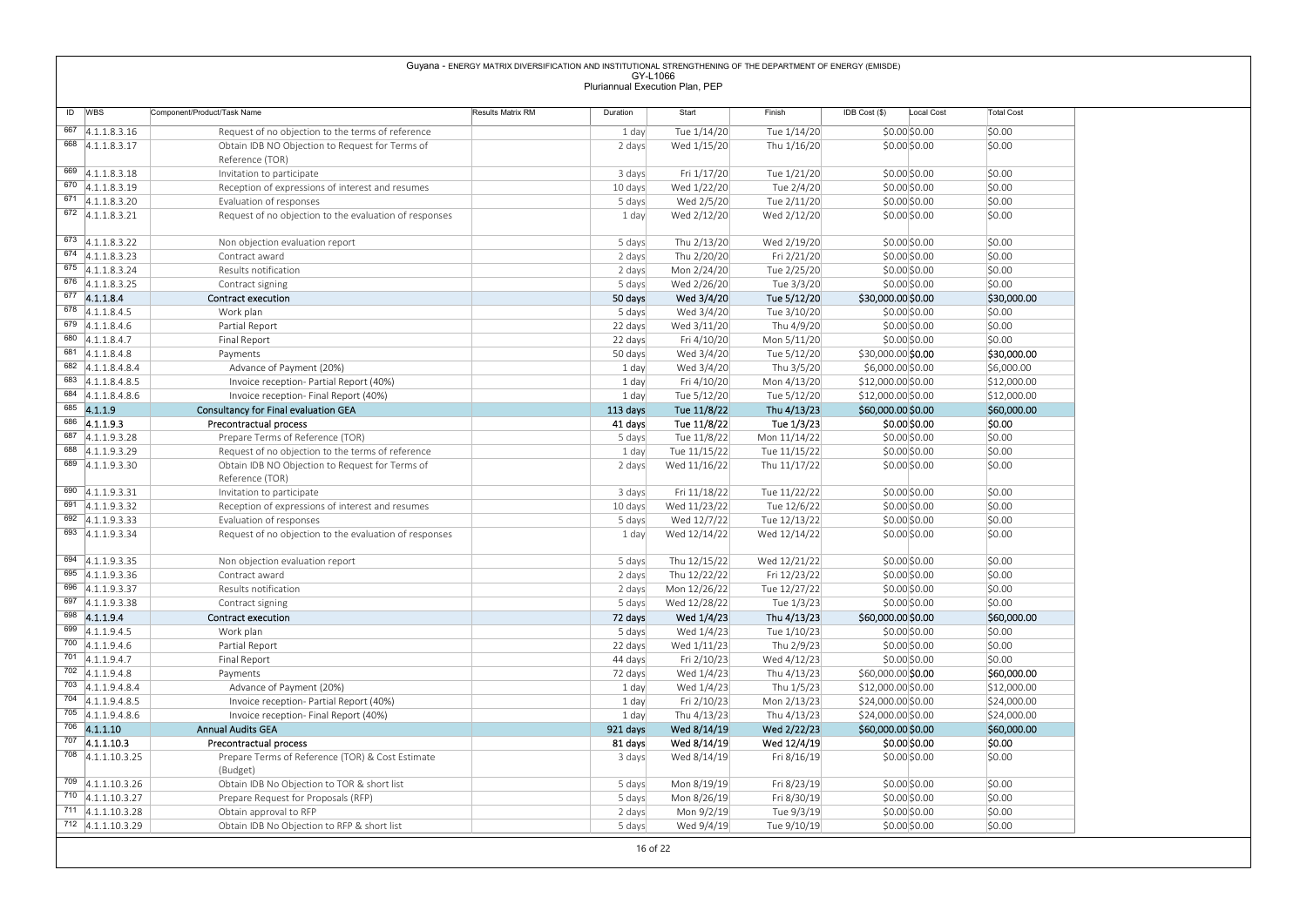|                                                                |                                                                             | Guyana - ENERGY MATRIX DIVERSIFICATION AND INSTITUTIONAL STRENGTHENING OF THE DEPARTMENT OF ENERGY (EMISDE) | GY-L1066            |                                 |                              |                                          |                            |
|----------------------------------------------------------------|-----------------------------------------------------------------------------|-------------------------------------------------------------------------------------------------------------|---------------------|---------------------------------|------------------------------|------------------------------------------|----------------------------|
|                                                                |                                                                             |                                                                                                             |                     | Pluriannual Execution Plan, PEP |                              |                                          |                            |
| ID WBS                                                         | Component/Product/Task Name                                                 | Results Matrix RM                                                                                           | Duration            | Start                           | Finish                       | IDB Cost (\$)<br>Local Cost              | <b>Total Cost</b>          |
| $\overline{667}$ 4.1.1.8.3.16                                  | Request of no objection to the terms of reference                           |                                                                                                             | 1 day               | Tue 1/14/20                     | Tue 1/14/20                  | \$0.00 \$0.00                            | \$0.00                     |
| $668$ 4.1.1.8.3.17                                             | Obtain IDB NO Objection to Request for Terms of                             |                                                                                                             | 2 days              | Wed 1/15/20                     | Thu 1/16/20                  | \$0.00 \$0.00                            | \$0.00                     |
| 669 4.1.1.8.3.18                                               | Reference (TOR)<br>Invitation to participate                                |                                                                                                             | 3 days              | Fri 1/17/20                     | Tue 1/21/20                  | \$0.00 \$0.00                            | \$0.00                     |
| 670 4.1.1.8.3.19                                               | Reception of expressions of interest and resumes                            |                                                                                                             | 10 days             | Wed 1/22/20                     | Tue 2/4/20                   | \$0.00 \$0.00                            | \$0.00                     |
| $671$ 4.1.1.8.3.20<br>$672$ 4.1.1.8.3.21                       | Evaluation of responses                                                     |                                                                                                             | 5 days<br>1 day     | Wed 2/5/20<br>Wed 2/12/20       | Tue 2/11/20<br>Wed 2/12/20   | \$0.00\$0.00<br>\$0.00 \$0.00            | \$0.00<br>\$0.00           |
|                                                                | Request of no objection to the evaluation of responses                      |                                                                                                             |                     |                                 |                              |                                          |                            |
| $\overline{673}$ 4.1.1.8.3.22                                  | Non objection evaluation report                                             |                                                                                                             | 5 days              | Thu 2/13/20                     | Wed 2/19/20                  | \$0.00 \$0.00                            | \$0.00                     |
| $\overline{674}$ 4.1.1.8.3.23<br>$\overline{675}$ 4.1.1.8.3.24 | Contract award<br>Results notification                                      |                                                                                                             | 2 days<br>2 days    | Thu 2/20/20<br>Mon 2/24/20      | Fri 2/21/20<br>Tue 2/25/20   | \$0.00\$0.00<br>\$0.00\$0.00             | \$0.00<br>\$0.00           |
| $\overline{676}$ 4.1.1.8.3.25                                  | Contract signing                                                            |                                                                                                             | 5 days              | Wed 2/26/20                     | Tue 3/3/20                   | \$0.00\$0.00                             | \$0.00                     |
| $677$ 4.1.1.8.4                                                | Contract execution                                                          |                                                                                                             | 50 days             | Wed 3/4/20                      | Tue 5/12/20                  | \$30,000.00 \$0.00                       | \$30,000.00                |
| $678$ 4.1.1.8.4.5<br>$\overline{679}$ 4.1.1.8.4.6              | Work plan<br>Partial Report                                                 |                                                                                                             | 5 days<br>22 days   | Wed 3/4/20<br>Wed 3/11/20       | Tue 3/10/20<br>Thu 4/9/20    | \$0.00\$0.00<br>\$0.00 \$0.00            | \$0.00<br>\$0.00           |
| $680$ 4.1.1.8.4.7                                              | Final Report                                                                |                                                                                                             | 22 days             | Fri 4/10/20                     | Mon 5/11/20                  | \$0.00 \$0.00                            | \$0.00                     |
| $\overline{681}$ 4.1.1.8.4.8<br>$\overline{682}$ 4.1.1.8.4.8.4 | Payments                                                                    |                                                                                                             | 50 days<br>1 day    | Wed 3/4/20<br>Wed 3/4/20        | Tue 5/12/20<br>Thu 3/5/20    | \$30,000.00 \$0.00<br>\$6,000.00 \$0.00  | \$30,000.00<br>\$6,000.00  |
| $\overline{683}$ 4.1.1.8.4.8.5                                 | Advance of Payment (20%)<br>Invoice reception- Partial Report (40%)         |                                                                                                             | 1 day               | Fri 4/10/20                     | Mon 4/13/20                  | \$12,000.00 \$0.00                       | \$12,000.00                |
| $684$ 4.1.1.8.4.8.6                                            | Invoice reception- Final Report (40%)                                       |                                                                                                             | 1 day               | Tue 5/12/20                     | Tue 5/12/20                  | \$12,000.00 \$0.00                       | \$12,000.00                |
| 685 4.1.1.9<br>686 4.1.1.9.3                                   | Consultancy for Final evaluation GEA<br>Precontractual process              |                                                                                                             | 113 days<br>41 days | Tue 11/8/22<br>Tue 11/8/22      | Thu 4/13/23<br>Tue 1/3/23    | \$60,000.00 \$0.00<br>\$0.00\$0.00       | \$60,000.00<br>\$0.00      |
| $\overline{687}$ 4.1.1.9.3.28                                  | Prepare Terms of Reference (TOR)                                            |                                                                                                             | 5 days              | Tue 11/8/22                     | Mon 11/14/22                 | \$0.00\$0.00                             | \$0.00                     |
| 688 4.1.1.9.3.29                                               | Request of no objection to the terms of reference                           |                                                                                                             | 1 day               | Tue 11/15/22                    | Tue 11/15/22                 | \$0.00 \$0.00                            | \$0.00                     |
| $\overline{689}$ 4.1.1.9.3.30                                  | Obtain IDB NO Objection to Request for Terms of<br>Reference (TOR)          |                                                                                                             | 2 days              | Wed 11/16/22                    | Thu 11/17/22                 | \$0.00\$0.00                             | \$0.00                     |
| 690 4.1.1.9.3.31                                               | Invitation to participate                                                   |                                                                                                             | 3 days              | Fri 11/18/22                    | Tue 11/22/22                 | \$0.00 \$0.00                            | \$0.00                     |
| 691 4.1.1.9.3.32<br>692 4.1.1.9.3.33                           | Reception of expressions of interest and resumes<br>Evaluation of responses |                                                                                                             | 10 days<br>5 days   | Wed 11/23/22<br>Wed 12/7/22     | Tue 12/6/22<br>Tue 12/13/22  | \$0.00 \$0.00<br>\$0.00 \$0.00           | \$0.00<br>\$0.00           |
| 693 4.1.1.9.3.34                                               | Request of no objection to the evaluation of responses                      |                                                                                                             | 1 day               | Wed 12/14/22                    | Wed 12/14/22                 | \$0.00 \$0.00                            | \$0.00                     |
| $694$ 4.1.1.9.3.35                                             | Non objection evaluation report                                             |                                                                                                             |                     |                                 |                              |                                          |                            |
| $\overline{695}$ 4.1.1.9.3.36                                  | Contract award                                                              |                                                                                                             | 5 days<br>2 days    | Thu 12/15/22<br>Thu 12/22/22    | Wed 12/21/22<br>Fri 12/23/22 | \$0.00 \$0.00<br>\$0.00 \$0.00           | \$0.00<br>\$0.00           |
| $\overline{696}$ 4.1.1.9.3.37                                  | Results notification                                                        |                                                                                                             | 2 days              | Mon 12/26/22                    | Tue 12/27/22                 | \$0.00 \$0.00                            | \$0.00                     |
| $\overline{697}$ 4.1.1.9.3.38<br>$698$ 4.1.1.9.4               | Contract signing<br>Contract execution                                      |                                                                                                             | 5 days<br>72 days   | Wed 12/28/22<br>Wed 1/4/23      | Tue 1/3/23<br>Thu 4/13/23    | \$0.00 \$0.00<br>\$60,000.00 \$0.00      | \$0.00<br>\$60,000.00      |
| $\overline{699}$ 4.1.1.9.4.5                                   | Work plan                                                                   |                                                                                                             | 5 days              | Wed 1/4/23                      | Tue 1/10/23                  | \$0.00 \$0.00                            | \$0.00                     |
| $700$ 4.1.1.9.4.6                                              | Partial Report                                                              |                                                                                                             | 22 days             | Wed 1/11/23                     | Thu 2/9/23                   | \$0.00 \$0.00                            | \$0.00                     |
| $701$ 4.1.1.9.4.7<br>$\overline{702}$ 4.1.1.9.4.8              | Final Report<br>Payments                                                    |                                                                                                             | 44 days<br>72 days  | Fri 2/10/23<br>Wed 1/4/23       | Wed 4/12/23<br>Thu 4/13/23   | \$0.00 \$0.00<br>\$60,000.00 \$0.00      | \$0.00<br>\$60,000.00      |
| $703$ 4.1.1.9.4.8.4                                            | Advance of Payment (20%)                                                    |                                                                                                             | 1 day               | Wed 1/4/23                      | Thu 1/5/23                   | \$12,000.00 \$0.00                       | \$12,000.00                |
| $704$ 4.1.1.9.4.8.5                                            | Invoice reception- Partial Report (40%)                                     |                                                                                                             | 1 day               | Fri 2/10/23                     | Mon 2/13/23                  | \$24,000.00 \$0.00                       | \$24,000.00                |
| $705$ 4.1.1.9.4.8.6<br>$706$ 4.1.1.10                          | Invoice reception- Final Report (40%)<br><b>Annual Audits GEA</b>           |                                                                                                             | 1 day<br>921 days   | Thu 4/13/23<br>Wed 8/14/19      | Thu 4/13/23<br>Wed 2/22/23   | \$24,000.00 \$0.00<br>\$60,000.00 \$0.00 | \$24,000.00<br>\$60,000.00 |
| $\overline{707}$ 4.1.1.10.3                                    | Precontractual process                                                      |                                                                                                             | 81 days             | Wed 8/14/19                     | Wed 12/4/19                  | \$0.00 \$0.00                            | \$0.00                     |
| $708$ 4.1.1.10.3.25                                            | Prepare Terms of Reference (TOR) & Cost Estimate<br>(Budget)                |                                                                                                             | 3 days              | Wed 8/14/19                     | Fri 8/16/19                  | \$0.00 \$0.00                            | \$0.00                     |
|                                                                | Obtain IDB No Objection to TOR & short list                                 |                                                                                                             | 5 days              | Mon 8/19/19                     | Fri 8/23/19                  | \$0.00 \$0.00                            | \$0.00                     |
| 709 4.1.1.10.3.26                                              |                                                                             |                                                                                                             |                     |                                 |                              | \$0.00 \$0.00                            | \$0.00                     |
|                                                                | Prepare Request for Proposals (RFP)                                         |                                                                                                             | 5 days              | Mon 8/26/19                     | Fri 8/30/19                  |                                          |                            |
| 710 4.1.1.10.3.27<br>711 4.1.1.10.3.28<br>$712$ 4.1.1.10.3.29  | Obtain approval to RFP<br>Obtain IDB No Objection to RFP & short list       |                                                                                                             | 2 days<br>5 days    | Mon 9/2/19<br>Wed 9/4/19        | Tue 9/3/19<br>Tue 9/10/19    | \$0.00 \$0.00<br>\$0.00 \$0.00           | \$0.00<br>\$0.00           |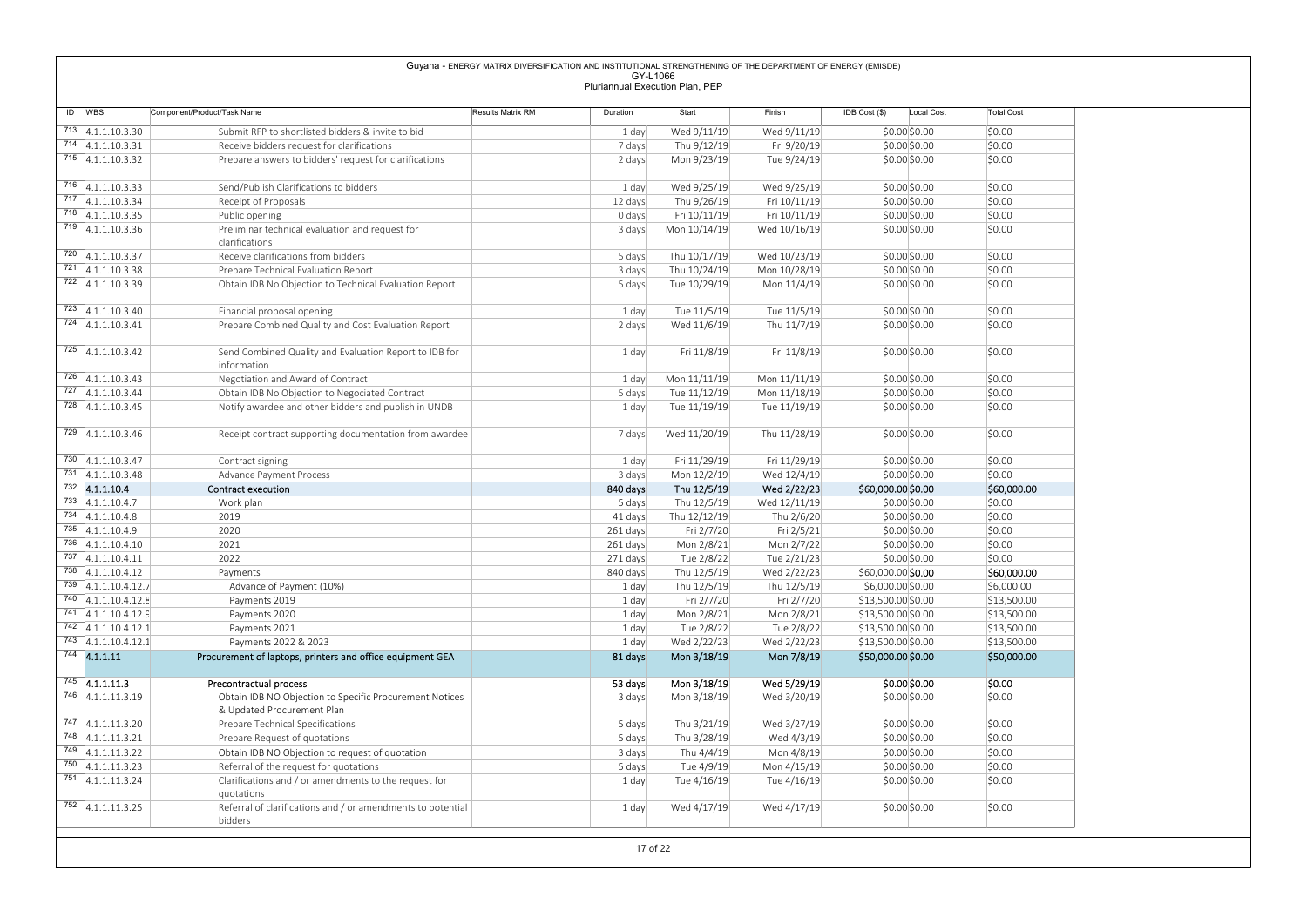|                                              |                                                                                                      | Guyana - ENERGY MATRIX DIVERSIFICATION AND INSTITUTIONAL STRENGTHENING OF THE DEPARTMENT OF ENERGY (EMISDE) |                     |                                 |                              |                                          |                            |
|----------------------------------------------|------------------------------------------------------------------------------------------------------|-------------------------------------------------------------------------------------------------------------|---------------------|---------------------------------|------------------------------|------------------------------------------|----------------------------|
|                                              |                                                                                                      |                                                                                                             | GY-L1066            | Pluriannual Execution Plan, PEP |                              |                                          |                            |
|                                              |                                                                                                      |                                                                                                             |                     |                                 |                              |                                          |                            |
| ID WBS                                       | Component/Product/Task Name                                                                          | Results Matrix RM                                                                                           | Duration            | Start                           | Finish                       | IDB Cost (\$)<br>Local Cost              | <b>Total Cost</b>          |
| $713$ 4.1.1.10.3.30                          | Submit RFP to shortlisted bidders & invite to bid                                                    |                                                                                                             | 1 day               | Wed 9/11/19                     | Wed 9/11/19                  | \$0.00 \$0.00                            | \$0.00                     |
| $714$ 4.1.1.10.3.31<br>$715$ 4.1.1.10.3.32   | Receive bidders request for clarifications<br>Prepare answers to bidders' request for clarifications |                                                                                                             | 7 days<br>2 days    | Thu 9/12/19<br>Mon 9/23/19      | Fri 9/20/19<br>Tue 9/24/19   | \$0.00\$0.00<br>\$0.00\$0.00             | \$0.00<br>\$0.00           |
|                                              |                                                                                                      |                                                                                                             |                     |                                 |                              |                                          |                            |
| $716$ 4.1.1.10.3.33                          | Send/Publish Clarifications to bidders                                                               |                                                                                                             | 1 day               | Wed 9/25/19                     | Wed 9/25/19                  | \$0.00\$0.00                             | \$0.00                     |
| $717$ 4.1.1.10.3.34                          | Receipt of Proposals                                                                                 |                                                                                                             | 12 days             | Thu 9/26/19                     | Fri 10/11/19                 | \$0.00\$0.00                             | \$0.00                     |
| 718 4.1.1.10.3.35                            | Public opening                                                                                       |                                                                                                             | 0 days              | Fri 10/11/19                    | Fri 10/11/19                 | $$0.00$ \$0.00                           | \$0.00                     |
| $719$ 4.1.1.10.3.36                          | Preliminar technical evaluation and request for<br>clarifications                                    |                                                                                                             | 3 days              | Mon 10/14/19                    | Wed 10/16/19                 | $$0.00$ \$0.00                           | \$0.00                     |
| $720$ 4.1.1.10.3.37                          | Receive clarifications from bidders                                                                  |                                                                                                             | 5 days              | Thu 10/17/19                    | Wed 10/23/19                 | \$0.00\$0.00                             | \$0.00                     |
| $721$ 4.1.1.10.3.38                          | Prepare Technical Evaluation Report                                                                  |                                                                                                             | 3 days              | Thu 10/24/19                    | Mon 10/28/19                 | \$0.00\$0.00                             | \$0.00                     |
| $722$ 4.1.1.10.3.39                          | Obtain IDB No Objection to Technical Evaluation Report                                               |                                                                                                             | 5 days              | Tue 10/29/19                    | Mon 11/4/19                  | \$0.00\$0.00                             | \$0.00                     |
| $723$ 4.1.1.10.3.40                          | Financial proposal opening                                                                           |                                                                                                             | 1 day               | Tue 11/5/19                     | Tue 11/5/19                  | \$0.00\$0.00                             | \$0.00                     |
| $724$ 4.1.1.10.3.41                          | Prepare Combined Quality and Cost Evaluation Report                                                  |                                                                                                             | 2 days              | Wed 11/6/19                     | Thu 11/7/19                  | \$0.00\$0.00                             | \$0.00                     |
|                                              |                                                                                                      |                                                                                                             |                     |                                 |                              |                                          |                            |
| $725$ 4.1.1.10.3.42                          | Send Combined Quality and Evaluation Report to IDB for                                               |                                                                                                             | 1 day               | Fri 11/8/19                     | Fri 11/8/19                  | \$0.00\$0.00                             | \$0.00                     |
| $726$ 4.1.1.10.3.43                          | information                                                                                          |                                                                                                             |                     |                                 |                              |                                          |                            |
| $727$ 4.1.1.10.3.44                          | Negotiation and Award of Contract<br>Obtain IDB No Objection to Negociated Contract                  |                                                                                                             | 1 day<br>5 days     | Mon 11/11/19<br>Tue 11/12/19    | Mon 11/11/19<br>Mon 11/18/19 | \$0.00\$0.00<br>\$0.00 \$0.00            | \$0.00<br>\$0.00           |
| 728 4.1.1.10.3.45                            | Notify awardee and other bidders and publish in UNDB                                                 |                                                                                                             | 1 day               | Tue 11/19/19                    | Tue 11/19/19                 | \$0.00 \$0.00                            | \$0.00                     |
|                                              |                                                                                                      |                                                                                                             |                     |                                 |                              |                                          |                            |
| 729 4.1.1.10.3.46                            | Receipt contract supporting documentation from awardee                                               |                                                                                                             | 7 days              | Wed 11/20/19                    | Thu 11/28/19                 | \$0.00 \$0.00                            | \$0.00                     |
| $730$ 4.1.1.10.3.47                          | Contract signing                                                                                     |                                                                                                             | 1 day               | Fri 11/29/19                    | Fri 11/29/19                 | \$0.00\$0.00                             | \$0.00                     |
| $731 \overline{)4.1.1.10.3.48}$              | Advance Payment Process                                                                              |                                                                                                             | 3 days              | Mon 12/2/19                     | Wed 12/4/19                  | \$0.00\$0.00                             | \$0.00                     |
| 732 4.1.1.10.4                               | Contract execution                                                                                   |                                                                                                             | 840 days            | Thu 12/5/19                     | Wed 2/22/23                  | \$60,000.00 \$0.00                       | \$60,000.00                |
| $733$ 4.1.1.10.4.7                           | Work plan                                                                                            |                                                                                                             | 5 days              | Thu 12/5/19                     | Wed 12/11/19                 | \$0.00\$0.00                             | \$0.00                     |
| $734$ 4.1.1.10.4.8<br>$735$ 4.1.1.10.4.9     | 2019<br>2020                                                                                         |                                                                                                             | 41 days<br>261 days | Thu 12/12/19<br>Fri 2/7/20      | Thu 2/6/20<br>Fri 2/5/21     | \$0.00\$0.00<br>\$0.00\$0.00             | \$0.00<br>\$0.00           |
| $736$ 4.1.1.10.4.10                          | 2021                                                                                                 |                                                                                                             | 261 days            | Mon 2/8/21                      | Mon 2/7/22                   | \$0.00\$0.00                             | \$0.00                     |
| $737$ 4.1.1.10.4.11                          | 2022                                                                                                 |                                                                                                             | 271 days            | Tue 2/8/22                      | Tue 2/21/23                  | \$0.00\$0.00                             | \$0.00                     |
| $738$ 4.1.1.10.4.12                          | Payments                                                                                             |                                                                                                             | 840 days            | Thu 12/5/19                     | Wed 2/22/23                  | \$60,000.00 \$0.00                       | \$60,000.00                |
| 739 4.1.1.10.4.12.7                          | Advance of Payment (10%)                                                                             |                                                                                                             | 1 day               | Thu 12/5/19                     | Thu 12/5/19                  | \$6,000.00 \$0.00                        | \$6,000.00                 |
| 740 4.1.1.10.4.12.8<br>$741$ 4.1.1.10.4.12.9 | Payments 2019<br>Payments 2020                                                                       |                                                                                                             | 1 day<br>1 day      | Fri 2/7/20<br>Mon 2/8/21        | Fri 2/7/20<br>Mon 2/8/21     | \$13,500.00 \$0.00<br>\$13,500.00 \$0.00 | \$13,500.00<br>\$13,500.00 |
| 742 4.1.1.10.4.12.1                          | Payments 2021                                                                                        |                                                                                                             | 1 day               | Tue 2/8/22                      | Tue 2/8/22                   | \$13,500.00 \$0.00                       | \$13,500.00                |
| $743$ 4.1.1.10.4.12.1                        | Payments 2022 & 2023                                                                                 |                                                                                                             | 1 day               | Wed 2/22/23                     | Wed 2/22/23                  | \$13,500.00 \$0.00                       | \$13,500.00                |
| $744$ 4.1.1.11                               | Procurement of laptops, printers and office equipment GEA                                            |                                                                                                             | 81 days             | Mon 3/18/19                     | Mon 7/8/19                   | \$50,000.00 \$0.00                       | \$50,000.00                |
| $\overline{745}$ 4.1.1.11.3                  |                                                                                                      |                                                                                                             |                     |                                 |                              |                                          |                            |
| 746 4.1.1.11.3.19                            | Precontractual process<br>Obtain IDB NO Objection to Specific Procurement Notices                    |                                                                                                             | 53 days<br>3 days   | Mon 3/18/19<br>Mon 3/18/19      | Wed 5/29/19<br>Wed 3/20/19   | \$0.00 \$0.00<br>\$0.00 \$0.00           | \$0.00<br>\$0.00           |
|                                              | & Updated Procurement Plan                                                                           |                                                                                                             |                     |                                 |                              |                                          |                            |
| $747$ 4.1.1.11.3.20                          | Prepare Technical Specifications                                                                     |                                                                                                             | 5 days              | Thu 3/21/19                     | Wed 3/27/19                  | \$0.00\$0.00                             | \$0.00                     |
| $748$ 4.1.1.11.3.21                          | Prepare Request of quotations                                                                        |                                                                                                             | 5 days              | Thu 3/28/19                     | Wed 4/3/19                   | \$0.00 \$0.00                            | \$0.00                     |
| $749$ 4.1.1.11.3.22<br>750 4.1.1.11.3.23     | Obtain IDB NO Objection to request of quotation                                                      |                                                                                                             | 3 days              | Thu 4/4/19                      | Mon 4/8/19                   | \$0.00\$0.00                             | \$0.00                     |
| $751$ 4.1.1.11.3.24                          | Referral of the request for quotations<br>Clarifications and / or amendments to the request for      |                                                                                                             | 5 days<br>1 day     | Tue 4/9/19<br>Tue 4/16/19       | Mon 4/15/19<br>Tue 4/16/19   | \$0.00 \$0.00<br>\$0.00\$0.00            | \$0.00<br>\$0.00           |
|                                              | quotations                                                                                           |                                                                                                             |                     |                                 |                              |                                          |                            |
|                                              |                                                                                                      | Referral of clarifications and / or amendments to potential                                                 | 1 day               | Wed 4/17/19                     | Wed 4/17/19                  | \$0.00 \$0.00                            | \$0.00                     |

17 of 22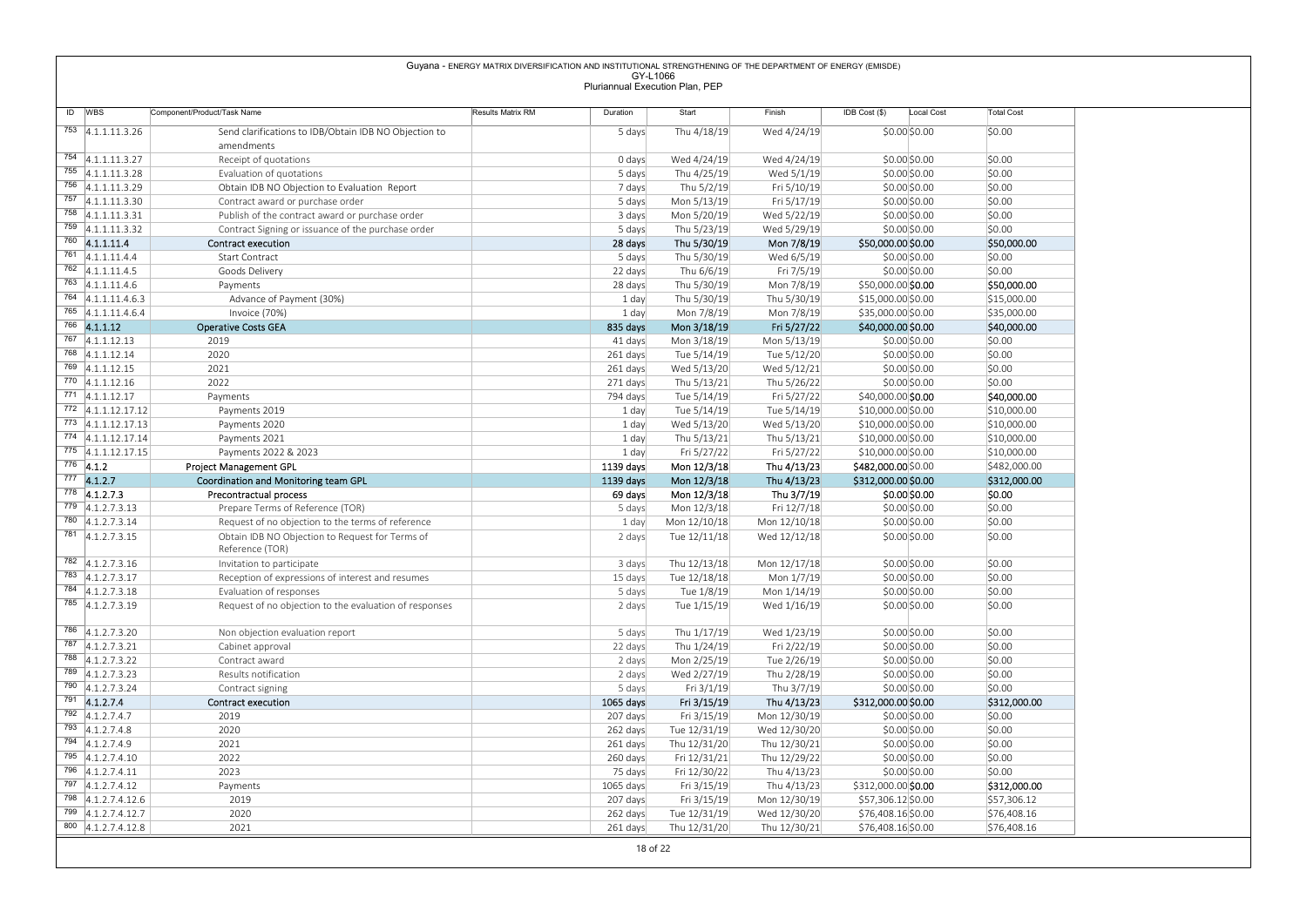|                                                                                                                                                                                                                                                                                                                |                                                                                     | Guyana - ENERGY MATRIX DIVERSIFICATION AND INSTITUTIONAL STRENGTHENING OF THE DEPARTMENT OF ENERGY (EMISDE) | GY-L1066                        |                              |                              |                                           |                             |
|----------------------------------------------------------------------------------------------------------------------------------------------------------------------------------------------------------------------------------------------------------------------------------------------------------------|-------------------------------------------------------------------------------------|-------------------------------------------------------------------------------------------------------------|---------------------------------|------------------------------|------------------------------|-------------------------------------------|-----------------------------|
|                                                                                                                                                                                                                                                                                                                |                                                                                     |                                                                                                             | Pluriannual Execution Plan, PEP |                              |                              |                                           |                             |
| ID WBS                                                                                                                                                                                                                                                                                                         | Component/Product/Task Name                                                         | Results Matrix RM                                                                                           | Duration                        | Start                        | Finish                       | IDB Cost (\$)<br>Local Cost               | <b>Total Cost</b>           |
| $753$ 4.1.1.11.3.26                                                                                                                                                                                                                                                                                            | Send clarifications to IDB/Obtain IDB NO Objection to                               |                                                                                                             | 5 days                          | Thu 4/18/19                  | Wed 4/24/19                  | \$0.00 \$0.00                             | \$0.00                      |
|                                                                                                                                                                                                                                                                                                                | amendments                                                                          |                                                                                                             |                                 |                              |                              |                                           |                             |
| 754 4.1.1.11.3.27                                                                                                                                                                                                                                                                                              | Receipt of quotations                                                               |                                                                                                             | 0 days                          | Wed 4/24/19                  | Wed 4/24/19                  | \$0.00 \$0.00                             | \$0.00                      |
| 755 4.1.1.11.3.28                                                                                                                                                                                                                                                                                              | Evaluation of quotations                                                            |                                                                                                             | 5 days                          | Thu 4/25/19                  | Wed 5/1/19                   | \$0.00 \$0.00                             | \$0.00                      |
| 756 4.1.1.11.3.29<br>757 4.1.1.11.3.30                                                                                                                                                                                                                                                                         | Obtain IDB NO Objection to Evaluation Report                                        |                                                                                                             | 7 days                          | Thu 5/2/19<br>Mon 5/13/19    | Fri 5/10/19<br>Fri 5/17/19   | \$0.00 \$0.00                             | \$0.00<br>\$0.00            |
| 758 4.1.1.11.3.31                                                                                                                                                                                                                                                                                              | Contract award or purchase order<br>Publish of the contract award or purchase order |                                                                                                             | 5 days<br>3 days                | Mon 5/20/19                  | Wed 5/22/19                  | \$0.00\$0.00<br>\$0.00 \$0.00             | \$0.00                      |
| 759 4.1.1.11.3.32                                                                                                                                                                                                                                                                                              | Contract Signing or issuance of the purchase order                                  |                                                                                                             | 5 days                          | Thu 5/23/19                  | Wed 5/29/19                  | \$0.00\$0.00                              | \$0.00                      |
| $760$ 4.1.1.11.4                                                                                                                                                                                                                                                                                               | <b>Contract execution</b>                                                           |                                                                                                             | 28 days                         | Thu 5/30/19                  | Mon 7/8/19                   | \$50,000.00 \$0.00                        | \$50,000.00                 |
| $761$ 4.1.1.11.4.4                                                                                                                                                                                                                                                                                             | Start Contract                                                                      |                                                                                                             | 5 days                          | Thu 5/30/19                  | Wed 6/5/19                   | \$0.00\$0.00                              | \$0.00                      |
| $762$ 4.1.1.11.4.5                                                                                                                                                                                                                                                                                             | Goods Delivery                                                                      |                                                                                                             | 22 days                         | Thu 6/6/19                   | Fri 7/5/19                   | \$0.00 \$0.00                             | \$0.00                      |
| $763$ 4.1.1.11.4.6<br>$764$ 4.1.1.11.4.6.3                                                                                                                                                                                                                                                                     | Payments<br>Advance of Payment (30%)                                                |                                                                                                             | 28 days<br>1 day                | Thu 5/30/19<br>Thu 5/30/19   | Mon 7/8/19<br>Thu 5/30/19    | \$50,000.00 \$0.00<br>\$15,000.00 \$0.00  | \$50,000.00<br>\$15,000.00  |
| 765 4.1.1.11.4.6.4                                                                                                                                                                                                                                                                                             | Invoice (70%)                                                                       |                                                                                                             | 1 day                           | Mon 7/8/19                   | Mon 7/8/19                   | \$35,000.00 \$0.00                        | \$35,000.00                 |
| 766 4.1.1.12                                                                                                                                                                                                                                                                                                   | <b>Operative Costs GEA</b>                                                          |                                                                                                             | 835 days                        | Mon 3/18/19                  | Fri 5/27/22                  | \$40,000.00 \$0.00                        | \$40,000.00                 |
| $767$ 4.1.1.12.13                                                                                                                                                                                                                                                                                              | 2019                                                                                |                                                                                                             | 41 days                         | Mon 3/18/19                  | Mon 5/13/19                  | \$0.00\$0.00                              | \$0.00                      |
| 768 4.1.1.12.14                                                                                                                                                                                                                                                                                                | 2020                                                                                |                                                                                                             | 261 days                        | Tue 5/14/19                  | Tue 5/12/20                  | \$0.00 \$0.00                             | \$0.00                      |
| 769 4.1.1.12.15<br>$770$ 4.1.1.12.16                                                                                                                                                                                                                                                                           | 2021<br>2022                                                                        |                                                                                                             | 261 days<br>271 days            | Wed 5/13/20<br>Thu 5/13/21   | Wed 5/12/21<br>Thu 5/26/22   | \$0.00\$0.00<br>\$0.00 \$0.00             | \$0.00<br>\$0.00            |
| $771$ 4.1.1.12.17                                                                                                                                                                                                                                                                                              | Payments                                                                            |                                                                                                             | 794 days                        | Tue 5/14/19                  | Fri 5/27/22                  | \$40,000.00 \$0.00                        | \$40,000.00                 |
| 772 4.1.1.12.17.12                                                                                                                                                                                                                                                                                             | Payments 2019                                                                       |                                                                                                             | 1 day                           | Tue 5/14/19                  | Tue 5/14/19                  | \$10,000.00 \$0.00                        | \$10,000.00                 |
| 773 4.1.1.12.17.13                                                                                                                                                                                                                                                                                             | Payments 2020                                                                       |                                                                                                             | 1 day                           | Wed 5/13/20                  | Wed 5/13/20                  | \$10,000.00 \$0.00                        | \$10,000.00                 |
| 774 4.1.1.12.17.14                                                                                                                                                                                                                                                                                             | Payments 2021                                                                       |                                                                                                             | 1 day                           | Thu 5/13/21                  | Thu 5/13/21                  | \$10,000.00 \$0.00                        | \$10,000.00                 |
| 775 4.1.1.12.17.15<br>$776$ 4.1.2                                                                                                                                                                                                                                                                              | Payments 2022 & 2023<br><b>Project Management GPL</b>                               |                                                                                                             | 1 day<br>1139 days              | Fri 5/27/22<br>Mon 12/3/18   | Fri 5/27/22<br>Thu 4/13/23   | \$10,000.00 \$0.00<br>\$482,000.00 \$0.00 | \$10,000.00<br>\$482,000.00 |
| $777$ 4.1.2.7                                                                                                                                                                                                                                                                                                  | Coordination and Monitoring team GPL                                                |                                                                                                             | 1139 days                       | Mon 12/3/18                  | Thu 4/13/23                  | \$312,000.00 \$0.00                       | \$312,000.00                |
| $778$ 4.1.2.7.3                                                                                                                                                                                                                                                                                                | Precontractual process                                                              |                                                                                                             | 69 days                         | Mon 12/3/18                  | Thu 3/7/19                   | \$0.00\$0.00                              | \$0.00                      |
| $779$ 4.1.2.7.3.13                                                                                                                                                                                                                                                                                             | Prepare Terms of Reference (TOR)                                                    |                                                                                                             | 5 days                          | Mon 12/3/18                  | Fri 12/7/18                  | \$0.00 \$0.00                             | \$0.00                      |
| 780 4.1.2.7.3.14                                                                                                                                                                                                                                                                                               | Request of no objection to the terms of reference                                   |                                                                                                             | 1 day                           | Mon 12/10/18                 | Mon 12/10/18                 | \$0.00 \$0.00                             | \$0.00                      |
| 781 4.1.2.7.3.15                                                                                                                                                                                                                                                                                               | Obtain IDB NO Objection to Request for Terms of<br>Reference (TOR)                  |                                                                                                             | 2 days                          | Tue 12/11/18                 | Wed 12/12/18                 | \$0.00 \$0.00                             | \$0.00                      |
| $782$ 4.1.2.7.3.16                                                                                                                                                                                                                                                                                             | Invitation to participate                                                           |                                                                                                             | 3 days                          | Thu 12/13/18                 | Mon 12/17/18                 | \$0.00 \$0.00                             | \$0.00                      |
| $783$ 4.1.2.7.3.17                                                                                                                                                                                                                                                                                             | Reception of expressions of interest and resumes                                    |                                                                                                             | 15 days                         | Tue 12/18/18                 | Mon 1/7/19                   | \$0.00 \$0.00                             | \$0.00                      |
| $784$ 4.1.2.7.3.18                                                                                                                                                                                                                                                                                             | Evaluation of responses                                                             |                                                                                                             | 5 days                          | Tue 1/8/19                   | Mon 1/14/19                  | \$0.00\$0.00                              | \$0.00                      |
| $785$ 4.1.2.7.3.19                                                                                                                                                                                                                                                                                             | Request of no objection to the evaluation of responses                              |                                                                                                             | 2 days                          | Tue 1/15/19                  | Wed 1/16/19                  | \$0.00\$0.00                              | \$0.00                      |
|                                                                                                                                                                                                                                                                                                                | Non objection evaluation report                                                     |                                                                                                             | 5 days                          | Thu 1/17/19                  | Wed 1/23/19                  | \$0.00 \$0.00                             | \$0.00                      |
|                                                                                                                                                                                                                                                                                                                | Cabinet approval                                                                    |                                                                                                             | 22 days                         | Thu 1/24/19                  | Fri 2/22/19                  | \$0.00 \$0.00                             | \$0.00                      |
|                                                                                                                                                                                                                                                                                                                | Contract award                                                                      |                                                                                                             | 2 days                          | Mon 2/25/19                  | Tue 2/26/19                  | \$0.00 \$0.00                             | \$0.00                      |
|                                                                                                                                                                                                                                                                                                                |                                                                                     |                                                                                                             | 2 days                          | Wed 2/27/19                  | Thu 2/28/19                  | \$0.00 \$0.00                             | \$0.00                      |
|                                                                                                                                                                                                                                                                                                                | Results notification                                                                |                                                                                                             | 5 days                          | Fri 3/1/19                   | Thu 3/7/19                   | \$0.00 \$0.00                             | \$0.00                      |
|                                                                                                                                                                                                                                                                                                                | Contract signing                                                                    |                                                                                                             |                                 |                              |                              |                                           |                             |
|                                                                                                                                                                                                                                                                                                                | <b>Contract execution</b>                                                           |                                                                                                             | 1065 days                       | Fri 3/15/19                  | Thu 4/13/23                  | \$312,000.00 \$0.00                       | \$312,000.00                |
|                                                                                                                                                                                                                                                                                                                | 2019                                                                                |                                                                                                             | 207 days                        | Fri 3/15/19                  | Mon 12/30/19                 | \$0.00 \$0.00                             | \$0.00                      |
|                                                                                                                                                                                                                                                                                                                | 2020                                                                                |                                                                                                             | 262 days                        | Tue 12/31/19                 | Wed 12/30/20                 | \$0.00 \$0.00                             | \$0.00<br>\$0.00            |
|                                                                                                                                                                                                                                                                                                                | 2021<br>2022                                                                        |                                                                                                             | 261 days<br>260 days            | Thu 12/31/20<br>Fri 12/31/21 | Thu 12/30/21<br>Thu 12/29/22 | \$0.00 \$0.00<br>\$0.00 \$0.00            | \$0.00                      |
|                                                                                                                                                                                                                                                                                                                | 2023                                                                                |                                                                                                             | 75 days                         | Fri 12/30/22                 | Thu 4/13/23                  | \$0.00 \$0.00                             | \$0.00                      |
|                                                                                                                                                                                                                                                                                                                | Payments                                                                            |                                                                                                             | 1065 days                       | Fri 3/15/19                  | Thu 4/13/23                  | \$312,000.00 \$0.00                       | \$312,000.00                |
|                                                                                                                                                                                                                                                                                                                | 2019                                                                                |                                                                                                             | 207 days                        | Fri 3/15/19                  | Mon 12/30/19                 | \$57,306.12 \$0.00                        | \$57,306.12                 |
| 786 4.1.2.7.3.20<br>787 4.1.2.7.3.21<br>788 4.1.2.7.3.22<br>789 4.1.2.7.3.23<br>790 4.1.2.7.3.24<br>$791$ 4.1.2.7.4<br>792 4.1.2.7.4.7<br>793 4.1.2.7.4.8<br>$794$ 4.1.2.7.4.9<br>795 4.1.2.7.4.10<br>796 4.1.2.7.4.11<br>$797$ 4.1.2.7.4.12<br>798 4.1.2.7.4.12.6<br>799 4.1.2.7.4.12.7<br>800 4.1.2.7.4.12.8 | 2020<br>2021                                                                        |                                                                                                             | 262 days<br>261 days            | Tue 12/31/19<br>Thu 12/31/20 | Wed 12/30/20<br>Thu 12/30/21 | \$76,408.16 \$0.00<br>\$76,408.16 \$0.00  | \$76,408.16<br>\$76,408.16  |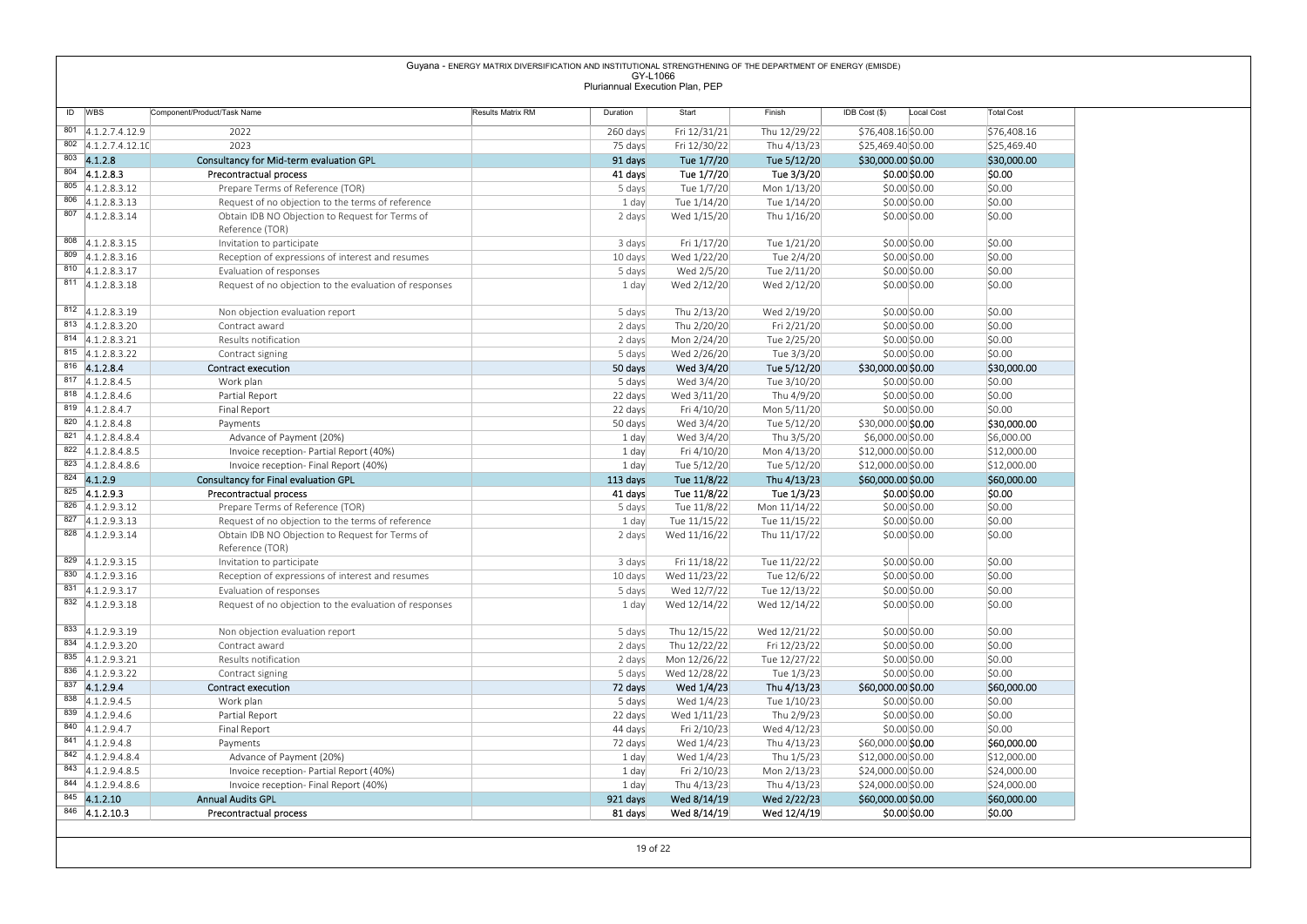| 824 4.1.2.9      |                                                   |                                                                               |                                                                                                             |                                             |                              |                             |                                          |                            |
|------------------|---------------------------------------------------|-------------------------------------------------------------------------------|-------------------------------------------------------------------------------------------------------------|---------------------------------------------|------------------------------|-----------------------------|------------------------------------------|----------------------------|
|                  |                                                   |                                                                               |                                                                                                             |                                             |                              |                             |                                          |                            |
|                  |                                                   |                                                                               |                                                                                                             |                                             |                              |                             |                                          |                            |
|                  |                                                   |                                                                               |                                                                                                             |                                             |                              |                             |                                          |                            |
|                  |                                                   |                                                                               |                                                                                                             |                                             |                              |                             |                                          |                            |
|                  |                                                   |                                                                               |                                                                                                             |                                             |                              |                             |                                          |                            |
|                  |                                                   |                                                                               |                                                                                                             |                                             |                              |                             |                                          |                            |
|                  |                                                   |                                                                               |                                                                                                             |                                             |                              |                             |                                          |                            |
|                  |                                                   |                                                                               |                                                                                                             |                                             |                              |                             |                                          |                            |
|                  |                                                   |                                                                               |                                                                                                             |                                             |                              |                             |                                          |                            |
|                  |                                                   |                                                                               |                                                                                                             |                                             |                              |                             |                                          |                            |
|                  |                                                   |                                                                               |                                                                                                             |                                             |                              |                             |                                          |                            |
|                  |                                                   |                                                                               |                                                                                                             |                                             |                              |                             |                                          |                            |
|                  |                                                   |                                                                               |                                                                                                             |                                             |                              |                             |                                          |                            |
|                  |                                                   |                                                                               |                                                                                                             |                                             |                              |                             |                                          |                            |
|                  |                                                   |                                                                               |                                                                                                             |                                             |                              |                             |                                          |                            |
|                  |                                                   |                                                                               |                                                                                                             |                                             |                              |                             |                                          |                            |
|                  |                                                   |                                                                               |                                                                                                             |                                             |                              |                             |                                          |                            |
|                  |                                                   |                                                                               | Guyana - ENERGY MATRIX DIVERSIFICATION AND INSTITUTIONAL STRENGTHENING OF THE DEPARTMENT OF ENERGY (EMISDE) |                                             |                              |                             |                                          |                            |
|                  |                                                   |                                                                               |                                                                                                             | GY-L1066<br>Pluriannual Execution Plan, PEP |                              |                             |                                          |                            |
|                  | ID WBS                                            | Component/Product/Task Name                                                   | Results Matrix RM                                                                                           | Duration                                    | Start                        | Finish                      | IDB Cost (\$)<br>Local Cost              | <b>Total Cost</b>          |
|                  | $\overline{801}$ 4.1.2.7.4.12.9                   | 2022                                                                          |                                                                                                             | 260 days                                    | Fri 12/31/21                 | Thu 12/29/22                | \$76,408.16 \$0.00                       | \$76,408.16                |
|                  | $\overline{802}$ 4.1.2.7.4.12.10                  | 2023                                                                          |                                                                                                             | 75 days                                     | Fri 12/30/22                 | Thu 4/13/23                 | \$25,469.40 \$0.00                       | \$25,469.40                |
|                  | $\overline{803}$ 4.1.2.8                          | Consultancy for Mid-term evaluation GPL                                       |                                                                                                             | 91 days                                     | Tue 1/7/20                   | Tue 5/12/20                 | \$30,000.00 \$0.00                       | \$30,000.00                |
|                  | $804$ 4.1.2.8.3                                   | Precontractual process                                                        |                                                                                                             | 41 days                                     | Tue 1/7/20                   | Tue 3/3/20                  | \$0.00 \$0.00                            | \$0.00                     |
|                  | $805$ 4.1.2.8.3.12                                | Prepare Terms of Reference (TOR)                                              |                                                                                                             | 5 days                                      | Tue 1/7/20                   | Mon 1/13/20                 | \$0.00 \$0.00                            | \$0.00                     |
|                  | $\overline{806}$ 4.1.2.8.3.13                     | Request of no objection to the terms of reference                             |                                                                                                             | 1 day                                       | Tue 1/14/20                  | Tue 1/14/20                 | \$0.00\$0.00                             | \$0.00                     |
|                  | $\overline{807}$ 4.1.2.8.3.14                     | Obtain IDB NO Objection to Request for Terms of<br>Reference (TOR)            |                                                                                                             | 2 days                                      | Wed 1/15/20                  | Thu 1/16/20                 | \$0.00 \$0.00                            | \$0.00                     |
|                  | 808 4.1.2.8.3.15                                  | Invitation to participate                                                     |                                                                                                             | 3 days                                      | Fri 1/17/20                  | Tue 1/21/20                 | \$0.00\$0.00                             | \$0.00                     |
|                  | 809 4.1.2.8.3.16                                  | Reception of expressions of interest and resumes                              |                                                                                                             | 10 days                                     | Wed 1/22/20                  | Tue 2/4/20                  | \$0.00\$0.00                             | \$0.00                     |
|                  | 810 4.1.2.8.3.17                                  | Evaluation of responses                                                       |                                                                                                             | 5 days                                      | Wed 2/5/20                   | Tue 2/11/20                 | \$0.00\$0.00                             | \$0.00                     |
|                  | $811$ 4.1.2.8.3.18                                | Request of no objection to the evaluation of responses                        |                                                                                                             | 1 day                                       | Wed 2/12/20                  | Wed 2/12/20                 | \$0.00\$0.00                             | \$0.00                     |
|                  | $812$ 4.1.2.8.3.19                                | Non objection evaluation report                                               |                                                                                                             | 5 days                                      | Thu 2/13/20                  | Wed 2/19/20                 | \$0.00\$0.00                             | \$0.00                     |
|                  | $813$ 4.1.2.8.3.20                                | Contract award                                                                |                                                                                                             | 2 days                                      | Thu 2/20/20                  | Fri 2/21/20                 | \$0.00 \$0.00                            | \$0.00                     |
|                  | $814$ 4.1.2.8.3.21                                | Results notification                                                          |                                                                                                             | 2 days                                      | Mon 2/24/20                  | Tue 2/25/20                 | \$0.00\$0.00                             | \$0.00                     |
|                  | $815$ 4.1.2.8.3.22                                | Contract signing                                                              |                                                                                                             | 5 days                                      | Wed 2/26/20                  | Tue 3/3/20                  | \$0.00 \$0.00                            | \$0.00                     |
|                  | 816 4.1.2.8.4                                     | Contract execution                                                            |                                                                                                             | 50 days                                     | Wed 3/4/20                   | Tue 5/12/20                 | \$30,000.00 \$0.00                       | \$30,000.00                |
|                  | $\overline{817}$ 4.1.2.8.4.5<br>818 4.1.2.8.4.6   | Work plan                                                                     |                                                                                                             | 5 days                                      | Wed 3/4/20<br>Wed 3/11/20    | Tue 3/10/20                 | \$0.00 \$0.00                            | \$0.00<br>\$0.00           |
|                  | $819$ 4.1.2.8.4.7                                 | Partial Report<br>Final Report                                                |                                                                                                             | 22 days<br>22 days                          | Fri 4/10/20                  | Thu 4/9/20<br>Mon 5/11/20   | \$0.00 \$0.00<br>\$0.00\$0.00            | \$0.00                     |
|                  | $820$ 4.1.2.8.4.8                                 | Payments                                                                      |                                                                                                             | 50 days                                     | Wed 3/4/20                   | Tue 5/12/20                 | \$30,000.00 \$0.00                       | \$30,000.00                |
|                  | $821$ 4.1.2.8.4.8.4                               | Advance of Payment (20%)                                                      |                                                                                                             | 1 day                                       | Wed 3/4/20                   | Thu 3/5/20                  | \$6,000.00 \$0.00                        | \$6,000.00                 |
|                  | 822 4.1.2.8.4.8.5                                 | Invoice reception- Partial Report (40%)                                       |                                                                                                             | 1 day                                       | Fri 4/10/20                  | Mon 4/13/20                 | \$12,000.00 \$0.00                       | \$12,000.00                |
|                  | 823 4.1.2.8.4.8.6                                 | Invoice reception- Final Report (40%)                                         |                                                                                                             | 1 day                                       | Tue 5/12/20                  | Tue 5/12/20                 | \$12,000.00 \$0.00                       | \$12,000.00                |
|                  | $825$ 4.1.2.9.3                                   | Consultancy for Final evaluation GPL<br>Precontractual process                |                                                                                                             | 113 days<br>41 days                         | Tue 11/8/22<br>Tue 11/8/22   | Thu 4/13/23<br>Tue 1/3/23   | \$60,000.00 \$0.00<br>\$0.00 \$0.00      | \$60,000.00<br>\$0.00      |
|                  | 826 4.1.2.9.3.12                                  | Prepare Terms of Reference (TOR)                                              |                                                                                                             | 5 days                                      | Tue 11/8/22                  | Mon 11/14/22                | \$0.00 \$0.00                            | \$0.00                     |
|                  | $\overline{827}$ 4.1.2.9.3.13                     | Request of no objection to the terms of reference                             |                                                                                                             | 1 day                                       | Tue 11/15/22                 | Tue 11/15/22                | \$0.00 \$0.00                            | \$0.00                     |
|                  | 828 4.1.2.9.3.14                                  | Obtain IDB NO Objection to Request for Terms of                               |                                                                                                             | 2 days                                      | Wed 11/16/22                 | Thu 11/17/22                | \$0.00\$0.00                             | \$0.00                     |
|                  |                                                   | Reference (TOR)                                                               |                                                                                                             |                                             |                              |                             |                                          |                            |
|                  | 829 4.1.2.9.3.15<br>830 4.1.2.9.3.16              | Invitation to participate<br>Reception of expressions of interest and resumes |                                                                                                             | 3 days<br>10 days                           | Fri 11/18/22<br>Wed 11/23/22 | Tue 11/22/22<br>Tue 12/6/22 | \$0.00 \$0.00<br>\$0.00 \$0.00           | \$0.00<br>\$0.00           |
|                  | 831 4.1.2.9.3.17                                  | Evaluation of responses                                                       |                                                                                                             | 5 days                                      | Wed 12/7/22                  | Tue 12/13/22                | \$0.00 \$0.00                            | \$0.00                     |
|                  | 832 4.1.2.9.3.18                                  | Request of no objection to the evaluation of responses                        |                                                                                                             | 1 day                                       | Wed 12/14/22                 | Wed 12/14/22                | \$0.00 \$0.00                            | \$0.00                     |
|                  | $\overline{833}$ 4.1.2.9.3.19                     | Non objection evaluation report                                               |                                                                                                             | 5 days                                      | Thu 12/15/22                 | Wed 12/21/22                | \$0.00 \$0.00                            | \$0.00                     |
|                  | $\overline{834}$ 4.1.2.9.3.20                     | Contract award                                                                |                                                                                                             | 2 days                                      | Thu 12/22/22                 | Fri 12/23/22                | \$0.00 \$0.00                            | \$0.00                     |
|                  | $835$ 4.1.2.9.3.21                                | Results notification                                                          |                                                                                                             | 2 days                                      | Mon 12/26/22                 | Tue 12/27/22                | \$0.00 \$0.00                            | \$0.00                     |
|                  | $\overline{836}$ 4.1.2.9.3.22                     | Contract signing                                                              |                                                                                                             | 5 days                                      | Wed 12/28/22                 | Tue 1/3/23                  | \$0.00 \$0.00                            | \$0.00                     |
|                  | $\overline{837}$ 4.1.2.9.4                        | Contract execution                                                            |                                                                                                             | 72 days                                     | Wed 1/4/23                   | Thu 4/13/23                 | \$60,000.00 \$0.00                       | \$60,000.00                |
|                  | $838$ 4.1.2.9.4.5<br>$\overline{839}$ 4.1.2.9.4.6 | Work plan<br>Partial Report                                                   |                                                                                                             | 5 days<br>22 days                           | Wed 1/4/23<br>Wed 1/11/23    | Tue 1/10/23<br>Thu 2/9/23   | \$0.00\$0.00<br>\$0.00 \$0.00            | \$0.00<br>\$0.00           |
|                  | $\overline{840}$ 4.1.2.9.4.7                      | Final Report                                                                  |                                                                                                             | 44 days                                     | Fri 2/10/23                  | Wed 4/12/23                 | \$0.00 \$0.00                            | \$0.00                     |
|                  | $\overline{841}$ 4.1.2.9.4.8                      | Payments                                                                      |                                                                                                             | 72 days                                     | Wed 1/4/23                   | Thu 4/13/23                 | \$60,000.00 \$0.00                       | \$60,000.00                |
|                  | $842$ 4.1.2.9.4.8.4                               | Advance of Payment (20%)                                                      |                                                                                                             | 1 day                                       | Wed 1/4/23                   | Thu 1/5/23                  | \$12,000.00 \$0.00                       | \$12,000.00                |
|                  | 843 4.1.2.9.4.8.5                                 | Invoice reception- Partial Report (40%)                                       |                                                                                                             | 1 day                                       | Fri 2/10/23                  | Mon 2/13/23                 | \$24,000.00 \$0.00                       | \$24,000.00                |
|                  |                                                   | Invoice reception- Final Report (40%)<br><b>Annual Audits GPL</b>             |                                                                                                             | 1 day<br>921 days                           | Thu 4/13/23<br>Wed 8/14/19   | Thu 4/13/23<br>Wed 2/22/23  | \$24,000.00 \$0.00<br>\$60,000.00 \$0.00 | \$24,000.00<br>\$60,000.00 |
| $846$ 4.1.2.10.3 | $\overline{844}$ 4.1.2.9.4.8.6<br>$845$ 4.1.2.10  |                                                                               |                                                                                                             | 81 days                                     | Wed 8/14/19                  | Wed 12/4/19                 | \$0.00 \$0.00                            | \$0.00                     |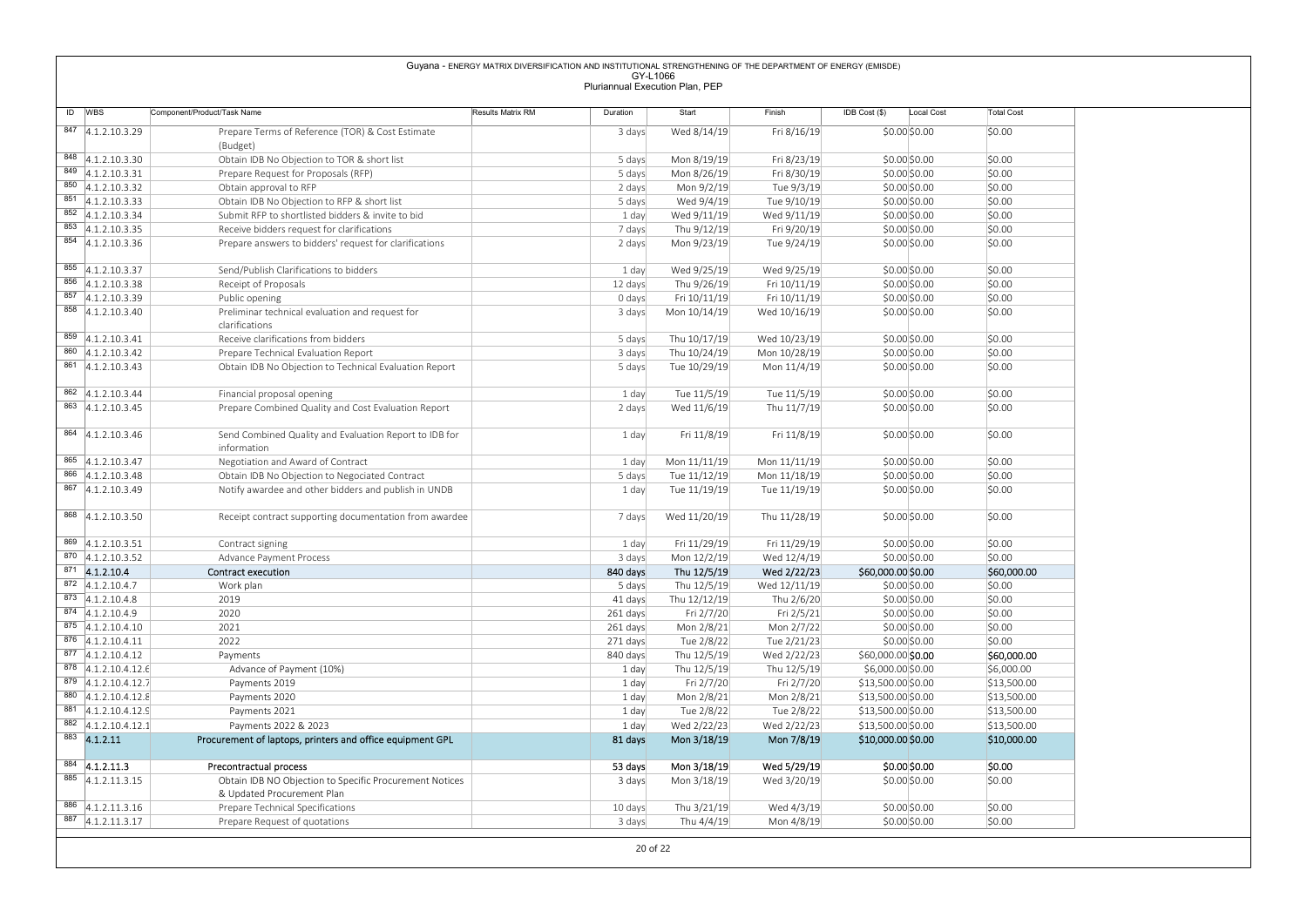|                                            |                                                                       | Guyana - ENERGY MATRIX DIVERSIFICATION AND INSTITUTIONAL STRENGTHENING OF THE DEPARTMENT OF ENERGY (EMISDE) |                                             |              |              |                             |                   |
|--------------------------------------------|-----------------------------------------------------------------------|-------------------------------------------------------------------------------------------------------------|---------------------------------------------|--------------|--------------|-----------------------------|-------------------|
|                                            |                                                                       |                                                                                                             | GY-L1066<br>Pluriannual Execution Plan, PEP |              |              |                             |                   |
|                                            |                                                                       |                                                                                                             |                                             |              |              |                             |                   |
| ID WBS                                     | Component/Product/Task Name                                           | Results Matrix RM                                                                                           | Duration                                    | Start        | Finish       | IDB Cost (\$)<br>Local Cost | <b>Total Cost</b> |
| 847 4.1.2.10.3.29                          | Prepare Terms of Reference (TOR) & Cost Estimate                      |                                                                                                             | 3 days                                      | Wed 8/14/19  | Fri 8/16/19  | \$0.00\$0.00                | \$0.00            |
|                                            | (Budget)                                                              |                                                                                                             |                                             |              |              |                             |                   |
| 848 4.1.2.10.3.30                          | Obtain IDB No Objection to TOR & short list                           |                                                                                                             | 5 days                                      | Mon 8/19/19  | Fri 8/23/19  | \$0.00\$0.00                | \$0.00            |
| 849 4.1.2.10.3.31                          | Prepare Request for Proposals (RFP)                                   |                                                                                                             | 5 days                                      | Mon 8/26/19  | Fri 8/30/19  | \$0.00\$0.00                | \$0.00            |
| 850 4.1.2.10.3.32                          | Obtain approval to RFP                                                |                                                                                                             | 2 days                                      | Mon 9/2/19   | Tue 9/3/19   | \$0.00 \$0.00               | \$0.00            |
| $851$ 4.1.2.10.3.33                        | Obtain IDB No Objection to RFP & short list                           |                                                                                                             | 5 days                                      | Wed 9/4/19   | Tue 9/10/19  | \$0.00\$0.00                | \$0.00            |
| 852 4.1.2.10.3.34                          | Submit RFP to shortlisted bidders & invite to bid                     |                                                                                                             | 1 day                                       | Wed 9/11/19  | Wed 9/11/19  | \$0.00\$0.00                | \$0.00            |
| 853 4.1.2.10.3.35                          | Receive bidders request for clarifications                            |                                                                                                             | 7 days                                      | Thu 9/12/19  | Fri 9/20/19  | \$0.00\$0.00                | \$0.00            |
| 854 4.1.2.10.3.36                          | Prepare answers to bidders' request for clarifications                |                                                                                                             | 2 days                                      | Mon 9/23/19  | Tue 9/24/19  | \$0.00\$0.00                | \$0.00            |
|                                            |                                                                       |                                                                                                             |                                             |              |              |                             |                   |
| $855$ 4.1.2.10.3.37                        | Send/Publish Clarifications to bidders                                |                                                                                                             | 1 day                                       | Wed 9/25/19  | Wed 9/25/19  | \$0.00\$0.00                | \$0.00            |
| $856$ 4.1.2.10.3.38                        | Receipt of Proposals                                                  |                                                                                                             | 12 days                                     | Thu 9/26/19  | Fri 10/11/19 | \$0.00\$0.00                | \$0.00            |
| $857$ 4.1.2.10.3.39                        | Public opening                                                        |                                                                                                             | 0 days                                      | Fri 10/11/19 | Fri 10/11/19 | \$0.00\$0.00                | \$0.00            |
| $858$ 4.1.2.10.3.40                        | Preliminar technical evaluation and request for                       |                                                                                                             | 3 days                                      | Mon 10/14/19 | Wed 10/16/19 | \$0.00\$0.00                | \$0.00            |
|                                            | clarifications                                                        |                                                                                                             |                                             |              |              |                             |                   |
| 859 4.1.2.10.3.41                          | Receive clarifications from bidders                                   |                                                                                                             | 5 days                                      | Thu 10/17/19 | Wed 10/23/19 | \$0.00\$0.00                | \$0.00            |
| 860 4.1.2.10.3.42                          | Prepare Technical Evaluation Report                                   |                                                                                                             | 3 days                                      | Thu 10/24/19 | Mon 10/28/19 | \$0.00\$0.00                | \$0.00            |
| 861 4.1.2.10.3.43                          | Obtain IDB No Objection to Technical Evaluation Report                |                                                                                                             | 5 days                                      | Tue 10/29/19 | Mon 11/4/19  | \$0.00\$0.00                | \$0.00            |
|                                            |                                                                       |                                                                                                             |                                             |              |              |                             |                   |
| $862$ 4.1.2.10.3.44                        | Financial proposal opening                                            |                                                                                                             | 1 day                                       | Tue 11/5/19  | Tue 11/5/19  | \$0.00 \$0.00               | \$0.00            |
| 863 4.1.2.10.3.45                          | Prepare Combined Quality and Cost Evaluation Report                   |                                                                                                             | 2 days                                      | Wed 11/6/19  | Thu 11/7/19  | \$0.00 \$0.00               | \$0.00            |
| $864$ 4.1.2.10.3.46                        |                                                                       |                                                                                                             |                                             | Fri 11/8/19  | Fri 11/8/19  |                             | \$0.00            |
|                                            | Send Combined Quality and Evaluation Report to IDB for<br>information |                                                                                                             | 1 day                                       |              |              | \$0.00 \$0.00               |                   |
| $865$ 4.1.2.10.3.47                        | Negotiation and Award of Contract                                     |                                                                                                             | 1 day                                       | Mon 11/11/19 | Mon 11/11/19 | \$0.00 \$0.00               | \$0.00            |
| 866 4.1.2.10.3.48                          | Obtain IDB No Objection to Negociated Contract                        |                                                                                                             | 5 days                                      | Tue 11/12/19 | Mon 11/18/19 | \$0.00 \$0.00               | \$0.00            |
| 867 4.1.2.10.3.49                          | Notify awardee and other bidders and publish in UNDB                  |                                                                                                             | 1 day                                       | Tue 11/19/19 | Tue 11/19/19 | \$0.00 \$0.00               | \$0.00            |
|                                            |                                                                       |                                                                                                             |                                             |              |              |                             |                   |
| 868 4.1.2.10.3.50                          | Receipt contract supporting documentation from awardee                |                                                                                                             | 7 days                                      | Wed 11/20/19 | Thu 11/28/19 | \$0.00 \$0.00               | \$0.00            |
|                                            |                                                                       |                                                                                                             |                                             |              |              |                             |                   |
| 869 4.1.2.10.3.51                          | Contract signing                                                      |                                                                                                             | 1 day                                       | Fri 11/29/19 | Fri 11/29/19 | \$0.00 \$0.00               | \$0.00            |
| 870 4.1.2.10.3.52                          | Advance Payment Process                                               |                                                                                                             | 3 days                                      | Mon 12/2/19  | Wed 12/4/19  | \$0.00 \$0.00               | \$0.00            |
| $871$ 4.1.2.10.4                           | <b>Contract execution</b>                                             |                                                                                                             | 840 days                                    | Thu 12/5/19  | Wed 2/22/23  | \$60,000.00 \$0.00          | \$60,000.00       |
| 872 4.1.2.10.4.7                           | Work plan                                                             |                                                                                                             | 5 days                                      | Thu 12/5/19  | Wed 12/11/19 | \$0.00 \$0.00               | \$0.00            |
| 873 4.1.2.10.4.8                           | 2019                                                                  |                                                                                                             | 41 days                                     | Thu 12/12/19 | Thu 2/6/20   | \$0.00 \$0.00               | \$0.00            |
| 874 4.1.2.10.4.9                           | 2020                                                                  |                                                                                                             | 261 days                                    | Fri 2/7/20   | Fri 2/5/21   | \$0.00 \$0.00               | \$0.00            |
| 875 4.1.2.10.4.10                          | 2021                                                                  |                                                                                                             | 261 days                                    | Mon 2/8/21   | Mon 2/7/22   | \$0.00 \$0.00               | \$0.00            |
| $\overline{876}$ 4.1.2.10.4.11             | 2022                                                                  |                                                                                                             | 271 days                                    | Tue 2/8/22   | Tue 2/21/23  | \$0.00 \$0.00               | \$0.00            |
| $877$ 4.1.2.10.4.12                        | Payments                                                              |                                                                                                             | 840 days                                    | Thu 12/5/19  | Wed 2/22/23  | \$60,000.00 \$0.00          | \$60,000.00       |
| 878 4.1.2.10.4.12.6                        | Advance of Payment (10%)                                              |                                                                                                             | 1 day                                       | Thu 12/5/19  | Thu 12/5/19  | \$6,000.00 \$0.00           | \$6,000.00        |
| 879 4.1.2.10.4.12.7                        | Payments 2019                                                         |                                                                                                             | 1 day                                       | Fri 2/7/20   | Fri 2/7/20   | \$13,500.00 \$0.00          | \$13,500.00       |
| 880 4.1.2.10.4.12.8                        | Payments 2020                                                         |                                                                                                             | 1 day                                       | Mon 2/8/21   | Mon 2/8/21   | \$13,500.00 \$0.00          | \$13,500.00       |
| 881 4.1.2.10.4.12.9<br>882 4.1.2.10.4.12.1 | Payments 2021                                                         |                                                                                                             | 1 day                                       | Tue 2/8/22   | Tue 2/8/22   | \$13,500.00 \$0.00          | \$13,500.00       |
|                                            | Payments 2022 & 2023                                                  |                                                                                                             | 1 day                                       | Wed 2/22/23  | Wed 2/22/23  | \$13,500.00 \$0.00          | \$13,500.00       |
| 883 4.1.2.11                               | Procurement of laptops, printers and office equipment GPL             |                                                                                                             | 81 days                                     | Mon 3/18/19  | Mon 7/8/19   | \$10,000.00 \$0.00          | \$10,000.00       |
| $884$ 4.1.2.11.3                           | Precontractual process                                                |                                                                                                             | 53 days                                     | Mon 3/18/19  | Wed 5/29/19  | \$0.00 \$0.00               | \$0.00            |
| 885 4.1.2.11.3.15                          | Obtain IDB NO Objection to Specific Procurement Notices               |                                                                                                             | 3 days                                      | Mon 3/18/19  | Wed 3/20/19  | \$0.00 \$0.00               | \$0.00            |
|                                            | & Updated Procurement Plan                                            |                                                                                                             |                                             |              |              |                             |                   |
|                                            |                                                                       |                                                                                                             |                                             |              |              |                             |                   |
| 886 4.1.2.11.3.16                          | Prepare Technical Specifications                                      |                                                                                                             | 10 days                                     | Thu 3/21/19  | Wed 4/3/19   | \$0.00 \$0.00               | \$0.00            |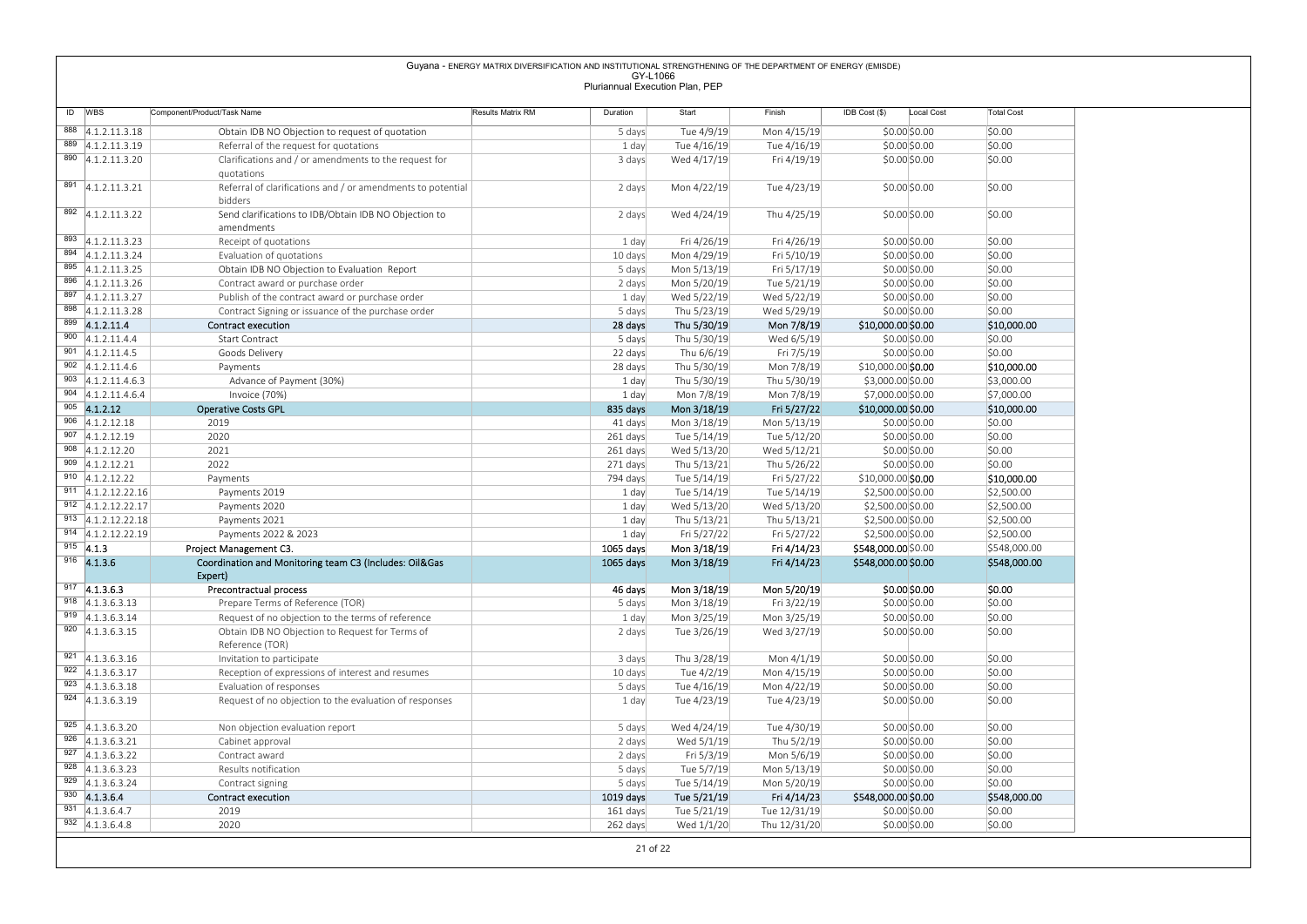|                                              |                                                                                   | Guyana - ENERGY MATRIX DIVERSIFICATION AND INSTITUTIONAL STRENGTHENING OF THE DEPARTMENT OF ENERGY (EMISDE) |                                             |                            |                              |                                        |                          |
|----------------------------------------------|-----------------------------------------------------------------------------------|-------------------------------------------------------------------------------------------------------------|---------------------------------------------|----------------------------|------------------------------|----------------------------------------|--------------------------|
|                                              |                                                                                   |                                                                                                             | GY-L1066<br>Pluriannual Execution Plan, PEP |                            |                              |                                        |                          |
| ID WBS                                       | Component/Product/Task Name                                                       | Results Matrix RM                                                                                           | Duration                                    | Start                      | Finish                       | IDB Cost (\$)<br>Local Cost            | <b>Total Cost</b>        |
| 888 4.1.2.11.3.18                            | Obtain IDB NO Objection to request of quotation                                   |                                                                                                             | 5 days                                      | Tue 4/9/19                 | Mon 4/15/19                  | $$0.00$ $$0.00$                        | \$0.00                   |
| 889 4.1.2.11.3.19                            | Referral of the request for quotations                                            |                                                                                                             | 1 day                                       | Tue 4/16/19                | Tue 4/16/19                  | \$0.00\$0.00                           | \$0.00                   |
| $\overline{890}$ 4.1.2.11.3.20               | Clarifications and / or amendments to the request for                             |                                                                                                             | 3 days                                      | Wed 4/17/19                | Fri 4/19/19                  | \$0.00\$0.00                           | \$0.00                   |
| 891 4.1.2.11.3.21                            | quotations<br>Referral of clarifications and / or amendments to potential         |                                                                                                             | 2 days                                      | Mon 4/22/19                | Tue 4/23/19                  | \$0.00\$0.00                           | \$0.00                   |
| $\overline{892}$ 4.1.2.11.3.22               | bidders<br>Send clarifications to IDB/Obtain IDB NO Objection to                  |                                                                                                             | 2 days                                      | Wed 4/24/19                | Thu 4/25/19                  | \$0.00\$0.00                           | \$0.00                   |
|                                              | amendments                                                                        |                                                                                                             |                                             |                            |                              |                                        |                          |
| 893 4.1.2.11.3.23                            | Receipt of quotations                                                             |                                                                                                             | 1 day                                       | Fri 4/26/19                | Fri 4/26/19                  | \$0.00\$0.00                           | \$0.00                   |
| 894 4.1.2.11.3.24<br>895 4.1.2.11.3.25       | Evaluation of quotations<br>Obtain IDB NO Objection to Evaluation Report          |                                                                                                             | 10 days<br>5 days                           | Mon 4/29/19<br>Mon 5/13/19 | Fri 5/10/19<br>Fri 5/17/19   | \$0.00\$0.00<br>\$0.00\$0.00           | \$0.00<br>\$0.00         |
| 896 4.1.2.11.3.26                            | Contract award or purchase order                                                  |                                                                                                             | 2 days                                      | Mon 5/20/19                | Tue 5/21/19                  | \$0.00\$0.00                           | \$0.00                   |
| 897 4.1.2.11.3.27                            | Publish of the contract award or purchase order                                   |                                                                                                             | 1 day                                       | Wed 5/22/19                | Wed 5/22/19                  | \$0.00\$0.00                           | \$0.00                   |
| 898 4.1.2.11.3.28                            | Contract Signing or issuance of the purchase order                                |                                                                                                             | 5 days                                      | Thu 5/23/19                | Wed 5/29/19                  | \$0.00\$0.00                           | \$0.00                   |
| 899 4.1.2.11.4<br>900 4.1.2.11.4.4           | <b>Contract execution</b><br>Start Contract                                       |                                                                                                             | 28 days<br>5 days                           | Thu 5/30/19<br>Thu 5/30/19 | Mon 7/8/19<br>Wed 6/5/19     | \$10,000.00 \$0.00<br>\$0.00\$0.00     | \$10,000.00<br>\$0.00    |
| $901$ 4.1.2.11.4.5                           | Goods Delivery                                                                    |                                                                                                             | 22 days                                     | Thu 6/6/19                 | Fri 7/5/19                   | \$0.00\$0.00                           | \$0.00                   |
| $902$ 4.1.2.11.4.6                           | Payments                                                                          |                                                                                                             | 28 days                                     | Thu 5/30/19                | Mon 7/8/19                   | \$10,000.00 \$0.00                     | \$10,000.00              |
| $903$ 4.1.2.11.4.6.3<br>$904$ 4.1.2.11.4.6.4 | Advance of Payment (30%)<br>Invoice (70%)                                         |                                                                                                             | 1 day<br>1 day                              | Thu 5/30/19<br>Mon 7/8/19  | Thu 5/30/19<br>Mon 7/8/19    | \$3,000.00 \$0.00<br>\$7,000.00 \$0.00 | \$3,000.00<br>\$7,000.00 |
| $905$ 4.1.2.12                               | <b>Operative Costs GPL</b>                                                        |                                                                                                             | 835 days                                    | Mon 3/18/19                | Fri 5/27/22                  | \$10,000.00 \$0.00                     | \$10,000.00              |
| $906$ 4.1.2.12.18                            | 2019                                                                              |                                                                                                             | 41 days                                     | Mon 3/18/19                | Mon 5/13/19                  | \$0.00 \$0.00                          | \$0.00                   |
| $907$ 4.1.2.12.19                            | 2020                                                                              |                                                                                                             | 261 days                                    | Tue 5/14/19                | Tue 5/12/20                  | \$0.00 \$0.00                          | \$0.00                   |
| 908 $ 4.1.2.12.20$<br>909 $4.1.2.12.21$      | 2021<br>2022                                                                      |                                                                                                             | 261 days<br>271 days                        | Wed 5/13/20<br>Thu 5/13/21 | Wed 5/12/21<br>Thu 5/26/22   | \$0.00 \$0.00<br>\$0.00 \$0.00         | \$0.00<br>\$0.00         |
| $910$ 4.1.2.12.22                            | Payments                                                                          |                                                                                                             | 794 days                                    | Tue 5/14/19                | Fri 5/27/22                  | \$10,000.00 \$0.00                     | \$10,000.00              |
| $911$ 4.1.2.12.22.16                         | Payments 2019                                                                     |                                                                                                             | 1 day                                       | Tue 5/14/19                | Tue 5/14/19                  | \$2,500.00 \$0.00                      | \$2,500.00               |
| 912 4.1.2.12.22.17                           | Payments 2020                                                                     |                                                                                                             | 1 day                                       | Wed 5/13/20                | Wed 5/13/20                  | \$2,500.00 \$0.00                      | \$2,500.00               |
| 913 4.1.2.12.22.18<br>914 4.1.2.12.22.19     | Payments 2021<br>Payments 2022 & 2023                                             |                                                                                                             | 1 day<br>1 day                              | Thu 5/13/21<br>Fri 5/27/22 | Thu 5/13/21<br>Fri 5/27/22   | \$2,500.00 \$0.00<br>\$2,500.00 \$0.00 | \$2,500.00<br>\$2,500.00 |
| $915$ 4.1.3                                  | Project Management C3.                                                            |                                                                                                             | 1065 days                                   | Mon 3/18/19                | Fri 4/14/23                  | \$548,000.00 \$0.00                    | \$548,000.00             |
|                                              | Coordination and Monitoring team C3 (Includes: Oil&Gas                            |                                                                                                             | 1065 days                                   | Mon 3/18/19                | Fri 4/14/23                  | \$548,000.00 \$0.00                    | \$548,000.00             |
| $916$ 4.1.3.6                                |                                                                                   |                                                                                                             |                                             | Mon 3/18/19                | Mon 5/20/19                  | \$0.00 \$0.00                          | \$0.00                   |
| $\overline{917}$ 4.1.3.6.3                   | Expert)<br>Precontractual process                                                 |                                                                                                             | 46 days                                     |                            |                              |                                        |                          |
| $918$ 4.1.3.6.3.13                           | Prepare Terms of Reference (TOR)                                                  |                                                                                                             | 5 days                                      | Mon 3/18/19                | Fri 3/22/19                  | \$0.00 \$0.00                          | \$0.00                   |
| $\overline{919}$ 4.1.3.6.3.14                | Request of no objection to the terms of reference                                 |                                                                                                             | 1 day                                       | Mon 3/25/19                | Mon 3/25/19                  | \$0.00 \$0.00                          | \$0.00                   |
| $\overline{920}$ 4.1.3.6.3.15                | Obtain IDB NO Objection to Request for Terms of<br>Reference (TOR)                |                                                                                                             | 2 days                                      | Tue 3/26/19                | Wed 3/27/19                  | \$0.00 \$0.00                          | \$0.00                   |
| $921 \quad 4.1.3.6.3.16$                     | Invitation to participate                                                         |                                                                                                             | 3 days                                      | Thu 3/28/19                | Mon 4/1/19                   | \$0.00 \$0.00                          | \$0.00                   |
| 922 4.1.3.6.3.17                             | Reception of expressions of interest and resumes                                  |                                                                                                             | 10 days                                     | Tue 4/2/19                 | Mon 4/15/19                  | \$0.00 \$0.00                          | \$0.00                   |
| 923 4.1.3.6.3.18<br>$924$ 4.1.3.6.3.19       | Evaluation of responses<br>Request of no objection to the evaluation of responses |                                                                                                             | 5 days<br>1 day                             | Tue 4/16/19<br>Tue 4/23/19 | Mon 4/22/19<br>Tue 4/23/19   | \$0.00 \$0.00<br>\$0.00 \$0.00         | \$0.00<br>\$0.00         |
| $925$ 4.1.3.6.3.20                           | Non objection evaluation report                                                   |                                                                                                             | 5 days                                      | Wed 4/24/19                | Tue 4/30/19                  | $$0.00$ \$0.00                         | \$0.00                   |
| $926$ 4.1.3.6.3.21                           | Cabinet approval                                                                  |                                                                                                             | 2 days                                      | Wed 5/1/19                 | Thu 5/2/19                   | \$0.00 \$0.00                          | \$0.00                   |
| $\overline{927}$ 4.1.3.6.3.22                | Contract award                                                                    |                                                                                                             | 2 days                                      | Fri 5/3/19                 | Mon 5/6/19                   | \$0.00 \$0.00                          | \$0.00                   |
| $928$ 4.1.3.6.3.23<br>929 4.1.3.6.3.24       | Results notification<br>Contract signing                                          |                                                                                                             | 5 days<br>5 days                            | Tue 5/7/19<br>Tue 5/14/19  | Mon 5/13/19<br>Mon 5/20/19   | \$0.00 \$0.00<br>\$0.00\$0.00          | \$0.00<br>\$0.00         |
| $930$ 4.1.3.6.4                              | Contract execution                                                                |                                                                                                             | 1019 days                                   | Tue 5/21/19                | Fri 4/14/23                  | \$548,000.00 \$0.00                    | \$548,000.00             |
| 931 $ 4.1.3.6.4.7$<br>$932$ 4.1.3.6.4.8      | 2019<br>2020                                                                      |                                                                                                             | 161 days<br>262 days                        | Tue 5/21/19<br>Wed 1/1/20  | Tue 12/31/19<br>Thu 12/31/20 | \$0.00 \$0.00<br>\$0.00 \$0.00         | \$0.00<br>\$0.00         |